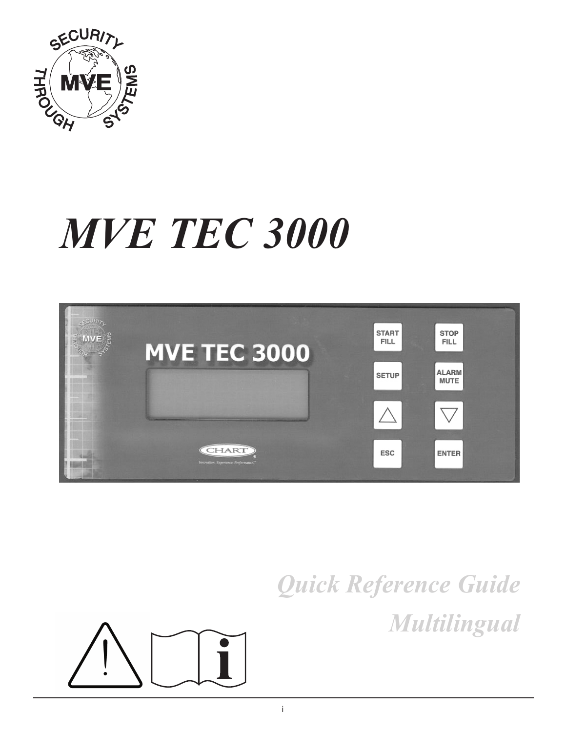

# *MVE TEC 3000*



# *Quick Reference Guide Multilingual*

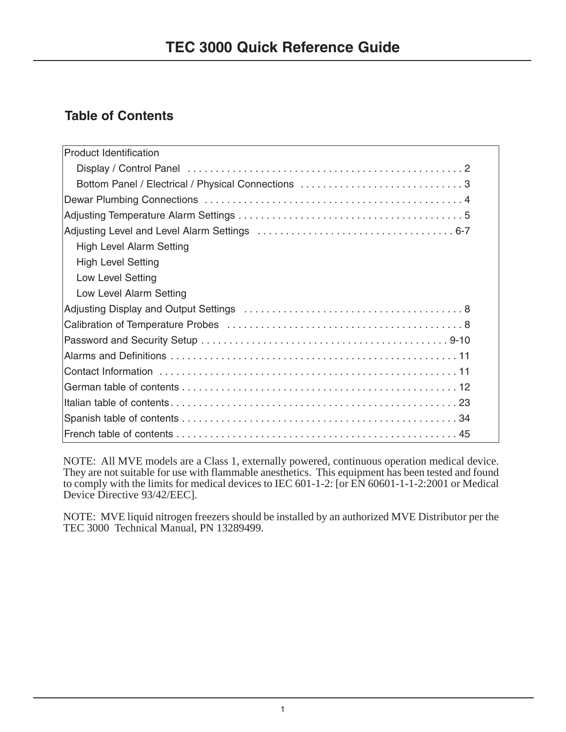# **Table of Contents**

| <b>Product Identification</b>   |
|---------------------------------|
|                                 |
|                                 |
|                                 |
|                                 |
|                                 |
| <b>High Level Alarm Setting</b> |
| <b>High Level Setting</b>       |
| <b>Low Level Setting</b>        |
| Low Level Alarm Setting         |
|                                 |
|                                 |
|                                 |
|                                 |
|                                 |
|                                 |
|                                 |
|                                 |
|                                 |

NOTE: All MVE models are a Class 1, externally powered, continuous operation medical device. They are not suitable for use with flammable anesthetics. This equipment has been tested and found to comply with the limits for medical devices to IEC 601-1-2: [or EN 60601-1-1-2:2001 or Medical Device Directive 93/42/EEC].

NOTE: MVE liquid nitrogen freezers should be installed by an authorized MVE Distributor per the TEC 3000 Technical Manual, PN 13289499.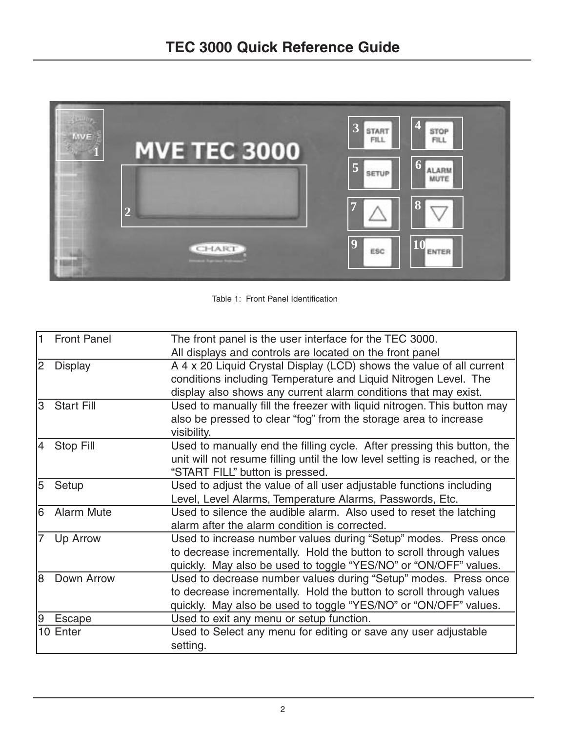

Table 1: Front Panel Identification

| A 4 x 20 Liquid Crystal Display (LCD) shows the value of all current<br>conditions including Temperature and Liquid Nitrogen Level. The<br>display also shows any current alarm conditions that may exist. |
|------------------------------------------------------------------------------------------------------------------------------------------------------------------------------------------------------------|
|                                                                                                                                                                                                            |
|                                                                                                                                                                                                            |
|                                                                                                                                                                                                            |
|                                                                                                                                                                                                            |
| Used to manually fill the freezer with liquid nitrogen. This button may                                                                                                                                    |
| also be pressed to clear "fog" from the storage area to increase                                                                                                                                           |
|                                                                                                                                                                                                            |
| Used to manually end the filling cycle. After pressing this button, the                                                                                                                                    |
| unit will not resume filling until the low level setting is reached, or the                                                                                                                                |
|                                                                                                                                                                                                            |
| Used to adjust the value of all user adjustable functions including                                                                                                                                        |
|                                                                                                                                                                                                            |
| Used to silence the audible alarm. Also used to reset the latching                                                                                                                                         |
|                                                                                                                                                                                                            |
| Used to increase number values during "Setup" modes. Press once                                                                                                                                            |
| to decrease incrementally. Hold the button to scroll through values                                                                                                                                        |
| quickly. May also be used to toggle "YES/NO" or "ON/OFF" values.                                                                                                                                           |
| Used to decrease number values during "Setup" modes. Press once                                                                                                                                            |
| to decrease incrementally. Hold the button to scroll through values                                                                                                                                        |
| quickly. May also be used to toggle "YES/NO" or "ON/OFF" values.                                                                                                                                           |
|                                                                                                                                                                                                            |
| Used to Select any menu for editing or save any user adjustable                                                                                                                                            |
|                                                                                                                                                                                                            |
|                                                                                                                                                                                                            |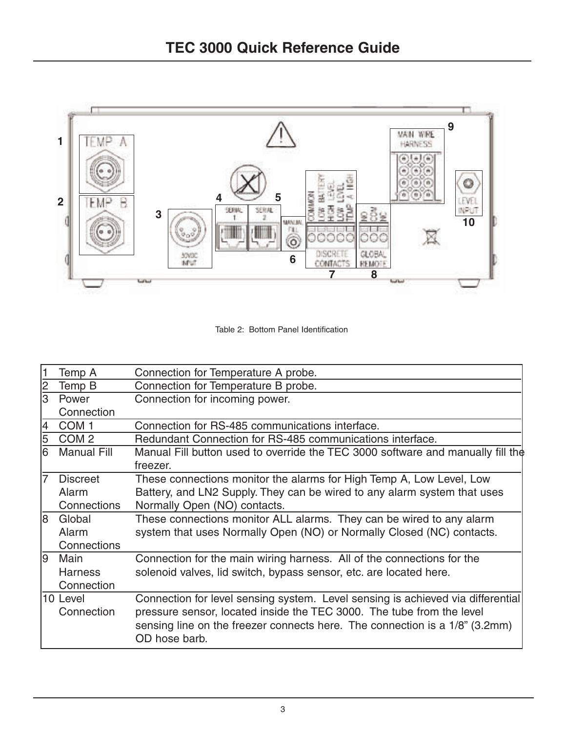

Table 2: Bottom Panel Identification

| 1  | Temp A                 | Connection for Temperature A probe.                                                                                                                                                                                                                      |  |  |
|----|------------------------|----------------------------------------------------------------------------------------------------------------------------------------------------------------------------------------------------------------------------------------------------------|--|--|
| 2  | Temp B                 | Connection for Temperature B probe.                                                                                                                                                                                                                      |  |  |
| 3  | Power                  | Connection for incoming power.                                                                                                                                                                                                                           |  |  |
|    | Connection             |                                                                                                                                                                                                                                                          |  |  |
| 4  | COM <sub>1</sub>       | Connection for RS-485 communications interface.                                                                                                                                                                                                          |  |  |
| 5  | COM <sub>2</sub>       | Redundant Connection for RS-485 communications interface.                                                                                                                                                                                                |  |  |
| l6 | <b>Manual Fill</b>     | Manual Fill button used to override the TEC 3000 software and manually fill the                                                                                                                                                                          |  |  |
|    |                        | freezer.                                                                                                                                                                                                                                                 |  |  |
| 17 | <b>Discreet</b>        | These connections monitor the alarms for High Temp A, Low Level, Low                                                                                                                                                                                     |  |  |
|    | Alarm                  | Battery, and LN2 Supply. They can be wired to any alarm system that uses                                                                                                                                                                                 |  |  |
|    | Connections            | Normally Open (NO) contacts.                                                                                                                                                                                                                             |  |  |
| 18 | Global                 | These connections monitor ALL alarms. They can be wired to any alarm                                                                                                                                                                                     |  |  |
|    | Alarm                  | system that uses Normally Open (NO) or Normally Closed (NC) contacts.                                                                                                                                                                                    |  |  |
|    | Connections            |                                                                                                                                                                                                                                                          |  |  |
| 19 | Main                   | Connection for the main wiring harness. All of the connections for the                                                                                                                                                                                   |  |  |
|    | <b>Harness</b>         | solenoid valves, lid switch, bypass sensor, etc. are located here.                                                                                                                                                                                       |  |  |
|    | Connection             |                                                                                                                                                                                                                                                          |  |  |
|    | 10 Level<br>Connection | Connection for level sensing system. Level sensing is achieved via differential<br>pressure sensor, located inside the TEC 3000. The tube from the level<br>sensing line on the freezer connects here. The connection is a 1/8" (3.2mm)<br>OD hose barb. |  |  |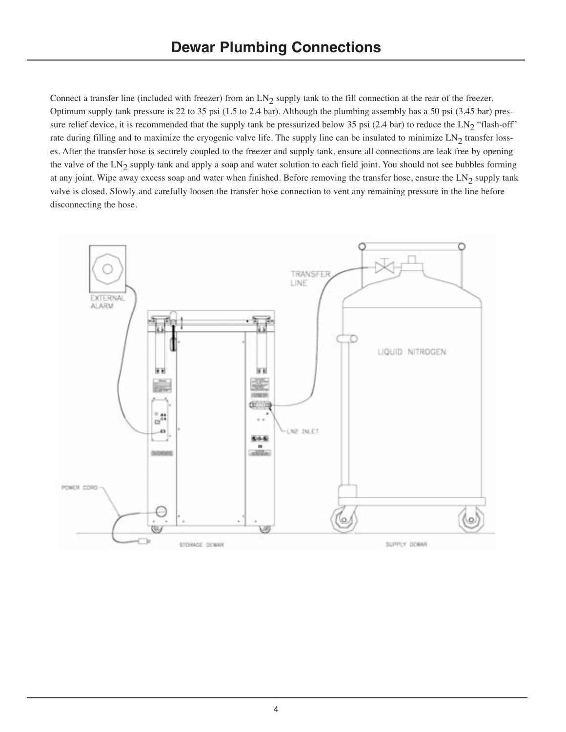Connect a transfer line (included with freezer) from an LN<sub>2</sub> supply tank to the fill connection at the rear of the freezer. Optimum supply tank pressure is 22 to 35 psi (1.5 to 2.4 bar). Although the plumbing assembly has a 50 psi (3.45 bar) pressure relief device, it is recommended that the supply tank be pressurized below 35 psi (2.4 bar) to reduce the  $LN_2$  "flash-off" rate during filling and to maximize the cryogenic valve life. The supply line can be insulated to minimize  $LN_2$  transfer losses. After the transfer hose is securely coupled to the freezer and supply tank, ensure all connections are leak free by opening the valve of the  $LN_2$  supply tank and apply a soap and water solution to each field joint. You should not see bubbles forming at any joint. Wipe away excess soap and water when finished. Before removing the transfer hose, ensure the  $LN_2$  supply tank valve is closed. Slowly and carefully loosen the transfer hose connection to vent any remaining pressure in the line before disconnecting the hose.

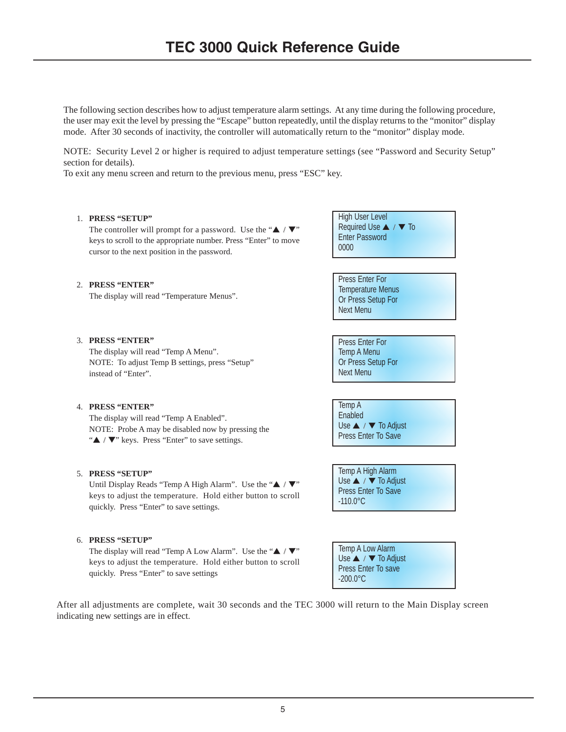The following section describes how to adjust temperature alarm settings. At any time during the following procedure, the user may exit the level by pressing the "Escape" button repeatedly, until the display returns to the "monitor" display mode. After 30 seconds of inactivity, the controller will automatically return to the "monitor" display mode.

NOTE: Security Level 2 or higher is required to adjust temperature settings (see "Password and Security Setup" section for details).

To exit any menu screen and return to the previous menu, press "ESC" key.

### 1. **PRESS "SETUP"**

The controller will prompt for a password. Use the " $\blacktriangle$  / $\nabla$ " keys to scroll to the appropriate number. Press "Enter" to move cursor to the next position in the password.

| <b>High User Level</b> |                       |  |
|------------------------|-----------------------|--|
|                        | Required Use ▲ / ▼ To |  |
| <b>Enter Password</b>  |                       |  |
| 0000 <sup>°</sup>      |                       |  |
|                        |                       |  |

Press Enter For Temperature Menus Or Press Setup For Next Menu

Press Enter For Temp A Menu Or Press Setup For Next Menu

Temp A Enabled Use **▲** / ▼ To Adjust Press Enter To Save

Temp A High Alarm Use ▲ / ▼ To Adjust Press Enter To Save -110.0°C

Temp A Low Alarm Use ▲ / ▼ To Adjust Press Enter To save -200.0°C

# 2. **PRESS "ENTER"**

The display will read "Temperature Menus".

# 3. **PRESS "ENTER"**

The display will read "Temp A Menu". NOTE: To adjust Temp B settings, press "Setup" instead of "Enter".

# 4. **PRESS "ENTER"**

The display will read "Temp A Enabled". NOTE: Probe A may be disabled now by pressing the "▲ / ▼" keys. Press "Enter" to save settings.

# 5. **PRESS "SETUP"**

Until Display Reads "Temp A High Alarm". Use the "▲ / ▼" keys to adjust the temperature. Hold either button to scroll quickly. Press "Enter" to save settings.

# 6. **PRESS "SETUP"**

The display will read "Temp A Low Alarm". Use the " $\blacktriangle$  /  $\nabla$ " keys to adjust the temperature. Hold either button to scroll quickly. Press "Enter" to save settings

After all adjustments are complete, wait 30 seconds and the TEC 3000 will return to the Main Display screen indicating new settings are in effect.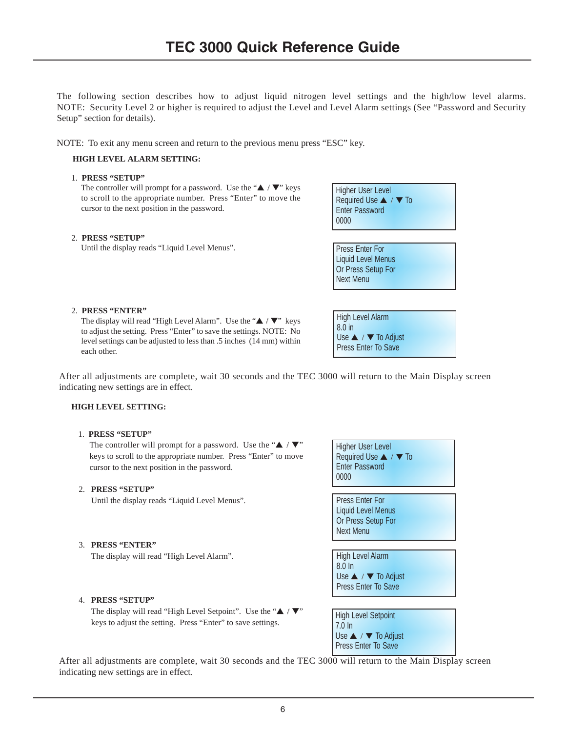The following section describes how to adjust liquid nitrogen level settings and the high/low level alarms. NOTE: Security Level 2 or higher is required to adjust the Level and Level Alarm settings (See "Password and Security Setup" section for details).

NOTE: To exit any menu screen and return to the previous menu press "ESC" key.

### **HIGH LEVEL ALARM SETTING:**

### 1. **PRESS "SETUP"**

The controller will prompt for a password. Use the " $\blacktriangle$  /  $\nabla$ " keys to scroll to the appropriate number. Press "Enter" to move the cursor to the next position in the password.

#### 2. **PRESS "SETUP"**

Until the display reads "Liquid Level Menus".



Press Enter For Liquid Level Menus Or Press Setup For Next Menu

### 2. **PRESS "ENTER"**

The display will read "High Level Alarm". Use the "▲ / ▼" keys to adjust the setting. Press "Enter" to save the settings. NOTE: No level settings can be adjusted to less than .5 inches (14 mm) within each other.

| <b>High Level Alarm</b>              |
|--------------------------------------|
| 8.0 in                               |
| Use $\triangle$ / $\nabla$ To Adjust |
| <b>Press Enter To Save</b>           |

After all adjustments are complete, wait 30 seconds and the TEC 3000 will return to the Main Display screen indicating new settings are in effect.

#### **HIGH LEVEL SETTING:**

#### 1. **PRESS "SETUP"**

The controller will prompt for a password. Use the " $\blacktriangle$  / $\nabla$ " keys to scroll to the appropriate number. Press "Enter" to move cursor to the next position in the password.

### 2. **PRESS "SETUP"**

Until the display reads "Liquid Level Menus".

3. **PRESS "ENTER"**

The display will read "High Level Alarm".

#### 4. **PRESS "SETUP"**

The display will read "High Level Setpoint". Use the " $\blacktriangle$  / $\nabla$ " keys to adjust the setting. Press "Enter" to save settings.

| Higher User Level<br>Required Use ▲ / ▼ To<br><b>Enter Password</b><br>0000                   |
|-----------------------------------------------------------------------------------------------|
| <b>Press Enter For</b><br><b>Liquid Level Menus</b><br>Or Press Setup For<br><b>Next Menu</b> |
| High Level Alarm<br>$8.0 \ln$<br>Use ▲ / ▼ To Adjust<br><b>Press Enter To Save</b>            |
| <b>High Level Setpoint</b><br>$7.0 \ln$<br>Use ▲ / ▼ To Adjust<br><b>Press Enter To Save</b>  |

After all adjustments are complete, wait 30 seconds and the TEC 3000 will return to the Main Display screen indicating new settings are in effect.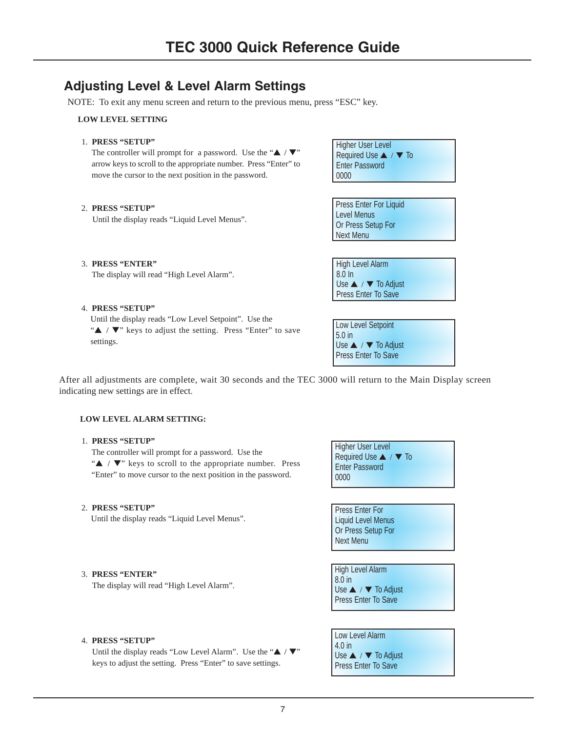# **Adjusting Level & Level Alarm Settings**

NOTE: To exit any menu screen and return to the previous menu, press "ESC" key.

### **LOW LEVEL SETTING**

1. **PRESS "SETUP"**

The controller will prompt for a password. Use the " $\blacktriangle$  / $\nabla$ " arrow keys to scroll to the appropriate number. Press "Enter" to move the cursor to the next position in the password.

#### 2. **PRESS "SETUP"**

Until the display reads "Liquid Level Menus".

| Higher User Level     |
|-----------------------|
| Required Use ▲ / ▼ To |
| <b>Enter Password</b> |
| $\mid 0000$           |

Press Enter For Liquid Level Menus Or Press Setup For Next Menu

High Level Alarm  $8.\overline{0}$  In Use ▲ / ▼ To Adjust Press Enter To Save

The display will read "High Level Alarm".

4. **PRESS "SETUP"**

3. **PRESS "ENTER"**

Until the display reads "Low Level Setpoint". Use the "▲ / ▼" keys to adjust the setting. Press "Enter" to save settings.

| Low Level Setpoint<br>5.0 in<br>Use ▲ / ▼ To Adjust<br>Press Enter To Save |
|----------------------------------------------------------------------------|
|                                                                            |
|                                                                            |
|                                                                            |

After all adjustments are complete, wait 30 seconds and the TEC 3000 will return to the Main Display screen indicating new settings are in effect.

#### **LOW LEVEL ALARM SETTING:**

1. **PRESS "SETUP"**

The controller will prompt for a password. Use the "▲ / ▼" keys to scroll to the appropriate number. Press "Enter" to move cursor to the next position in the password.

# 2. **PRESS "SETUP"**

Until the display reads "Liquid Level Menus".

The display will read "High Level Alarm".



Press Enter For Liquid Level Menus Or Press Setup For Next Menu

| <b>High Level Alarm</b>              |
|--------------------------------------|
| 8.0 <sub>in</sub>                    |
| Use $\triangle$ / $\nabla$ To Adjust |
| Press Enter To Save                  |

# 4. **PRESS "SETUP"**

3. **PRESS "ENTER"**

Until the display reads "Low Level Alarm". Use the " $\blacktriangle$  / $\nabla$ " keys to adjust the setting. Press "Enter" to save settings.

Low Level Alarm 4.0 in Use **▲** / ▼ To Adjust Press Enter To Save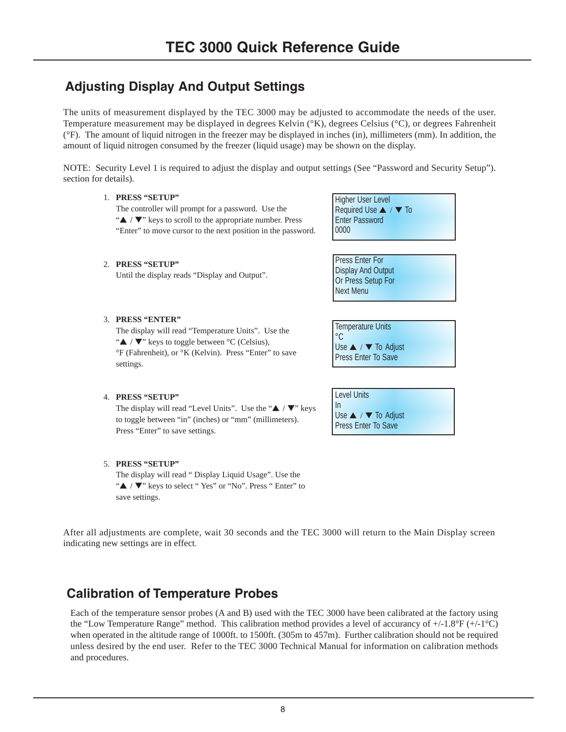# **Adjusting Display And Output Settings**

The units of measurement displayed by the TEC 3000 may be adjusted to accommodate the needs of the user. Temperature measurement may be displayed in degrees Kelvin (°K), degrees Celsius (°C), or degrees Fahrenheit (°F). The amount of liquid nitrogen in the freezer may be displayed in inches (in), millimeters (mm). In addition, the amount of liquid nitrogen consumed by the freezer (liquid usage) may be shown on the display.

NOTE: Security Level 1 is required to adjust the display and output settings (See "Password and Security Setup"). section for details).

### 1. **PRESS "SETUP"**

The controller will prompt for a password. Use the "▲ / ▼" keys to scroll to the appropriate number. Press "Enter" to move cursor to the next position in the password.

# Higher User Level Required Use ▲ / ▼ To Enter Password 0000

Press Enter For Display And Output Or Press Setup For Next Menu

# 3. **PRESS "ENTER"**

2. **PRESS "SETUP"**

The display will read "Temperature Units". Use the " $\blacktriangle$  /  $\nabla$ " keys to toggle between °C (Celsius), °F (Fahrenheit), or °K (Kelvin). Press "Enter" to save settings.

Until the display reads "Display and Output".

 $^{\circ}$ C Use **▲ / ▼ To Adjust** Press Enter To Save

Use ▲ / ▼ To Adjust Press Enter To Save

Temperature Units

Level Units In

# 4. **PRESS "SETUP"**

The display will read "Level Units". Use the "▲ / ▼" keys to toggle between "in" (inches) or "mm" (millimeters). Press "Enter" to save settings.

# 5. **PRESS "SETUP"**

The display will read " Display Liquid Usage". Use the "▲ / ▼" keys to select " Yes" or "No". Press " Enter" to save settings.

After all adjustments are complete, wait 30 seconds and the TEC 3000 will return to the Main Display screen indicating new settings are in effect.

# **Calibration of Temperature Probes**

Each of the temperature sensor probes (A and B) used with the TEC 3000 have been calibrated at the factory using the "Low Temperature Range" method. This calibration method provides a level of accurancy of +/-1.8°F (+/-1°C) when operated in the altitude range of 1000ft. to 1500ft. (305m to 457m). Further calibration should not be required unless desired by the end user. Refer to the TEC 3000 Technical Manual for information on calibration methods and procedures.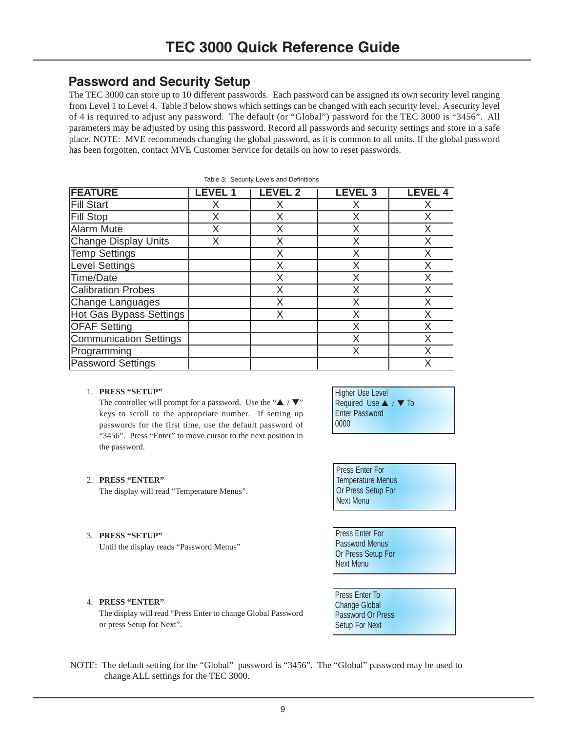# **Password and Security Setup**

The TEC 3000 can store up to 10 different passwords. Each password can be assigned its own security level ranging from Level 1 to Level 4. Table 3 below shows which settings can be changed with each security level. A security level of 4 is required to adjust any password. The default (or "Global") password for the TEC 3000 is "3456". All parameters may be adjusted by using this password. Record all passwords and security settings and store in a safe place. NOTE: MVE recommends changing the global password, as it is common to all units. If the global password has been forgotten, contact MVE Customer Service for details on how to reset passwords.

| <b>FEATURE</b>                 | LEVEL 1 | <b>LEVEL 2</b> | <b>LEVEL 3</b> | <b>LEVEL 4</b> |
|--------------------------------|---------|----------------|----------------|----------------|
| <b>Fill Start</b>              | X       | X              | X              | Χ              |
| <b>Fill Stop</b>               | Χ       | Χ              | Χ              | X              |
| Alarm Mute                     | Χ       | Χ              | Χ              | Χ              |
| <b>Change Display Units</b>    | Χ       | X              | X              | X              |
| Temp Settings                  |         | Χ              | Χ              | Χ              |
| <b>Level Settings</b>          |         | Χ              | Χ              | X              |
| Time/Date                      |         | Χ              | Χ              | Χ              |
| Calibration Probes             |         | Χ              | Χ              | Χ              |
| Change Languages               |         | Χ              | Χ              | Χ              |
| <b>Hot Gas Bypass Settings</b> |         | X              | Χ              | Χ              |
| <b>OFAF Setting</b>            |         |                | Χ              | Χ              |
| <b>Communication Settings</b>  |         |                | Χ              | Χ              |
| Programming                    |         |                | Χ              | Χ              |
| <b>Password Settings</b>       |         |                |                | Χ              |

#### Table 3: Security Levels and Definitions

# 1. **PRESS "SETUP"**

The controller will prompt for a password. Use the " $\blacktriangle$  / $\nabla$ " keys to scroll to the appropriate number. If setting up passwords for the first time, use the default password of "3456". Press "Enter" to move cursor to the next position in the password.

# Higher Use Level Required Use ▲ / ▼ To Enter Password 0000

#### 2. **PRESS "ENTER"**

The display will read "Temperature Menus".

#### 3. **PRESS "SETUP"**

Until the display reads "Password Menus"

Press Enter For Temperature Menus Or Press Setup For Next Menu

Press Enter For Password Menus Or Press Setup For Next Menu

#### 4. **PRESS "ENTER"**

The display will read "Press Enter to change Global Password or press Setup for Next".

# NOTE: The default setting for the "Global" password is "3456". The "Global" password may be used to change ALL settings for the TEC 3000.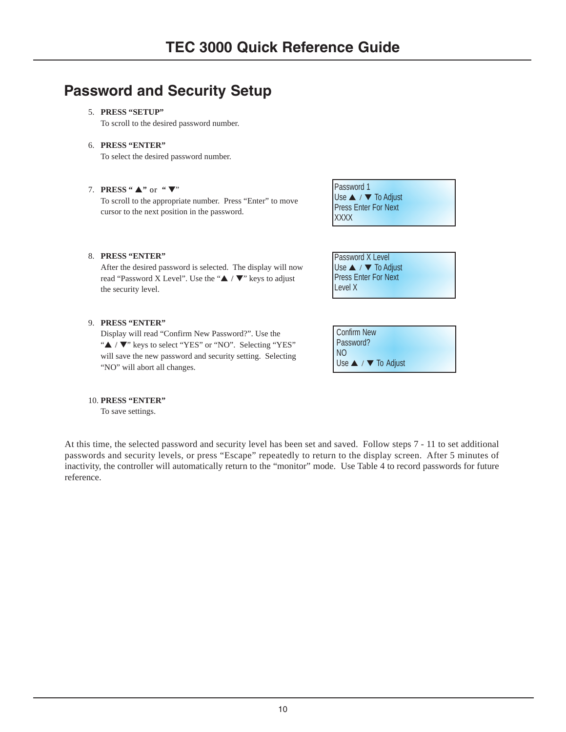# **Password and Security Setup**

# 5. **PRESS "SETUP"**

To scroll to the desired password number.

6. **PRESS "ENTER"**

To select the desired password number.

# 7. **PRESS "** ▲**"** or **"** ▼"

To scroll to the appropriate number. Press "Enter" to move cursor to the next position in the password.

Password 1 Use ▲ / ▼ To Adjust Press Enter For Next **XXXX** 

Password X Level Use ▲ / ▼ To Adjust Press Enter For Next

Level X

# 8. **PRESS "ENTER"**

After the desired password is selected. The display will now read "Password X Level". Use the "▲ / ▼" keys to adjust the security level.

# 9. **PRESS "ENTER"**

Display will read "Confirm New Password?". Use the "▲ / ▼" keys to select "YES" or "NO". Selecting "YES" will save the new password and security setting. Selecting "NO" will abort all changes.

| Confirm New                          |
|--------------------------------------|
| Password?                            |
| N <sub>O</sub>                       |
| Use $\triangle$ / $\nabla$ To Adjust |

#### 10. **PRESS "ENTER"**

To save settings.

At this time, the selected password and security level has been set and saved. Follow steps 7 - 11 to set additional passwords and security levels, or press "Escape" repeatedly to return to the display screen. After 5 minutes of inactivity, the controller will automatically return to the "monitor" mode. Use Table 4 to record passwords for future reference.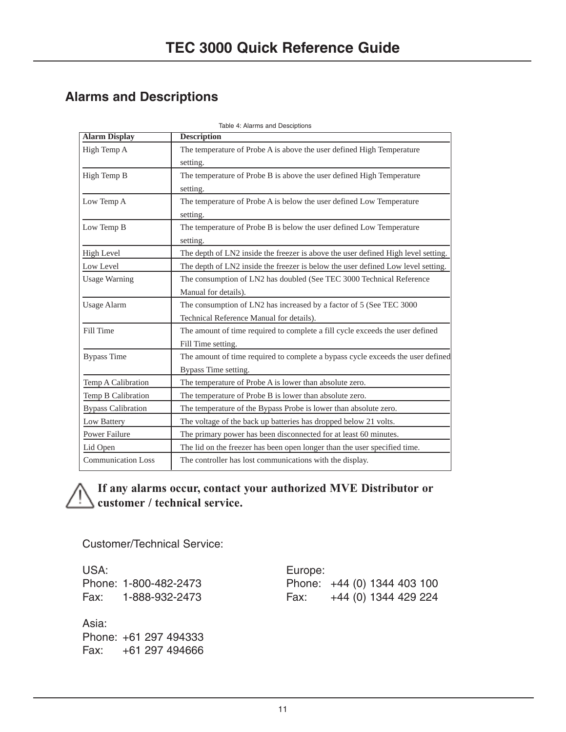# **Alarms and Descriptions**

| <b>Alarm Display</b>      | <b>Description</b>                                                                |
|---------------------------|-----------------------------------------------------------------------------------|
| High Temp A               | The temperature of Probe A is above the user defined High Temperature             |
|                           | setting.                                                                          |
| High Temp B               | The temperature of Probe B is above the user defined High Temperature             |
|                           | setting.                                                                          |
| Low Temp A                | The temperature of Probe A is below the user defined Low Temperature              |
|                           | setting.                                                                          |
| Low Temp B                | The temperature of Probe B is below the user defined Low Temperature              |
|                           | setting.                                                                          |
| <b>High Level</b>         | The depth of LN2 inside the freezer is above the user defined High level setting. |
| Low Level                 | The depth of LN2 inside the freezer is below the user defined Low level setting.  |
| <b>Usage Warning</b>      | The consumption of LN2 has doubled (See TEC 3000 Technical Reference              |
|                           | Manual for details).                                                              |
| <b>Usage Alarm</b>        | The consumption of LN2 has increased by a factor of 5 (See TEC 3000)              |
|                           | Technical Reference Manual for details).                                          |
| Fill Time                 | The amount of time required to complete a fill cycle exceeds the user defined     |
|                           | Fill Time setting.                                                                |
| <b>Bypass Time</b>        | The amount of time required to complete a bypass cycle exceeds the user defined   |
|                           | Bypass Time setting.                                                              |
| Temp A Calibration        | The temperature of Probe A is lower than absolute zero.                           |
| Temp B Calibration        | The temperature of Probe B is lower than absolute zero.                           |
| <b>Bypass Calibration</b> | The temperature of the Bypass Probe is lower than absolute zero.                  |
| Low Battery               | The voltage of the back up batteries has dropped below 21 volts.                  |
| <b>Power Failure</b>      | The primary power has been disconnected for at least 60 minutes.                  |
| Lid Open                  | The lid on the freezer has been open longer than the user specified time.         |
| <b>Communication Loss</b> | The controller has lost communications with the display.                          |

Table 4: Alarms and Desciptions

# **If any alarms occur, contact your authorized MVE Distributor or customer / technical service.**

Customer/Technical Service:

USA: Europe: Phone: 1-800-482-2473 Fax: 1-888-932-2473

Asia: Phone: +61 297 494333 Fax: +61 297 494666

| Europe:                     |  |                      |  |
|-----------------------------|--|----------------------|--|
| Phone: +44 (0) 1344 403 100 |  |                      |  |
| Fax:                        |  | +44 (0) 1344 429 224 |  |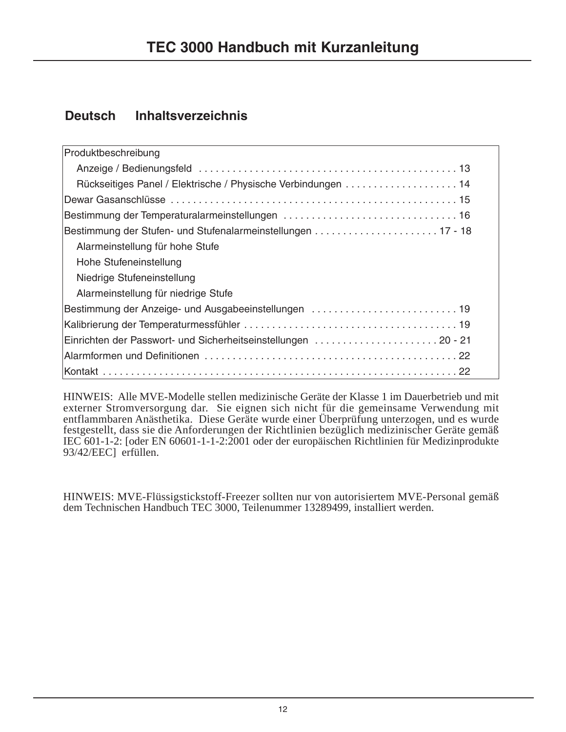# **Deutsch Inhaltsverzeichnis**

| Produktbeschreibung                                           |
|---------------------------------------------------------------|
|                                                               |
| Rückseitiges Panel / Elektrische / Physische Verbindungen 14  |
|                                                               |
|                                                               |
| Bestimmung der Stufen- und Stufenalarmeinstellungen  17 - 18  |
| Alarmeinstellung für hohe Stufe                               |
| Hohe Stufeneinstellung                                        |
| Niedrige Stufeneinstellung                                    |
| Alarmeinstellung für niedrige Stufe                           |
| Bestimmung der Anzeige- und Ausgabeeinstellungen  19          |
|                                                               |
| Einrichten der Passwort- und Sicherheitseinstellungen 20 - 21 |
|                                                               |
|                                                               |

HINWEIS: Alle MVE-Modelle stellen medizinische Geräte der Klasse 1 im Dauerbetrieb und mit externer Stromversorgung dar. Sie eignen sich nicht für die gemeinsame Verwendung mit entflammbaren Anästhetika. Diese Geräte wurde einer Überprüfung unterzogen, und es wurde festgestellt, dass sie die Anforderungen der Richtlinien bezüglich medizinischer Geräte gemäß IEC 601-1-2: [oder EN 60601-1-1-2:2001 oder der europäischen Richtlinien für Medizinprodukte 93/42/EEC] erfüllen.

HINWEIS: MVE-Flüssigstickstoff-Freezer sollten nur von autorisiertem MVE-Personal gemäß dem Technischen Handbuch TEC 3000, Teilenummer 13289499, installiert werden.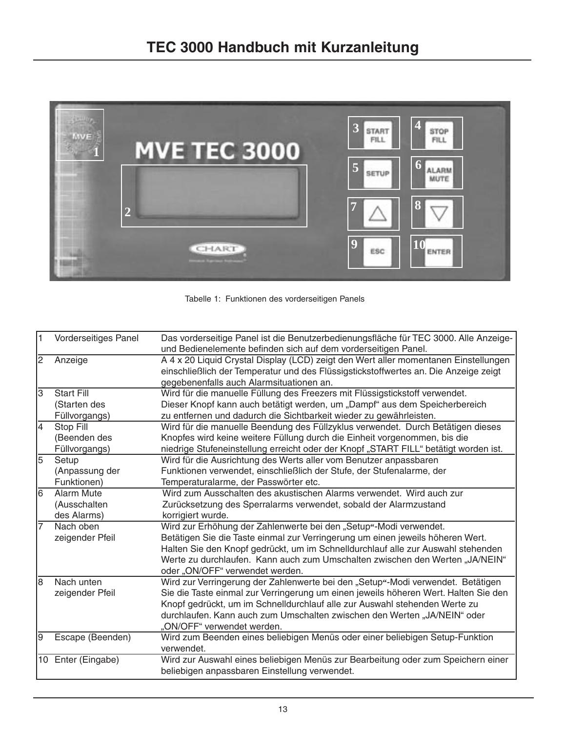

Tabelle 1: Funktionen des vorderseitigen Panels

| $\vert$ 1      | Vorderseitiges Panel | Das vorderseitige Panel ist die Benutzerbedienungsfläche für TEC 3000. Alle Anzeige-<br>und Bedienelemente befinden sich auf dem vorderseitigen Panel.                                                                 |
|----------------|----------------------|------------------------------------------------------------------------------------------------------------------------------------------------------------------------------------------------------------------------|
| 2              | Anzeige              | A 4 x 20 Liquid Crystal Display (LCD) zeigt den Wert aller momentanen Einstellungen<br>einschließlich der Temperatur und des Flüssigstickstoffwertes an. Die Anzeige zeigt<br>gegebenenfalls auch Alarmsituationen an. |
| $\overline{3}$ | <b>Start Fill</b>    | Wird für die manuelle Füllung des Freezers mit Flüssigstickstoff verwendet.                                                                                                                                            |
|                | (Starten des         | Dieser Knopf kann auch betätigt werden, um "Dampf" aus dem Speicherbereich                                                                                                                                             |
|                | Füllvorgangs)        | zu entfernen und dadurch die Sichtbarkeit wieder zu gewährleisten.                                                                                                                                                     |
| 4              | Stop Fill            | Wird für die manuelle Beendung des Füllzyklus verwendet. Durch Betätigen dieses                                                                                                                                        |
|                | (Beenden des         | Knopfes wird keine weitere Füllung durch die Einheit vorgenommen, bis die                                                                                                                                              |
|                | Füllvorgangs)        | niedrige Stufeneinstellung erreicht oder der Knopf "START FILL" betätigt worden ist.                                                                                                                                   |
| $\overline{5}$ | Setup                | Wird für die Ausrichtung des Werts aller vom Benutzer anpassbaren                                                                                                                                                      |
|                | (Anpassung der       | Funktionen verwendet, einschließlich der Stufe, der Stufenalarme, der                                                                                                                                                  |
|                | Funktionen)          | Temperaturalarme, der Passwörter etc.                                                                                                                                                                                  |
| 6              | <b>Alarm Mute</b>    | Wird zum Ausschalten des akustischen Alarms verwendet. Wird auch zur                                                                                                                                                   |
|                | (Ausschalten         | Zurücksetzung des Sperralarms verwendet, sobald der Alarmzustand                                                                                                                                                       |
|                | des Alarms)          | korrigiert wurde.                                                                                                                                                                                                      |
| 17             | Nach oben            | Wird zur Erhöhung der Zahlenwerte bei den "Setup"-Modi verwendet.                                                                                                                                                      |
|                | zeigender Pfeil      | Betätigen Sie die Taste einmal zur Verringerung um einen jeweils höheren Wert.                                                                                                                                         |
|                |                      | Halten Sie den Knopf gedrückt, um im Schnelldurchlauf alle zur Auswahl stehenden                                                                                                                                       |
|                |                      | Werte zu durchlaufen. Kann auch zum Umschalten zwischen den Werten "JA/NEIN"                                                                                                                                           |
|                |                      | oder "ON/OFF" verwendet werden.                                                                                                                                                                                        |
| 8              | Nach unten           | Wird zur Verringerung der Zahlenwerte bei den "Setup"-Modi verwendet. Betätigen                                                                                                                                        |
|                | zeigender Pfeil      | Sie die Taste einmal zur Verringerung um einen jeweils höheren Wert. Halten Sie den                                                                                                                                    |
|                |                      | Knopf gedrückt, um im Schnelldurchlauf alle zur Auswahl stehenden Werte zu                                                                                                                                             |
|                |                      | durchlaufen. Kann auch zum Umschalten zwischen den Werten "JA/NEIN" oder                                                                                                                                               |
|                |                      | "ON/OFF" verwendet werden.                                                                                                                                                                                             |
| l9             | Escape (Beenden)     | Wird zum Beenden eines beliebigen Menüs oder einer beliebigen Setup-Funktion<br>verwendet.                                                                                                                             |
|                | 10 Enter (Eingabe)   | Wird zur Auswahl eines beliebigen Menüs zur Bearbeitung oder zum Speichern einer<br>beliebigen anpassbaren Einstellung verwendet.                                                                                      |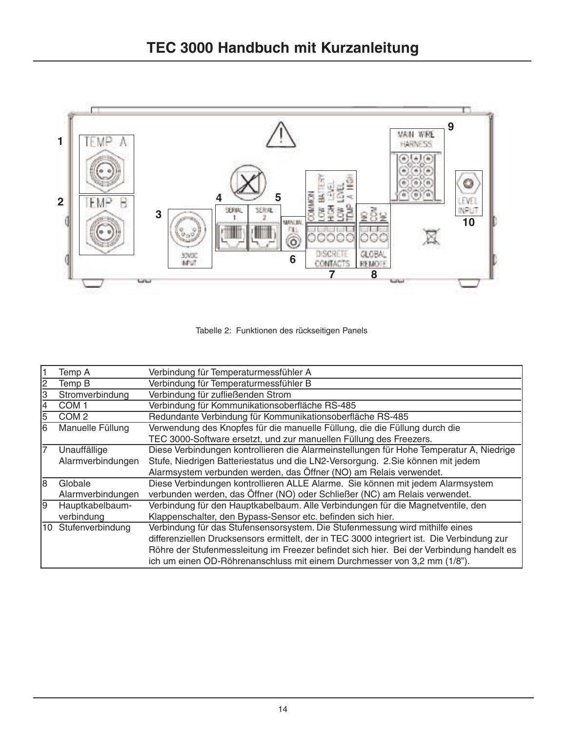



| Temp A              | Verbindung für Temperaturmessfühler A                                                      |
|---------------------|--------------------------------------------------------------------------------------------|
| Temp B              | Verbindung für Temperaturmessfühler B                                                      |
| Stromverbindung     | Verbindung für zufließenden Strom                                                          |
| COM 1               | Verbindung für Kommunikationsoberfläche RS-485                                             |
| COM <sub>2</sub>    | Redundante Verbindung für Kommunikationsoberfläche RS-485                                  |
| Manuelle Füllung    | Verwendung des Knopfes für die manuelle Füllung, die die Füllung durch die                 |
|                     | TEC 3000-Software ersetzt, und zur manuellen Füllung des Freezers.                         |
| Unauffällige        | Diese Verbindungen kontrollieren die Alarmeinstellungen für Hohe Temperatur A, Niedrige    |
| Alarmverbindungen   | Stufe, Niedrigen Batteriestatus und die LN2-Versorgung. 2.Sie können mit jedem             |
|                     | Alarmsystem verbunden werden, das Öffner (NO) am Relais verwendet.                         |
| Globale             | Diese Verbindungen kontrollieren ALLE Alarme. Sie können mit jedem Alarmsystem             |
| Alarmverbindungen   | verbunden werden, das Öffner (NO) oder Schließer (NC) am Relais verwendet.                 |
| Hauptkabelbaum-     | Verbindung für den Hauptkabelbaum. Alle Verbindungen für die Magnetventile, den            |
| verbindung          | Klappenschalter, den Bypass-Sensor etc. befinden sich hier.                                |
| 10 Stufenverbindung | Verbindung für das Stufensensorsystem. Die Stufenmessung wird mithilfe eines               |
|                     | differenziellen Drucksensors ermittelt, der in TEC 3000 integriert ist. Die Verbindung zur |
|                     | Röhre der Stufenmessleitung im Freezer befindet sich hier. Bei der Verbindung handelt es   |
|                     | ich um einen OD-Röhrenanschluss mit einem Durchmesser von 3,2 mm (1/8").                   |
|                     |                                                                                            |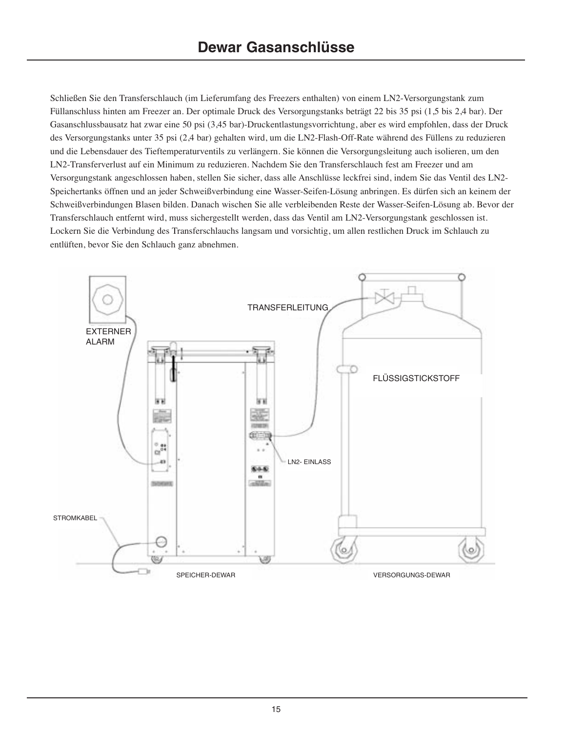Schließen Sie den Transferschlauch (im Lieferumfang des Freezers enthalten) von einem LN2-Versorgungstank zum Füllanschluss hinten am Freezer an. Der optimale Druck des Versorgungstanks beträgt 22 bis 35 psi (1,5 bis 2,4 bar). Der Gasanschlussbausatz hat zwar eine 50 psi (3,45 bar)-Druckentlastungsvorrichtung, aber es wird empfohlen, dass der Druck des Versorgungstanks unter 35 psi (2,4 bar) gehalten wird, um die LN2-Flash-Off-Rate während des Füllens zu reduzieren und die Lebensdauer des Tieftemperaturventils zu verlängern. Sie können die Versorgungsleitung auch isolieren, um den LN2-Transferverlust auf ein Minimum zu reduzieren. Nachdem Sie den Transferschlauch fest am Freezer und am Versorgungstank angeschlossen haben, stellen Sie sicher, dass alle Anschlüsse leckfrei sind, indem Sie das Ventil des LN2- Speichertanks öffnen und an jeder Schweißverbindung eine Wasser-Seifen-Lösung anbringen. Es dürfen sich an keinem der Schweißverbindungen Blasen bilden. Danach wischen Sie alle verbleibenden Reste der Wasser-Seifen-Lösung ab. Bevor der Transferschlauch entfernt wird, muss sichergestellt werden, dass das Ventil am LN2-Versorgungstank geschlossen ist. Lockern Sie die Verbindung des Transferschlauchs langsam und vorsichtig, um allen restlichen Druck im Schlauch zu entlüften, bevor Sie den Schlauch ganz abnehmen.

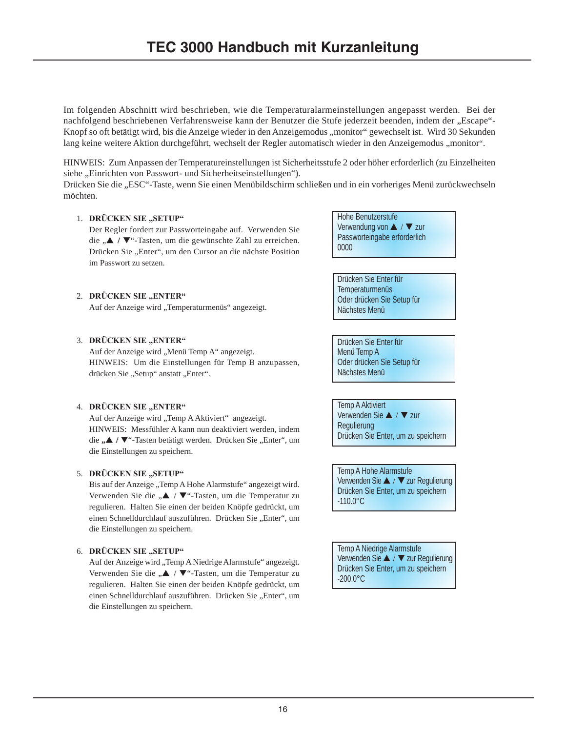Im folgenden Abschnitt wird beschrieben, wie die Temperaturalarmeinstellungen angepasst werden. Bei der nachfolgend beschriebenen Verfahrensweise kann der Benutzer die Stufe jederzeit beenden, indem der "Escape"-Knopf so oft betätigt wird, bis die Anzeige wieder in den Anzeigemodus "monitor" gewechselt ist. Wird 30 Sekunden lang keine weitere Aktion durchgeführt, wechselt der Regler automatisch wieder in den Anzeigemodus "monitor".

HINWEIS: Zum Anpassen der Temperatureinstellungen ist Sicherheitsstufe 2 oder höher erforderlich (zu Einzelheiten siehe "Einrichten von Passwort- und Sicherheitseinstellungen").

Drücken Sie die "ESC"-Taste, wenn Sie einen Menübildschirm schließen und in ein vorheriges Menü zurückwechseln möchten.

# 1. DRÜCKEN SIE "SETUP"

Der Regler fordert zur Passworteingabe auf. Verwenden Sie die "**▲ / ▼**"-Tasten, um die gewünschte Zahl zu erreichen. Drücken Sie "Enter", um den Cursor an die nächste Position im Passwort zu setzen.

Hohe Benutzerstufe Verwendung von ▲ / ▼ zur Passworteingabe erforderlich 0000

Drücken Sie Enter für Temperaturmenüs Oder drücken Sie Setup für Nächstes Menü

Drücken Sie Enter für Menü Temp A Oder drücken Sie Setup für Nächstes Menü

Temp A Aktiviert Verwenden Sie ▲ / ▼ zur Regulierung Drücken Sie Enter, um zu speichern

Temp A Hohe Alarmstufe Verwenden Sie ▲ / ▼ zur Regulierung Drücken Sie Enter, um zu speichern -110.0°C

Temp A Niedrige Alarmstufe Verwenden Sie ▲ / ▼ zur Regulierung Drücken Sie Enter, um zu speichern -200.0°C

# 2. DRÜCKEN SIE "ENTER"

Auf der Anzeige wird "Temperaturmenüs" angezeigt.

# 3. DRÜCKEN SIE "ENTER"

Auf der Anzeige wird "Menü Temp A" angezeigt. HINWEIS: Um die Einstellungen für Temp B anzupassen, drücken Sie "Setup" anstatt "Enter".

# 4. **DRÜCKEN SIE "ENTER"**

Auf der Anzeige wird "Temp A Aktiviert" angezeigt. HINWEIS: Messfühler A kann nun deaktiviert werden, indem die "**A** / ▼"-Tasten betätigt werden. Drücken Sie "Enter", um die Einstellungen zu speichern.

# 5. **DRÜCKEN SIE "SETUP"**

Bis auf der Anzeige "Temp A Hohe Alarmstufe" angezeigt wird. Verwenden Sie die "▲ / ▼"-Tasten, um die Temperatur zu regulieren. Halten Sie einen der beiden Knöpfe gedrückt, um einen Schnelldurchlauf auszuführen. Drücken Sie "Enter", um die Einstellungen zu speichern.

# 6. **DRÜCKEN SIE "SETUP"**

Auf der Anzeige wird "Temp A Niedrige Alarmstufe" angezeigt. Verwenden Sie die "▲ / ▼"-Tasten, um die Temperatur zu regulieren. Halten Sie einen der beiden Knöpfe gedrückt, um einen Schnelldurchlauf auszuführen. Drücken Sie "Enter", um die Einstellungen zu speichern.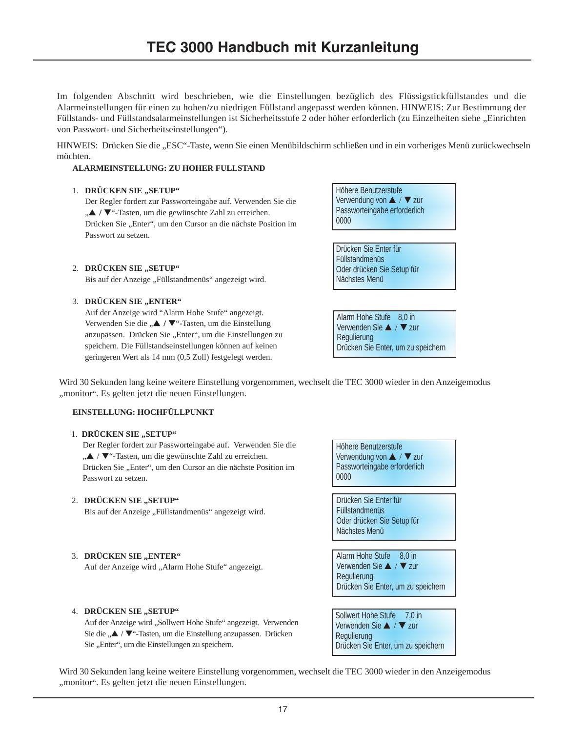Im folgenden Abschnitt wird beschrieben, wie die Einstellungen bezüglich des Flüssigstickfüllstandes und die Alarmeinstellungen für einen zu hohen/zu niedrigen Füllstand angepasst werden können. HINWEIS: Zur Bestimmung der Füllstands- und Füllstandsalarmeinstellungen ist Sicherheitsstufe 2 oder höher erforderlich (zu Einzelheiten siehe "Einrichten von Passwort- und Sicherheitseinstellungen").

HINWEIS: Drücken Sie die "ESC"-Taste, wenn Sie einen Menübildschirm schließen und in ein vorheriges Menü zurückwechseln möchten.

### **ALARMEINSTELLUNG: ZU HOHER FÜLLSTAND**

### 1. **DRÜCKEN SIE ..SETUP**"

Der Regler fordert zur Passworteingabe auf. Verwenden Sie die "▲ / ▼"-Tasten, um die gewünschte Zahl zu erreichen. Drücken Sie "Enter", um den Cursor an die nächste Position im Passwort zu setzen.

#### 2. DRÜCKEN SIE "SETUP"

Bis auf der Anzeige "Füllstandmenüs" angezeigt wird.

#### 3. DRÜCKEN SIE "ENTER"

Auf der Anzeige wird "Alarm Hohe Stufe" angezeigt. Verwenden Sie die "▲ / ▼"-Tasten, um die Einstellung anzupassen. Drücken Sie "Enter", um die Einstellungen zu speichern. Die Füllstandseinstellungen können auf keinen geringeren Wert als 14 mm (0,5 Zoll) festgelegt werden.

Höhere Benutzerstufe Verwendung von ▲ / ▼ zur Passworteingabe erforderlich 0000

Drücken Sie Enter für Füllstandmenüs Oder drücken Sie Setup für Nächstes Menü

Alarm Hohe Stufe 8.0 in Verwenden Sie ▲ / ▼ zur Regulierung Drücken Sie Enter, um zu speichern

Wird 30 Sekunden lang keine weitere Einstellung vorgenommen, wechselt die TEC 3000 wieder in den Anzeigemodus "monitor". Es gelten jetzt die neuen Einstellungen.

### **EINSTELLUNG: HOCHFÜLLPUNKT**

#### 1. **DRÜCKEN SIE "SETUP"**

Der Regler fordert zur Passworteingabe auf. Verwenden Sie die "▲ / ▼"-Tasten, um die gewünschte Zahl zu erreichen. Drücken Sie "Enter", um den Cursor an die nächste Position im Passwort zu setzen.

#### 2. **DRÜCKEN SIE ..SETUP**"

Bis auf der Anzeige "Füllstandmenüs" angezeigt wird.

# 3. **DRÜCKEN SIE ..ENTER"**

Auf der Anzeige wird "Alarm Hohe Stufe" angezeigt.

# 4. **DRÜCKEN SIE "SETUP"**

Auf der Anzeige wird "Sollwert Hohe Stufe" angezeigt. Verwenden Sie die "▲ / ▼"-Tasten, um die Einstellung anzupassen. Drücken Sie "Enter", um die Einstellungen zu speichern.

Höhere Benutzerstufe Verwendung von ▲ / ▼ zur Passworteingabe erforderlich 0000 Drücken Sie Enter für Füllstandmenüs Oder drücken Sie Setup für Nächstes Menü Alarm Hohe Stufe 8,0 in Verwenden Sie ▲ / ▼ zur Regulierung Drücken Sie Enter, um zu speichern

Sollwert Hohe Stufe 7.0 in Verwenden Sie ▲ / ▼ zur Regulierung Drücken Sie Enter, um zu speichern

Wird 30 Sekunden lang keine weitere Einstellung vorgenommen, wechselt die TEC 3000 wieder in den Anzeigemodus "monitor". Es gelten jetzt die neuen Einstellungen.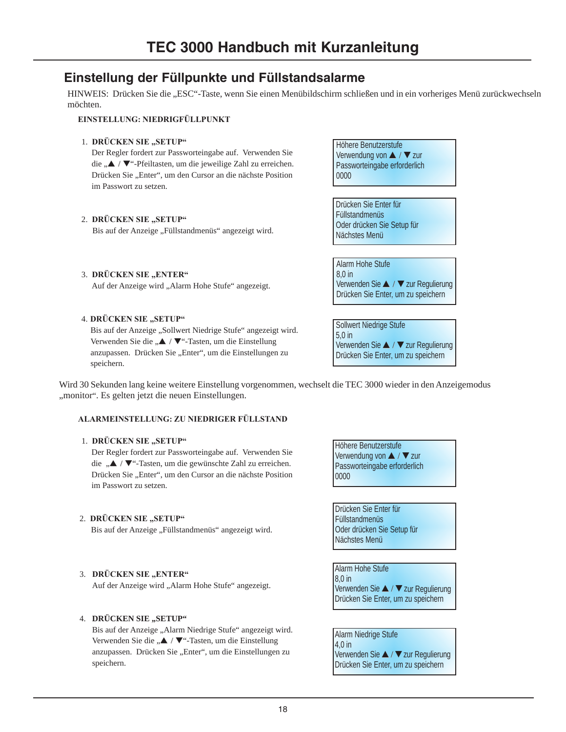# **Einstellung der Füllpunkte und Füllstandsalarme**

HINWEIS: Drücken Sie die "ESC"-Taste, wenn Sie einen Menübildschirm schließen und in ein vorheriges Menü zurückwechseln möchten.

### **EINSTELLUNG: NIEDRIGFÜLLPUNKT**

# 1. **DRÜCKEN SIE "SETUP"**

Der Regler fordert zur Passworteingabe auf. Verwenden Sie die "▲ / ▼"-Pfeiltasten, um die jeweilige Zahl zu erreichen. Drücken Sie "Enter", um den Cursor an die nächste Position im Passwort zu setzen.

### 2. **DRÜCKEN SIE** "SETUP"

3. **DRÜCKEN SIE** "ENTER"

Bis auf der Anzeige "Füllstandmenüs" angezeigt wird.

Auf der Anzeige wird "Alarm Hohe Stufe" angezeigt.

Höhere Benutzerstufe Verwendung von ▲ / ▼ zur Passworteingabe erforderlich 0000

Drücken Sie Enter für Füllstandmenüs Oder drücken Sie Setup für Nächstes Menü

Alarm Hohe Stufe 8,0 in Verwenden Sie ▲ / ▼ zur Regulierung Drücken Sie Enter, um zu speichern

4. **DRÜCKEN SIE** "SETUP" Bis auf der Anzeige "Sollwert Niedrige Stufe" angezeigt wird. Verwenden Sie die "▲ / ▼"-Tasten, um die Einstellung anzupassen. Drücken Sie "Enter", um die Einstellungen zu speichern.

Sollwert Niedrige Stufe 5,0 in Verwenden Sie ▲ / ▼ zur Regulierung Drücken Sie Enter, um zu speichern

Wird 30 Sekunden lang keine weitere Einstellung vorgenommen, wechselt die TEC 3000 wieder in den Anzeigemodus "monitor". Es gelten jetzt die neuen Einstellungen.

# **ALARMEINSTELLUNG: ZU NIEDRIGER FÜLLSTAND**

# 1. **DRÜCKEN SIE** "SETUP"

Der Regler fordert zur Passworteingabe auf. Verwenden Sie die "▲ / ▼"-Tasten, um die gewünschte Zahl zu erreichen. Drücken Sie "Enter", um den Cursor an die nächste Position im Passwort zu setzen.

# 2. DRÜCKEN SIE "SETUP"

Bis auf der Anzeige "Füllstandmenüs" angezeigt wird.

# 3. **DRÜCKEN SIE "ENTER"**

Auf der Anzeige wird "Alarm Hohe Stufe" angezeigt.

# 4. **DRÜCKEN SIE** "SETUP"

Bis auf der Anzeige "Alarm Niedrige Stufe" angezeigt wird. Verwenden Sie die "▲ / ▼"-Tasten, um die Einstellung anzupassen. Drücken Sie "Enter", um die Einstellungen zu speichern.

Höhere Benutzerstufe Verwendung von ▲ / ▼ zur Passworteingabe erforderlich 0000

Drücken Sie Enter für Füllstandmenüs Oder drücken Sie Setup für Nächstes Menü

Alarm Hohe Stufe 8,0 in Verwenden Sie ▲ / ▼ zur Regulierung Drücken Sie Enter, um zu speichern

Alarm Niedrige Stufe 4,0 in Verwenden Sie ▲ / ▼zur Regulierung Drücken Sie Enter, um zu speichern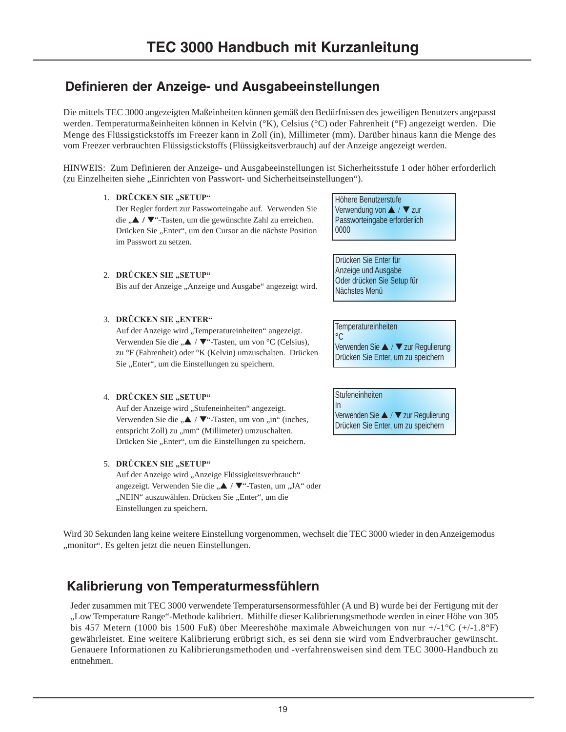# **Definieren der Anzeige- und Ausgabeeinstellungen**

Die mittels TEC 3000 angezeigten Maßeinheiten können gemäß den Bedürfnissen des jeweiligen Benutzers angepasst werden. Temperaturmaßeinheiten können in Kelvin (°K), Celsius (°C) oder Fahrenheit (°F) angezeigt werden. Die Menge des Flüssigstickstoffs im Freezer kann in Zoll (in), Millimeter (mm). Darüber hinaus kann die Menge des vom Freezer verbrauchten Flüssigstickstoffs (Flüssigkeitsverbrauch) auf der Anzeige angezeigt werden.

HINWEIS: Zum Definieren der Anzeige- und Ausgabeeinstellungen ist Sicherheitsstufe 1 oder höher erforderlich (zu Einzelheiten siehe "Einrichten von Passwort- und Sicherheitseinstellungen").

# 1. **DRÜCKEN SIE "SETUP"**

Der Regler fordert zur Passworteingabe auf. Verwenden Sie die "**▲ / ▼**"-Tasten, um die gewünschte Zahl zu erreichen. Drücken Sie "Enter", um den Cursor an die nächste Position im Passwort zu setzen.

Bis auf der Anzeige "Anzeige und Ausgabe" angezeigt wird.

Höhere Benutzerstufe Verwendung von ▲ / ▼ zur Passworteingabe erforderlich 0000

Drücken Sie Enter für Anzeige und Ausgabe Oder drücken Sie Setup für Nächstes Menü

# 3. **DRÜCKEN SIE "ENTER"**

2. DRÜCKEN SIE "SETUP"

Auf der Anzeige wird "Temperatureinheiten" angezeigt. Verwenden Sie die " $\blacktriangle$  /  $\nabla$ "-Tasten, um von °C (Celsius), zu °F (Fahrenheit) oder °K (Kelvin) umzuschalten. Drücken Sie "Enter", um die Einstellungen zu speichern.

# 4. **DRÜCKEN SIE "SETUP"**

Auf der Anzeige wird "Stufeneinheiten" angezeigt. Verwenden Sie die  $\therefore \blacktriangle$  /  $\nabla$  "-Tasten, um von  $\sin$ " (inches, entspricht Zoll) zu "mm" (Millimeter) umzuschalten. Drücken Sie "Enter", um die Einstellungen zu speichern.

# 5. **DRÜCKEN SIE "SETUP"**

Auf der Anzeige wird "Anzeige Flüssigkeitsverbrauch" angezeigt. Verwenden Sie die "▲ / ▼"-Tasten, um "JA" oder "NEIN" auszuwählen. Drücken Sie "Enter", um die Einstellungen zu speichern.

**Temperatureinheiten**  $^{\circ}C$ 

Verwenden Sie ▲ / ▼ zur Regulierung Drücken Sie Enter, um zu speichern

**Stufeneinheiten** 

In Verwenden Sie ▲ / ▼ zur Regulierung Drücken Sie Enter, um zu speichern

Wird 30 Sekunden lang keine weitere Einstellung vorgenommen, wechselt die TEC 3000 wieder in den Anzeigemodus "monitor". Es gelten jetzt die neuen Einstellungen.

# **Kalibrierung von Temperaturmessfühlern**

Jeder zusammen mit TEC 3000 verwendete Temperatursensormessfühler (A und B) wurde bei der Fertigung mit der "Low Temperature Range"-Methode kalibriert. Mithilfe dieser Kalibrierungsmethode werden in einer Höhe von 305 bis 457 Metern (1000 bis 1500 Fuß) über Meereshöhe maximale Abweichungen von nur +/-1°C (+/-1.8°F) gewährleistet. Eine weitere Kalibrierung erübrigt sich, es sei denn sie wird vom Endverbraucher gewünscht. Genauere Informationen zu Kalibrierungsmethoden und -verfahrensweisen sind dem TEC 3000-Handbuch zu entnehmen.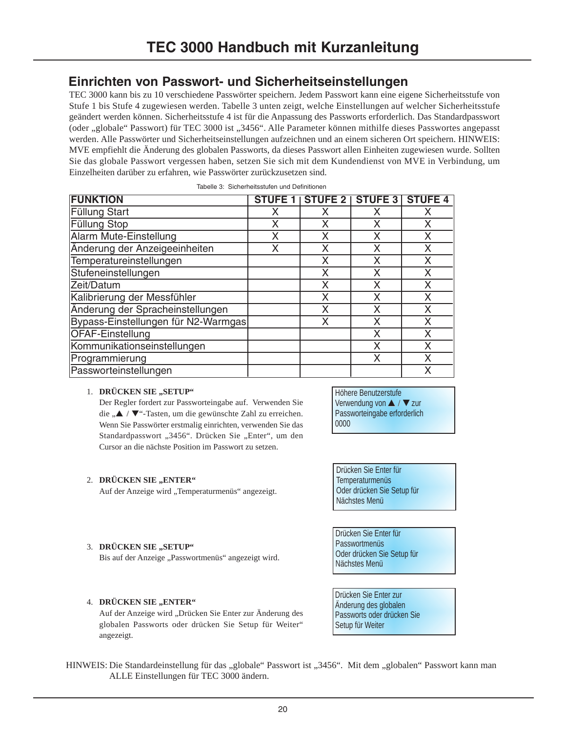# **Einrichten von Passwort- und Sicherheitseinstellungen**

TEC 3000 kann bis zu 10 verschiedene Passwörter speichern. Jedem Passwort kann eine eigene Sicherheitsstufe von Stufe 1 bis Stufe 4 zugewiesen werden. Tabelle 3 unten zeigt, welche Einstellungen auf welcher Sicherheitsstufe geändert werden können. Sicherheitsstufe 4 ist für die Anpassung des Passworts erforderlich. Das Standardpasswort (oder "globale" Passwort) für TEC 3000 ist "3456". Alle Parameter können mithilfe dieses Passwortes angepasst werden. Alle Passwörter und Sicherheitseinstellungen aufzeichnen und an einem sicheren Ort speichern. HINWEIS: MVE empfiehlt die Änderung des globalen Passworts, da dieses Passwort allen Einheiten zugewiesen wurde. Sollten Sie das globale Passwort vergessen haben, setzen Sie sich mit dem Kundendienst von MVE in Verbindung, um Einzelheiten darüber zu erfahren, wie Passwörter zurückzusetzen sind.

| Tabelle 3: Sicherheitsstufen und Definitionen |  |
|-----------------------------------------------|--|
|                                               |  |

| <b>FUNKTION</b>                     | <b>STUFE 1</b> | <b>STUFE 2</b> | <b>STUFE 3</b> | <b>STUFE 4</b> |
|-------------------------------------|----------------|----------------|----------------|----------------|
| <b>Füllung Start</b>                | x              | x              | х              | x              |
| Füllung Stop                        | Χ              | x              | x              | Χ              |
| Alarm Mute-Einstellung              | Χ              | χ              | χ              | Χ              |
| Änderung der Anzeigeeinheiten       | X              | X              | X              | X              |
| Temperatureinstellungen             |                | X              | Χ              | Χ              |
| Stufeneinstellungen                 |                | X              | X              | X              |
| Zeit/Datum                          |                | X              | X              | Χ              |
| Kalibrierung der Messfühler         |                | X              | X              | X              |
| Änderung der Spracheinstellungen    |                | X              | x              | Χ              |
| Bypass-Einstellungen für N2-Warmgas |                | X              | x              | Χ              |
| OFAF-Einstellung                    |                |                | Χ              | Χ              |
| Kommunikationseinstellungen         |                |                | X              | Χ              |
| Programmierung                      |                |                | X              | Χ              |
| Passworteinstellungen               |                |                |                | Χ              |

# 1. DRÜCKEN SIE "SETUP"

Der Regler fordert zur Passworteingabe auf. Verwenden Sie die "▲ / ▼"-Tasten, um die gewünschte Zahl zu erreichen. Wenn Sie Passwörter erstmalig einrichten, verwenden Sie das Standardpasswort "3456". Drücken Sie "Enter", um den Cursor an die nächste Position im Passwort zu setzen.

# 2. **DRÜCKEN SIE "ENTER"**

Auf der Anzeige wird "Temperaturmenüs" angezeigt.

#### 3. **DRÜCKEN SIE ..SETUP**"

Bis auf der Anzeige "Passwortmenüs" angezeigt wird.

# 4. **DRÜCKEN SIE** "ENTER"

Auf der Anzeige wird "Drücken Sie Enter zur Änderung des globalen Passworts oder drücken Sie Setup für Weiter" angezeigt.

Höhere Benutzerstufe Verwendung von ▲ / ▼ zur Passworteingabe erforderlich 0000

Drücken Sie Enter für Temperaturmenüs Oder drücken Sie Setup für Nächstes Menü

Drücken Sie Enter für Passwortmenüs Oder drücken Sie Setup für Nächstes Menü

Drücken Sie Enter zur Änderung des globalen Passworts oder drücken Sie Setup für Weiter

HINWEIS: Die Standardeinstellung für das "globale" Passwort ist "3456". Mit dem "globalen" Passwort kann man ALLE Einstellungen für TEC 3000 ändern.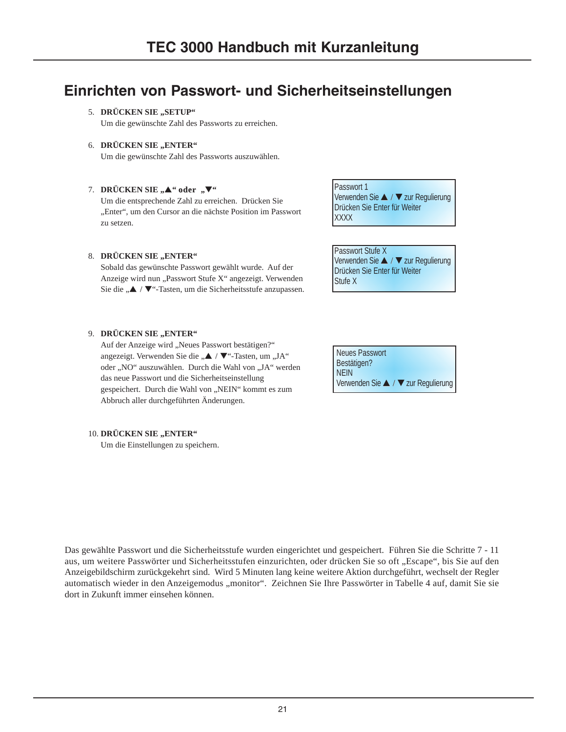# **Einrichten von Passwort- und Sicherheitseinstellungen**

# 5. DRÜCKEN SIE "SETUP"

Um die gewünschte Zahl des Passworts zu erreichen.

### 6. DRÜCKEN SIE "ENTER"

Um die gewünschte Zahl des Passworts auszuwählen.

### 7. **DRÜCKEN SIE** "▲" oder "▼"

Um die entsprechende Zahl zu erreichen. Drücken Sie "Enter", um den Cursor an die nächste Position im Passwort zu setzen.

#### 8. DRÜCKEN SIE "ENTER"

Sobald das gewünschte Passwort gewählt wurde. Auf der Anzeige wird nun "Passwort Stufe X" angezeigt. Verwenden Sie die "▲ / ▼"-Tasten, um die Sicherheitsstufe anzupassen.

### 9. **DRÜCKEN SIE** "ENTER"

Auf der Anzeige wird "Neues Passwort bestätigen?" angezeigt. Verwenden Sie die " $\blacktriangle$  /  $\nabla$ "-Tasten, um "JA" oder "NO" auszuwählen. Durch die Wahl von "JA" werden das neue Passwort und die Sicherheitseinstellung gespeichert. Durch die Wahl von "NEIN" kommt es zum Abbruch aller durchgeführten Änderungen.

# 10. **DRÜCKEN SIE** "ENTER"

Um die Einstellungen zu speichern.

Passwort 1 Verwenden Sie ▲ / ▼ zur Regulierung Drücken Sie Enter für Weiter **XXXX** 

Passwort Stufe X Verwenden Sie ▲ / ▼ zur Regulierung Drücken Sie Enter für Weiter Stufe X

| Neues Passwort                      |
|-------------------------------------|
| Bestätigen?                         |
| <b>NEIN</b>                         |
| Verwenden Sie ▲ / ▼ zur Regulierung |

Das gewählte Passwort und die Sicherheitsstufe wurden eingerichtet und gespeichert. Führen Sie die Schritte 7 - 11 aus, um weitere Passwörter und Sicherheitsstufen einzurichten, oder drücken Sie so oft "Escape", bis Sie auf den Anzeigebildschirm zurückgekehrt sind. Wird 5 Minuten lang keine weitere Aktion durchgeführt, wechselt der Regler automatisch wieder in den Anzeigemodus "monitor". Zeichnen Sie Ihre Passwörter in Tabelle 4 auf, damit Sie sie dort in Zukunft immer einsehen können.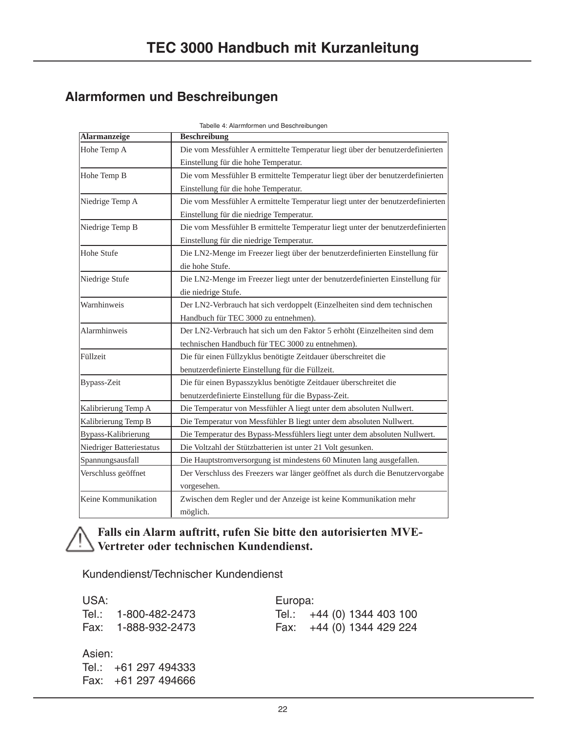# **Alarmformen und Beschreibungen**

| Alarmanzeige             | rabelle 4. Alamnomen und beschreibungen<br><b>Beschreibung</b>                 |
|--------------------------|--------------------------------------------------------------------------------|
| Hohe Temp A              | Die vom Messfühler A ermittelte Temperatur liegt über der benutzerdefinierten  |
|                          |                                                                                |
|                          | Einstellung für die hohe Temperatur.                                           |
| Hohe Temp B              | Die vom Messfühler B ermittelte Temperatur liegt über der benutzerdefinierten  |
|                          | Einstellung für die hohe Temperatur.                                           |
| Niedrige Temp A          | Die vom Messfühler A ermittelte Temperatur liegt unter der benutzerdefinierten |
|                          | Einstellung für die niedrige Temperatur.                                       |
| Niedrige Temp B          | Die vom Messfühler B ermittelte Temperatur liegt unter der benutzerdefinierten |
|                          | Einstellung für die niedrige Temperatur.                                       |
| Hohe Stufe               | Die LN2-Menge im Freezer liegt über der benutzerdefinierten Einstellung für    |
|                          | die hohe Stufe.                                                                |
| Niedrige Stufe           | Die LN2-Menge im Freezer liegt unter der benutzerdefinierten Einstellung für   |
|                          | die niedrige Stufe.                                                            |
| Warnhinweis              | Der LN2-Verbrauch hat sich verdoppelt (Einzelheiten sind dem technischen       |
|                          | Handbuch für TEC 3000 zu entnehmen).                                           |
| Alarmhinweis             | Der LN2-Verbrauch hat sich um den Faktor 5 erhöht (Einzelheiten sind dem       |
|                          | technischen Handbuch für TEC 3000 zu entnehmen).                               |
| Füllzeit                 | Die für einen Füllzyklus benötigte Zeitdauer überschreitet die                 |
|                          | benutzerdefinierte Einstellung für die Füllzeit.                               |
| Bypass-Zeit              | Die für einen Bypasszyklus benötigte Zeitdauer überschreitet die               |
|                          | benutzerdefinierte Einstellung für die Bypass-Zeit.                            |
| Kalibrierung Temp A      | Die Temperatur von Messfühler A liegt unter dem absoluten Nullwert.            |
| Kalibrierung Temp B      | Die Temperatur von Messfühler B liegt unter dem absoluten Nullwert.            |
| Bypass-Kalibrierung      | Die Temperatur des Bypass-Messfühlers liegt unter dem absoluten Nullwert.      |
| Niedriger Batteriestatus | Die Voltzahl der Stützbatterien ist unter 21 Volt gesunken.                    |
| Spannungsausfall         | Die Hauptstromversorgung ist mindestens 60 Minuten lang ausgefallen.           |
| Verschluss geöffnet      | Der Verschluss des Freezers war länger geöffnet als durch die Benutzervorgabe  |
|                          | vorgesehen.                                                                    |
| Keine Kommunikation      | Zwischen dem Regler und der Anzeige ist keine Kommunikation mehr               |
|                          | möglich.                                                                       |

Tabelle 4: Alarmformen und Beschreibungen

# **Falls ein Alarm auftritt, rufen Sie bitte den autorisierten MVE-Vertreter oder technischen Kundendienst.**

Kundendienst/Technischer Kundendienst

| USA: |                      | Europa: |                            |
|------|----------------------|---------|----------------------------|
|      | Tel.: 1-800-482-2473 |         | Tel.: +44 (0) 1344 403 100 |
|      | Fax: 1-888-932-2473  |         | Fax: +44 (0) 1344 429 224  |

# Asien:

Tel.: +61 297 494333 Fax: +61 297 494666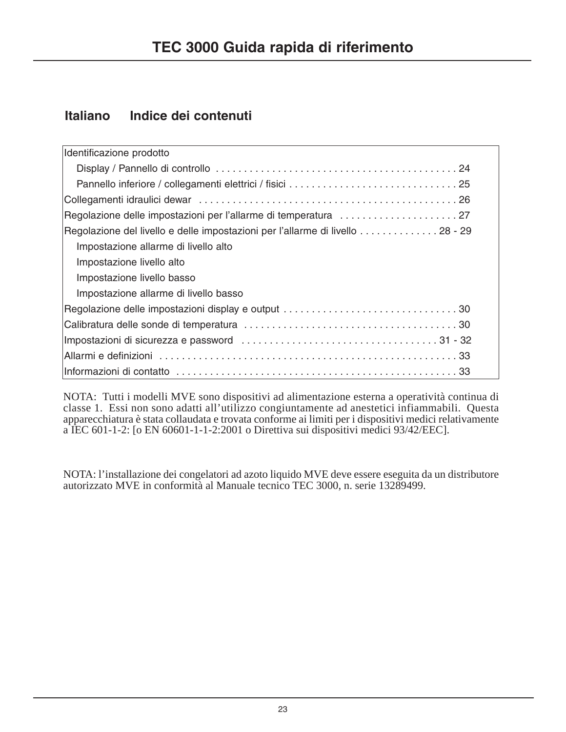# **Italiano Indice dei contenuti**

| Identificazione prodotto                                                       |
|--------------------------------------------------------------------------------|
|                                                                                |
|                                                                                |
|                                                                                |
|                                                                                |
| Regolazione del livello e delle impostazioni per l'allarme di livello  28 - 29 |
| Impostazione allarme di livello alto                                           |
| Impostazione livello alto                                                      |
| Impostazione livello basso                                                     |
| Impostazione allarme di livello basso                                          |
|                                                                                |
|                                                                                |
|                                                                                |
|                                                                                |
|                                                                                |

NOTA: Tutti i modelli MVE sono dispositivi ad alimentazione esterna a operatività continua di classe 1. Essi non sono adatti all'utilizzo congiuntamente ad anestetici infiammabili. Questa apparecchiatura è stata collaudata e trovata conforme ai limiti per i dispositivi medici relativamente a IEC 601-1-2: [o EN 60601-1-1-2:2001 o Direttiva sui dispositivi medici 93/42/EEC].

NOTA: l'installazione dei congelatori ad azoto liquido MVE deve essere eseguita da un distributore autorizzato MVE in conformità al Manuale tecnico TEC 3000, n. serie 13289499.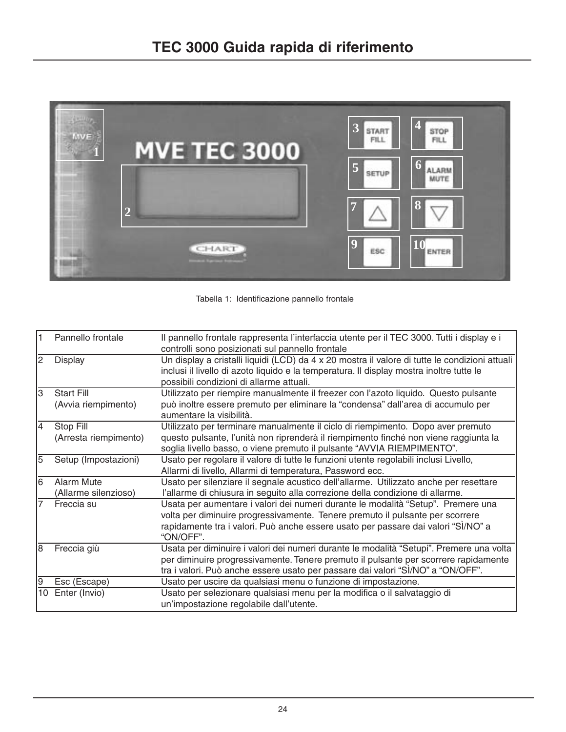

Tabella 1: Identificazione pannello frontale

| $\mathbf{1}$ | Pannello frontale                        | Il pannello frontale rappresenta l'interfaccia utente per il TEC 3000. Tutti i display e i<br>controlli sono posizionati sul pannello frontale                                                                                                                      |
|--------------|------------------------------------------|---------------------------------------------------------------------------------------------------------------------------------------------------------------------------------------------------------------------------------------------------------------------|
| 2            | <b>Display</b>                           | Un display a cristalli liquidi (LCD) da 4 x 20 mostra il valore di tutte le condizioni attuali<br>inclusi il livello di azoto liquido e la temperatura. Il display mostra inoltre tutte le<br>possibili condizioni di allarme attuali.                              |
| Iз           | <b>Start Fill</b><br>(Avvia riempimento) | Utilizzato per riempire manualmente il freezer con l'azoto liquido. Questo pulsante<br>può inoltre essere premuto per eliminare la "condensa" dall'area di accumulo per<br>aumentare la visibilità.                                                                 |
| 14           | Stop Fill<br>(Arresta riempimento)       | Utilizzato per terminare manualmente il ciclo di riempimento. Dopo aver premuto<br>questo pulsante, l'unità non riprenderà il riempimento finché non viene raggiunta la<br>soglia livello basso, o viene premuto il pulsante "AVVIA RIEMPIMENTO".                   |
| 5            | Setup (Impostazioni)                     | Usato per regolare il valore di tutte le funzioni utente regolabili inclusi Livello,<br>Allarmi di livello, Allarmi di temperatura, Password ecc.                                                                                                                   |
| l6           | Alarm Mute<br>(Allarme silenzioso)       | Usato per silenziare il segnale acustico dell'allarme. Utilizzato anche per resettare<br>l'allarme di chiusura in seguito alla correzione della condizione di allarme.                                                                                              |
| 7            | Freccia su                               | Usata per aumentare i valori dei numeri durante le modalità "Setup". Premere una<br>volta per diminuire progressivamente. Tenere premuto il pulsante per scorrere<br>rapidamente tra i valori. Può anche essere usato per passare dai valori "SÌ/NO" a<br>"ON/OFF". |
| l8           | Freccia giù                              | Usata per diminuire i valori dei numeri durante le modalità "Setupi". Premere una volta<br>per diminuire progressivamente. Tenere premuto il pulsante per scorrere rapidamente<br>tra i valori. Può anche essere usato per passare dai valori "SÌ/NO" a "ON/OFF".   |
| 9            | Esc (Escape)                             | Usato per uscire da qualsiasi menu o funzione di impostazione.                                                                                                                                                                                                      |
| 10           | Enter (Invio)                            | Usato per selezionare qualsiasi menu per la modifica o il salvataggio di<br>un'impostazione regolabile dall'utente.                                                                                                                                                 |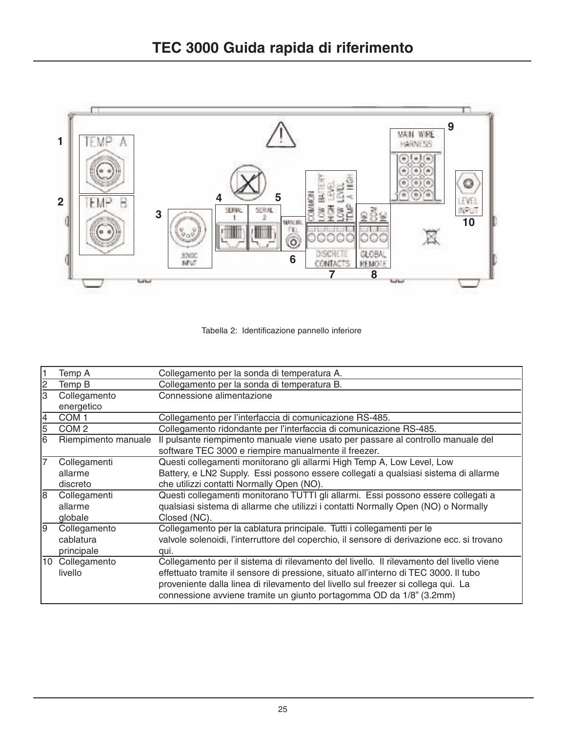



|    | Temp A                  | Collegamento per la sonda di temperatura A.                                                                                                                                                                                                                                                                                                  |
|----|-------------------------|----------------------------------------------------------------------------------------------------------------------------------------------------------------------------------------------------------------------------------------------------------------------------------------------------------------------------------------------|
| 2  | Temp B                  | Collegamento per la sonda di temperatura B.                                                                                                                                                                                                                                                                                                  |
| 3  | Collegamento            | Connessione alimentazione                                                                                                                                                                                                                                                                                                                    |
|    | energetico              |                                                                                                                                                                                                                                                                                                                                              |
| 4  | COM <sub>1</sub>        | Collegamento per l'interfaccia di comunicazione RS-485.                                                                                                                                                                                                                                                                                      |
| 5  | COM <sub>2</sub>        | Collegamento ridondante per l'interfaccia di comunicazione RS-485.                                                                                                                                                                                                                                                                           |
| 6  | Riempimento manuale     | Il pulsante riempimento manuale viene usato per passare al controllo manuale del                                                                                                                                                                                                                                                             |
|    |                         | software TEC 3000 e riempire manualmente il freezer.                                                                                                                                                                                                                                                                                         |
|    | Collegamenti            | Questi collegamenti monitorano gli allarmi High Temp A, Low Level, Low                                                                                                                                                                                                                                                                       |
|    | allarme                 | Battery, e LN2 Supply. Essi possono essere collegati a qualsiasi sistema di allarme                                                                                                                                                                                                                                                          |
|    | discreto                | che utilizzi contatti Normally Open (NO).                                                                                                                                                                                                                                                                                                    |
| 18 | Collegamenti            | Questi collegamenti monitorano TUTTI gli allarmi. Essi possono essere collegati a                                                                                                                                                                                                                                                            |
|    | allarme                 | qualsiasi sistema di allarme che utilizzi i contatti Normally Open (NO) o Normally                                                                                                                                                                                                                                                           |
|    | globale                 | Closed (NC).                                                                                                                                                                                                                                                                                                                                 |
| 19 | Collegamento            | Collegamento per la cablatura principale. Tutti i collegamenti per le                                                                                                                                                                                                                                                                        |
|    | cablatura               | valvole solenoidi, l'interruttore del coperchio, il sensore di derivazione ecc. si trovano                                                                                                                                                                                                                                                   |
|    | principale              | qui.                                                                                                                                                                                                                                                                                                                                         |
| 10 | Collegamento<br>livello | Collegamento per il sistema di rilevamento del livello. Il rilevamento del livello viene<br>effettuato tramite il sensore di pressione, situato all'interno di TEC 3000. Il tubo<br>proveniente dalla linea di rilevamento del livello sul freezer si collega qui. La<br>connessione avviene tramite un giunto portagomma OD da 1/8" (3.2mm) |
|    |                         |                                                                                                                                                                                                                                                                                                                                              |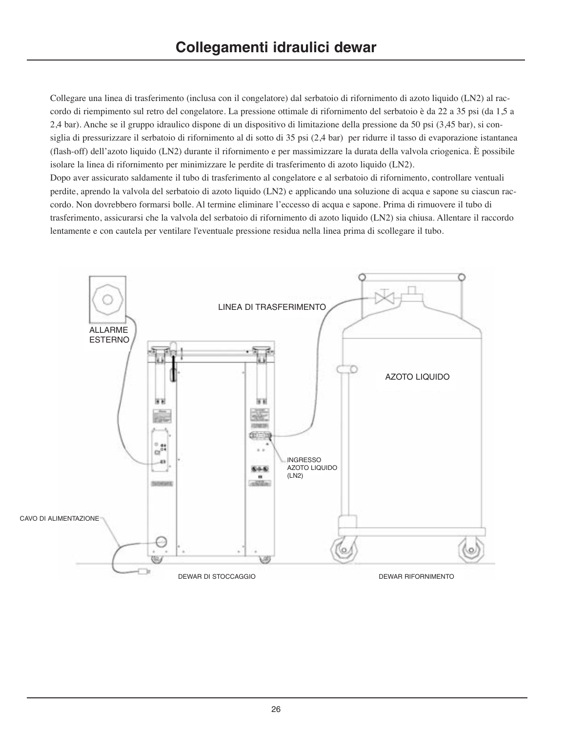Collegare una linea di trasferimento (inclusa con il congelatore) dal serbatoio di rifornimento di azoto liquido (LN2) al raccordo di riempimento sul retro del congelatore. La pressione ottimale di rifornimento del serbatoio è da 22 a 35 psi (da 1,5 a 2,4 bar). Anche se il gruppo idraulico dispone di un dispositivo di limitazione della pressione da 50 psi (3,45 bar), si consiglia di pressurizzare il serbatoio di rifornimento al di sotto di 35 psi (2,4 bar) per ridurre il tasso di evaporazione istantanea (flash-off) dell'azoto liquido (LN2) durante il rifornimento e per massimizzare la durata della valvola criogenica. È possibile isolare la linea di rifornimento per minimizzare le perdite di trasferimento di azoto liquido (LN2). Dopo aver assicurato saldamente il tubo di trasferimento al congelatore e al serbatoio di rifornimento, controllare ventuali perdite, aprendo la valvola del serbatoio di azoto liquido (LN2) e applicando una soluzione di acqua e sapone su ciascun raccordo. Non dovrebbero formarsi bolle. Al termine eliminare l'eccesso di acqua e sapone. Prima di rimuovere il tubo di trasferimento, assicurarsi che la valvola del serbatoio di rifornimento di azoto liquido (LN2) sia chiusa. Allentare il raccordo lentamente e con cautela per ventilare l'eventuale pressione residua nella linea prima di scollegare il tubo.

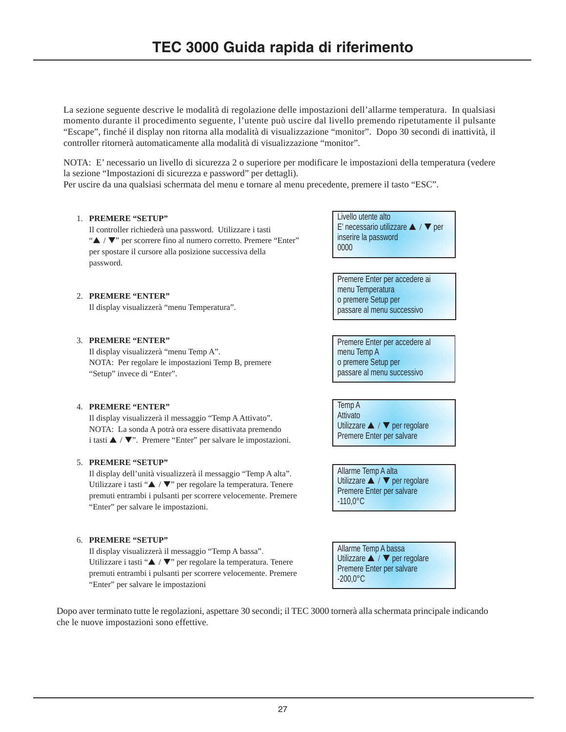La sezione seguente descrive le modalità di regolazione delle impostazioni dell'allarme temperatura. In qualsiasi momento durante il procedimento seguente, l'utente può uscire dal livello premendo ripetutamente il pulsante "Escape", finché il display non ritorna alla modalità di visualizzazione "monitor". Dopo 30 secondi di inattività, il controller ritornerà automaticamente alla modalità di visualizzazione "monitor".

NOTA: E' necessario un livello di sicurezza 2 o superiore per modificare le impostazioni della temperatura (vedere la sezione "Impostazioni di sicurezza e password" per dettagli).

Per uscire da una qualsiasi schermata del menu e tornare al menu precedente, premere il tasto "ESC".

# 1. **PREMERE "SETUP"**

Il controller richiederà una password. Utilizzare i tasti "▲ / ▼" per scorrere fino al numero corretto. Premere "Enter" per spostare il cursore alla posizione successiva della password.

Livello utente alto E' necessario utilizzare ▲ / ▼ per inserire la password 0000

Premere Enter per accedere ai menu Temperatura o premere Setup per passare al menu successivo

Premere Enter per accedere al menu Temp A o premere Setup per passare al menu successivo

Temp A **Attivato** Utilizzare ▲ / ▼ per regolare Premere Enter per salvare

Allarme Temp A alta Utilizzare ▲ / ▼ per regolare Premere Enter per salvare -110,0°C

Allarme Temp A bassa Utilizzare ▲ / ▼ per regolare Premere Enter per salvare -200,0°C

### 2. **PREMERE "ENTER"**

Il display visualizzerà "menu Temperatura".

# 3. **PREMERE "ENTER"**

Il display visualizzerà "menu Temp A". NOTA: Per regolare le impostazioni Temp B, premere "Setup" invece di "Enter".

# 4. **PREMERE "ENTER"**

Il display visualizzerà il messaggio "Temp A Attivato". NOTA: La sonda A potrà ora essere disattivata premendo i tasti ▲ / ▼". Premere "Enter" per salvare le impostazioni.

# 5. **PREMERE "SETUP"**

Il display dell'unità visualizzerà il messaggio "Temp A alta". Utilizzare i tasti "▲ / ▼" per regolare la temperatura. Tenere premuti entrambi i pulsanti per scorrere velocemente. Premere "Enter" per salvare le impostazioni.

# 6. **PREMERE "SETUP"**

Il display visualizzerà il messaggio "Temp A bassa". Utilizzare i tasti "▲ / ▼" per regolare la temperatura. Tenere premuti entrambi i pulsanti per scorrere velocemente. Premere "Enter" per salvare le impostazioni

Dopo aver terminato tutte le regolazioni, aspettare 30 secondi; il TEC 3000 tornerà alla schermata principale indicando che le nuove impostazioni sono effettive.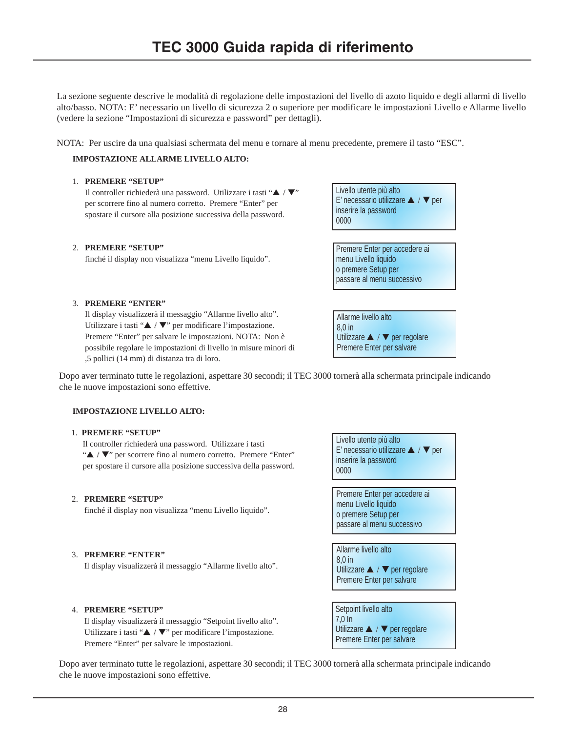La sezione seguente descrive le modalità di regolazione delle impostazioni del livello di azoto liquido e degli allarmi di livello alto/basso. NOTA: E' necessario un livello di sicurezza 2 o superiore per modificare le impostazioni Livello e Allarme livello (vedere la sezione "Impostazioni di sicurezza e password" per dettagli).

NOTA: Per uscire da una qualsiasi schermata del menu e tornare al menu precedente, premere il tasto "ESC".

### **IMPOSTAZIONE ALLARME LIVELLO ALTO:**

### 1. **PREMERE "SETUP"**

Il controller richiederà una password. Utilizzare i tasti "▲ / ▼" per scorrere fino al numero corretto. Premere "Enter" per spostare il cursore alla posizione successiva della password.

#### 2. **PREMERE "SETUP"**

finché il display non visualizza "menu Livello liquido".



Premere Enter per accedere ai menu Livello liquido o premere Setup per passare al menu successivo

3. **PREMERE "ENTER"**

Il display visualizzerà il messaggio "Allarme livello alto". Utilizzare i tasti "▲ / ▼" per modificare l'impostazione. Premere "Enter" per salvare le impostazioni. NOTA: Non è possibile regolare le impostazioni di livello in misure minori di ,5 pollici (14 mm) di distanza tra di loro.

Allarme livello alto 8,0 in Utilizzare ▲ / ▼ per regolare Premere Enter per salvare

Dopo aver terminato tutte le regolazioni, aspettare 30 secondi; il TEC 3000 tornerà alla schermata principale indicando che le nuove impostazioni sono effettive.

### **IMPOSTAZIONE LIVELLO ALTO:**

#### 1. **PREMERE "SETUP"**

Il controller richiederà una password. Utilizzare i tasti "▲ / ▼" per scorrere fino al numero corretto. Premere "Enter" per spostare il cursore alla posizione successiva della password.

### 2. **PREMERE "SETUP"**

finché il display non visualizza "menu Livello liquido".

#### 3. **PREMERE "ENTER"**

Il display visualizzerà il messaggio "Allarme livello alto".

# 4. **PREMERE "SETUP"**

Il display visualizzerà il messaggio "Setpoint livello alto". Utilizzare i tasti "▲ / ▼" per modificare l'impostazione. Premere "Enter" per salvare le impostazioni.

Livello utente più alto E' necessario utilizzare ▲ / ▼ per inserire la password 0000 Premere Enter per accedere ai menu Livello liquido o premere Setup per passare al menu successivo

Allarme livello alto  $8<sub>0</sub>$  in Utilizzare ▲ / ▼ per regolare Premere Enter per salvare

Setpoint livello alto 7,0 In Utilizzare ▲ / ▼ per regolare Premere Enter per salvare

Dopo aver terminato tutte le regolazioni, aspettare 30 secondi; il TEC 3000 tornerà alla schermata principale indicando che le nuove impostazioni sono effettive.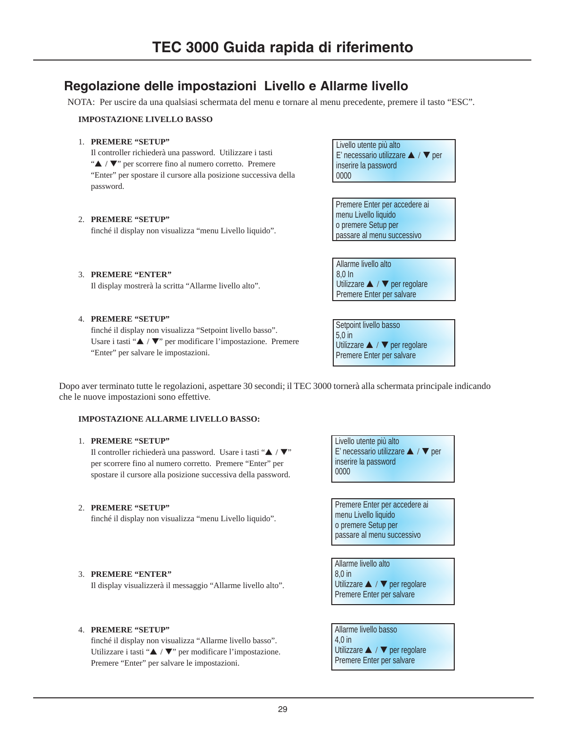# **Regolazione delle impostazioni Livello e Allarme livello**

NOTA: Per uscire da una qualsiasi schermata del menu e tornare al menu precedente, premere il tasto "ESC".

#### **IMPOSTAZIONE LIVELLO BASSO**

### 1. **PREMERE "SETUP"**

Il controller richiederà una password. Utilizzare i tasti "▲ / ▼" per scorrere fino al numero corretto. Premere "Enter" per spostare il cursore alla posizione successiva della password.

#### 2. **PREMERE "SETUP"**

finché il display non visualizza "menu Livello liquido".

Il display mostrerà la scritta "Allarme livello alto".

Livello utente più alto E' necessario utilizzare ▲ / ▼ per inserire la password 0000

Premere Enter per accedere ai menu Livello liquido o premere Setup per passare al menu successivo

Allarme livello alto 8,0 In Utilizzare ▲ / ▼ per regolare Premere Enter per salvare

#### 4. **PREMERE "SETUP"**

3. **PREMERE "ENTER"**

finché il display non visualizza "Setpoint livello basso". Usare i tasti "▲ / ▼" per modificare l'impostazione. Premere "Enter" per salvare le impostazioni.

Setpoint livello basso 5,0 in Utilizzare ▲ / ▼ per regolare Premere Enter per salvare

Dopo aver terminato tutte le regolazioni, aspettare 30 secondi; il TEC 3000 tornerà alla schermata principale indicando che le nuove impostazioni sono effettive.

#### **IMPOSTAZIONE ALLARME LIVELLO BASSO:**

# 1. **PREMERE "SETUP"**

Il controller richiederà una password. Usare i tasti "▲ / ▼" per scorrere fino al numero corretto. Premere "Enter" per spostare il cursore alla posizione successiva della password.

### 2. **PREMERE "SETUP"**

finché il display non visualizza "menu Livello liquido".

Livello utente più alto E' necessario utilizzare ▲ / ▼ per inserire la password 0000

Premere Enter per accedere ai menu Livello liquido o premere Setup per passare al menu successivo

Allarme livello alto 8,0 in Utilizzare ▲ / ▼ per regolare Premere Enter per salvare

# 3. **PREMERE "ENTER"**

Il display visualizzerà il messaggio "Allarme livello alto".

### 4. **PREMERE "SETUP"**

finché il display non visualizza "Allarme livello basso". Utilizzare i tasti "▲ / ▼" per modificare l'impostazione. Premere "Enter" per salvare le impostazioni.

Allarme livello basso 4,0 in Utilizzare ▲ / ▼ per regolare Premere Enter per salvare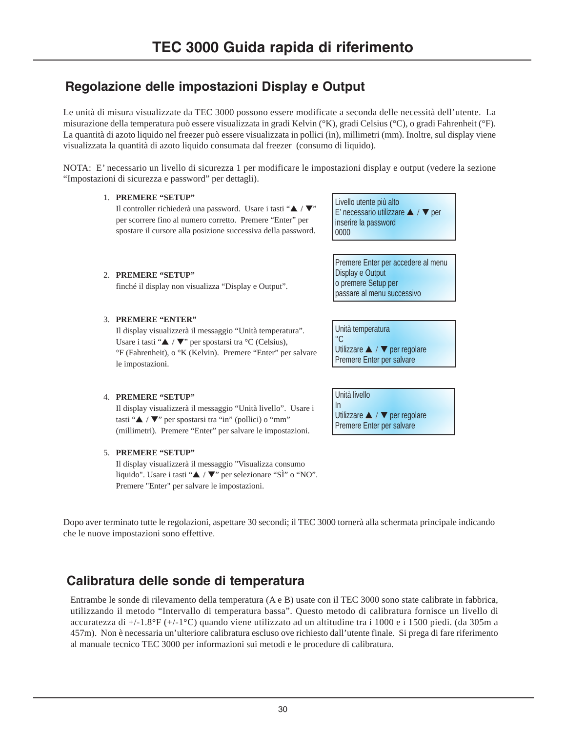# **Regolazione delle impostazioni Display e Output**

Le unità di misura visualizzate da TEC 3000 possono essere modificate a seconda delle necessità dell'utente. La misurazione della temperatura può essere visualizzata in gradi Kelvin (°K), gradi Celsius (°C), o gradi Fahrenheit (°F). La quantità di azoto liquido nel freezer può essere visualizzata in pollici (in), millimetri (mm). Inoltre, sul display viene visualizzata la quantità di azoto liquido consumata dal freezer (consumo di liquido).

NOTA: E' necessario un livello di sicurezza 1 per modificare le impostazioni display e output (vedere la sezione "Impostazioni di sicurezza e password" per dettagli).

# 1. **PREMERE "SETUP"**

Il controller richiederà una password. Usare i tasti "▲ / ▼" per scorrere fino al numero corretto. Premere "Enter" per spostare il cursore alla posizione successiva della password. Livello utente più alto E' necessario utilizzare ▲ / ▼ per inserire la password 0000

Premere Enter per accedere al menu Display e Output o premere Setup per passare al menu successivo

Unità temperatura  $^{\circ}C$ Utilizzare ▲ / ▼ per regolare Premere Enter per salvare

Unità livello In Utilizzare ▲ / ▼ per regolare Premere Enter per salvare

2. **PREMERE "SETUP"** finché il display non visualizza "Display e Output".

# 3. **PREMERE "ENTER"**

Il display visualizzerà il messaggio "Unità temperatura". Usare i tasti " $\blacktriangle$  /  $\nabla$ " per spostarsi tra °C (Celsius), °F (Fahrenheit), o °K (Kelvin). Premere "Enter" per salvare le impostazioni.

# 4. **PREMERE "SETUP"**

Il display visualizzerà il messaggio "Unità livello". Usare i tasti " $\triangle$  /  $\nabla$ " per spostarsi tra "in" (pollici) o "mm" (millimetri). Premere "Enter" per salvare le impostazioni.

# 5. **PREMERE "SETUP"**

Il display visualizzerà il messaggio "Visualizza consumo liquido". Usare i tasti "▲ / ▼" per selezionare "SÌ" o "NO". Premere "Enter" per salvare le impostazioni.

Dopo aver terminato tutte le regolazioni, aspettare 30 secondi; il TEC 3000 tornerà alla schermata principale indicando che le nuove impostazioni sono effettive.

# **Calibratura delle sonde di temperatura**

Entrambe le sonde di rilevamento della temperatura (A e B) usate con il TEC 3000 sono state calibrate in fabbrica, utilizzando il metodo "Intervallo di temperatura bassa". Questo metodo di calibratura fornisce un livello di accuratezza di +/-1.8°F (+/-1°C) quando viene utilizzato ad un altitudine tra i 1000 e i 1500 piedi. (da 305m a 457m). Non è necessaria un'ulteriore calibratura escluso ove richiesto dall'utente finale. Si prega di fare riferimento al manuale tecnico TEC 3000 per informazioni sui metodi e le procedure di calibratura.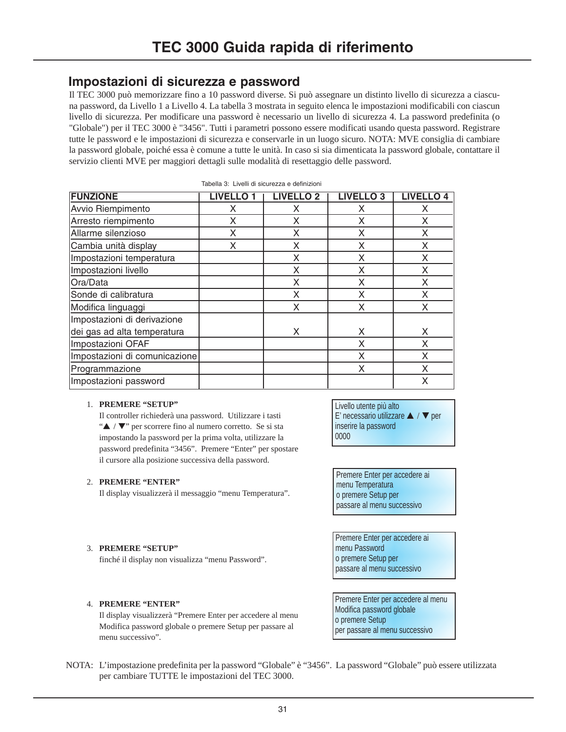# **Impostazioni di sicurezza e password**

Il TEC 3000 può memorizzare fino a 10 password diverse. Si può assegnare un distinto livello di sicurezza a ciascuna password, da Livello 1 a Livello 4. La tabella 3 mostrata in seguito elenca le impostazioni modificabili con ciascun livello di sicurezza. Per modificare una password è necessario un livello di sicurezza 4. La password predefinita (o "Globale") per il TEC 3000 è "3456". Tutti i parametri possono essere modificati usando questa password. Registrare tutte le password e le impostazioni di sicurezza e conservarle in un luogo sicuro. NOTA: MVE consiglia di cambiare la password globale, poiché essa è comune a tutte le unità. In caso si sia dimenticata la password globale, contattare il servizio clienti MVE per maggiori dettagli sulle modalità di resettaggio delle password.

|                               | Tabella 3: Livelli di sicurezza e definizioni |                  |                  |                  |
|-------------------------------|-----------------------------------------------|------------------|------------------|------------------|
| <b>FUNZIONE</b>               | <b>LIVELLO1</b>                               | <b>LIVELLO 2</b> | <b>LIVELLO 3</b> | <b>LIVELLO 4</b> |
| Avvio Riempimento             | X                                             | x                | X                | X                |
| Arresto riempimento           | X                                             | X                | X                | X                |
| Allarme silenzioso            | X                                             | X                | X                | X                |
| Cambia unità display          | X                                             | X                | X                | X                |
| Impostazioni temperatura      |                                               | X                | X                | X                |
| Impostazioni livello          |                                               | X                | X                | X                |
| Ora/Data                      |                                               | X                | X                | X                |
| Sonde di calibratura          |                                               | X                | X                | X                |
| Modifica linguaggi            |                                               | X                | X                | X                |
| Impostazioni di derivazione   |                                               |                  |                  |                  |
| dei gas ad alta temperatura   |                                               | Χ                | X                | X                |
| Impostazioni OFAF             |                                               |                  | X                | X                |
| Impostazioni di comunicazione |                                               |                  | X                | X                |
| Programmazione                |                                               |                  | X                | X                |
| Impostazioni password         |                                               |                  |                  | X                |

#### 1. **PREMERE "SETUP"**

Il controller richiederà una password. Utilizzare i tasti "▲ / ▼" per scorrere fino al numero corretto. Se si sta impostando la password per la prima volta, utilizzare la password predefinita "3456". Premere "Enter" per spostare il cursore alla posizione successiva della password.

# 2. **PREMERE "ENTER"**

Il display visualizzerà il messaggio "menu Temperatura".

Livello utente più alto E' necessario utilizzare ▲ / ▼ per inserire la password 0000

Premere Enter per accedere ai menu Temperatura o premere Setup per passare al menu successivo

Premere Enter per accedere ai menu Password o premere Setup per passare al menu successivo

Premere Enter per accedere al menu Modifica password globale o premere Setup per passare al menu successivo

# 3. **PREMERE "SETUP"**

finché il display non visualizza "menu Password".

# 4. **PREMERE "ENTER"**

Il display visualizzerà "Premere Enter per accedere al menu Modifica password globale o premere Setup per passare al menu successivo".

NOTA: L'impostazione predefinita per la password "Globale" è "3456". La password "Globale" può essere utilizzata per cambiare TUTTE le impostazioni del TEC 3000.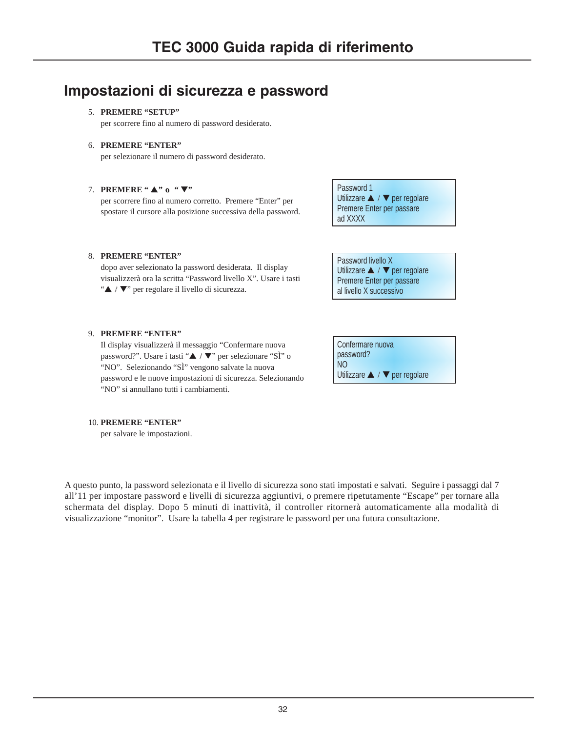# **Impostazioni di sicurezza e password**

### 5. **PREMERE "SETUP"**

per scorrere fino al numero di password desiderato.

### 6. **PREMERE "ENTER"**

per selezionare il numero di password desiderato.

# 7. **PREMERE "** ▲**" o "** ▼**"**

per scorrere fino al numero corretto. Premere "Enter" per spostare il cursore alla posizione successiva della password.

# 8. **PREMERE "ENTER"**

dopo aver selezionato la password desiderata. Il display visualizzerà ora la scritta "Password livello X". Usare i tasti "▲ / ▼" per regolare il livello di sicurezza.

Password 1 Utilizzare ▲ / ▼ per regolare Premere Enter per passare ad XXXX

Password livello X Utilizzare ▲ / ▼ per regolare Premere Enter per passare al livello X successivo

### 9. **PREMERE "ENTER"**

Il display visualizzerà il messaggio "Confermare nuova password?". Usare i tasti "▲ / ▼" per selezionare "SÌ" o "NO". Selezionando "SÌ" vengono salvate la nuova password e le nuove impostazioni di sicurezza. Selezionando "NO" si annullano tutti i cambiamenti.

| Confermare nuova                                    |
|-----------------------------------------------------|
| password?                                           |
| N()                                                 |
| Utilizzare $\blacktriangle$ / $\nabla$ per regolare |

#### 10. **PREMERE "ENTER"**

per salvare le impostazioni.

A questo punto, la password selezionata e il livello di sicurezza sono stati impostati e salvati. Seguire i passaggi dal 7 all'11 per impostare password e livelli di sicurezza aggiuntivi, o premere ripetutamente "Escape" per tornare alla schermata del display. Dopo 5 minuti di inattività, il controller ritornerà automaticamente alla modalità di visualizzazione "monitor". Usare la tabella 4 per registrare le password per una futura consultazione.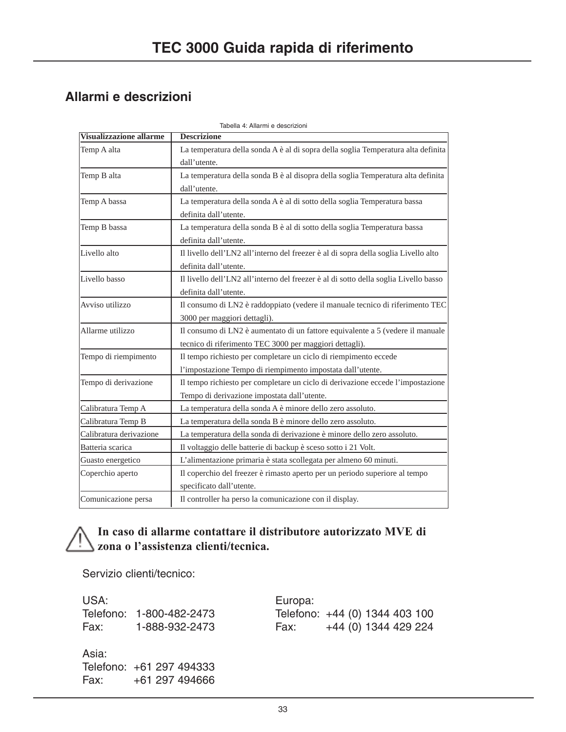# **Allarmi e descrizioni**

| Tabella 4: Allarmi e descrizioni |                                                                                      |  |  |  |
|----------------------------------|--------------------------------------------------------------------------------------|--|--|--|
| <b>Visualizzazione allarme</b>   | <b>Descrizione</b>                                                                   |  |  |  |
| Temp A alta                      | La temperatura della sonda A è al di sopra della soglia Temperatura alta definita    |  |  |  |
|                                  | dall'utente.                                                                         |  |  |  |
| Temp B alta                      | La temperatura della sonda B è al disopra della soglia Temperatura alta definita     |  |  |  |
|                                  | dall'utente.                                                                         |  |  |  |
| Temp A bassa                     | La temperatura della sonda A è al di sotto della soglia Temperatura bassa            |  |  |  |
|                                  | definita dall'utente.                                                                |  |  |  |
| Temp B bassa                     | La temperatura della sonda B è al di sotto della soglia Temperatura bassa            |  |  |  |
|                                  | definita dall'utente.                                                                |  |  |  |
| Livello alto                     | Il livello dell'LN2 all'interno del freezer è al di sopra della soglia Livello alto  |  |  |  |
|                                  | definita dall'utente.                                                                |  |  |  |
| Livello basso                    | Il livello dell'LN2 all'interno del freezer è al di sotto della soglia Livello basso |  |  |  |
|                                  | definita dall'utente.                                                                |  |  |  |
| Avviso utilizzo                  | Il consumo di LN2 è raddoppiato (vedere il manuale tecnico di riferimento TEC        |  |  |  |
|                                  | 3000 per maggiori dettagli).                                                         |  |  |  |
| Allarme utilizzo                 | Il consumo di LN2 è aumentato di un fattore equivalente a 5 (vedere il manuale       |  |  |  |
|                                  | tecnico di riferimento TEC 3000 per maggiori dettagli).                              |  |  |  |
| Tempo di riempimento             | Il tempo richiesto per completare un ciclo di riempimento eccede                     |  |  |  |
|                                  | l'impostazione Tempo di riempimento impostata dall'utente.                           |  |  |  |
| Tempo di derivazione             | Il tempo richiesto per completare un ciclo di derivazione eccede l'impostazione      |  |  |  |
|                                  | Tempo di derivazione impostata dall'utente.                                          |  |  |  |
| Calibratura Temp A               | La temperatura della sonda A è minore dello zero assoluto.                           |  |  |  |
| Calibratura Temp B               | La temperatura della sonda B è minore dello zero assoluto.                           |  |  |  |
| Calibratura derivazione          | La temperatura della sonda di derivazione è minore dello zero assoluto.              |  |  |  |
| Batteria scarica                 | Il voltaggio delle batterie di backup è sceso sotto i 21 Volt.                       |  |  |  |
| Guasto energetico                | L'alimentazione primaria è stata scollegata per almeno 60 minuti.                    |  |  |  |
| Coperchio aperto                 | Il coperchio del freezer è rimasto aperto per un periodo superiore al tempo          |  |  |  |
|                                  | specificato dall'utente.                                                             |  |  |  |
| Comunicazione persa              | Il controller ha perso la comunicazione con il display.                              |  |  |  |

# **In caso di allarme contattare il distributore autorizzato MVE di zona o l'assistenza clienti/tecnica.**

Servizio clienti/tecnico:

USA: Europa: Telefono: 1-800-482-2473 Telefono: +44 (0) 1344 403 100 Fax: 1-888-932-2473 Fax: +44 (0) 1344 429 224

Asia: Telefono: +61 297 494333 Fax: +61 297 494666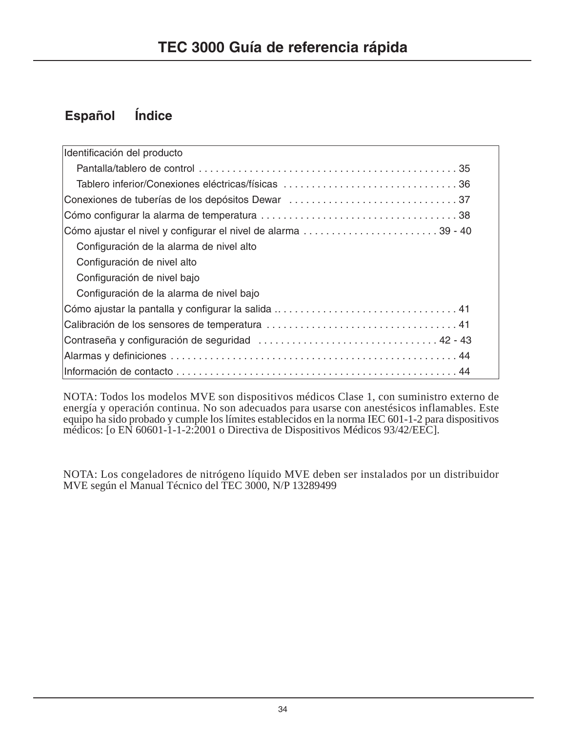# **Español Índice**

| Identificación del producto                                   |  |
|---------------------------------------------------------------|--|
|                                                               |  |
| Tablero inferior/Conexiones eléctricas/físicas 36             |  |
| Conexiones de tuberías de los depósitos Dewar 37              |  |
|                                                               |  |
| Cómo ajustar el nivel y configurar el nivel de alarma 39 - 40 |  |
| Configuración de la alarma de nivel alto                      |  |
| Configuración de nivel alto                                   |  |
| Configuración de nivel bajo                                   |  |
| Configuración de la alarma de nivel bajo                      |  |
|                                                               |  |
|                                                               |  |
|                                                               |  |
|                                                               |  |
|                                                               |  |

NOTA: Todos los modelos MVE son dispositivos médicos Clase 1, con suministro externo de energía y operación continua. No son adecuados para usarse con anestésicos inflamables. Este equipo ha sido probado y cumple los límites establecidos en la norma IEC 601-1-2 para dispositivos médicos: [o EN 60601-1-1-2:2001 o Directiva de Dispositivos Médicos 93/42/EEC].

NOTA: Los congeladores de nitrógeno líquido MVE deben ser instalados por un distribuidor MVE según el Manual Técnico del TEC 3000, N/P 13289499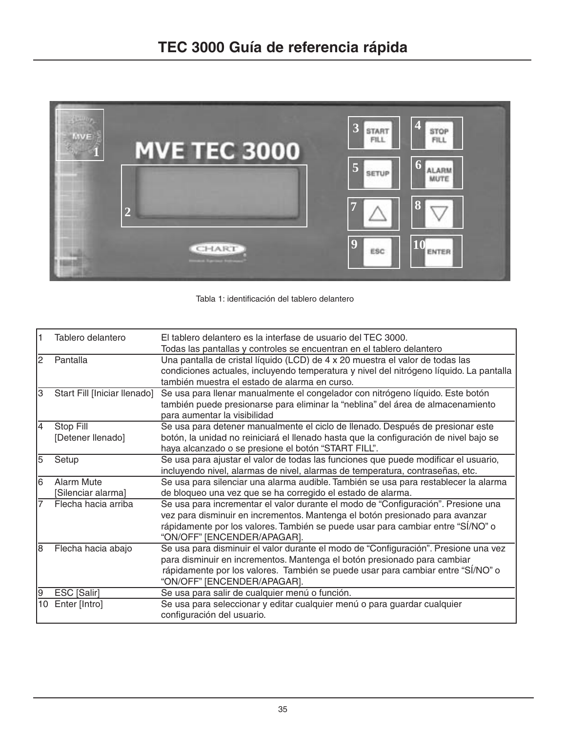

Tabla 1: identificación del tablero delantero

| I1 | Tablero delantero                | El tablero delantero es la interfase de usuario del TEC 3000.<br>Todas las pantallas y controles se encuentran en el tablero delantero                                                                                                                                              |
|----|----------------------------------|-------------------------------------------------------------------------------------------------------------------------------------------------------------------------------------------------------------------------------------------------------------------------------------|
| 2  | Pantalla                         | Una pantalla de cristal líquido (LCD) de 4 x 20 muestra el valor de todas las<br>condiciones actuales, incluyendo temperatura y nivel del nitrógeno líquido. La pantalla<br>también muestra el estado de alarma en curso.                                                           |
| IЗ | Start Fill [Iniciar llenado]     | Se usa para llenar manualmente el congelador con nitrógeno líquido. Este botón<br>también puede presionarse para eliminar la "neblina" del área de almacenamiento<br>para aumentar la visibilidad                                                                                   |
| 14 | Stop Fill<br>[Detener llenado]   | Se usa para detener manualmente el ciclo de llenado. Después de presionar este<br>botón, la unidad no reiniciará el llenado hasta que la configuración de nivel bajo se<br>haya alcanzado o se presione el botón "START FILL".                                                      |
| 5  | Setup                            | Se usa para ajustar el valor de todas las funciones que puede modificar el usuario,<br>incluyendo nivel, alarmas de nivel, alarmas de temperatura, contraseñas, etc.                                                                                                                |
| l6 | Alarm Mute<br>[Silenciar alarma] | Se usa para silenciar una alarma audible. También se usa para restablecer la alarma<br>de bloqueo una vez que se ha corregido el estado de alarma.                                                                                                                                  |
| 7  | Flecha hacia arriba              | Se usa para incrementar el valor durante el modo de "Configuración". Presione una<br>vez para disminuir en incrementos. Mantenga el botón presionado para avanzar<br>rápidamente por los valores. También se puede usar para cambiar entre "SÍ/NO" o<br>"ON/OFF" [ENCENDER/APAGAR]. |
| l8 | Flecha hacia abajo               | Se usa para disminuir el valor durante el modo de "Configuración". Presione una vez<br>para disminuir en incrementos. Mantenga el botón presionado para cambiar<br>rápidamente por los valores. También se puede usar para cambiar entre "SÍ/NO" o<br>"ON/OFF" [ENCENDER/APAGAR].   |
| 19 | ESC [Salir]                      | Se usa para salir de cualquier menú o función.                                                                                                                                                                                                                                      |
| 10 | Enter [Intro]                    | Se usa para seleccionar y editar cualquier menú o para guardar cualquier<br>configuración del usuario.                                                                                                                                                                              |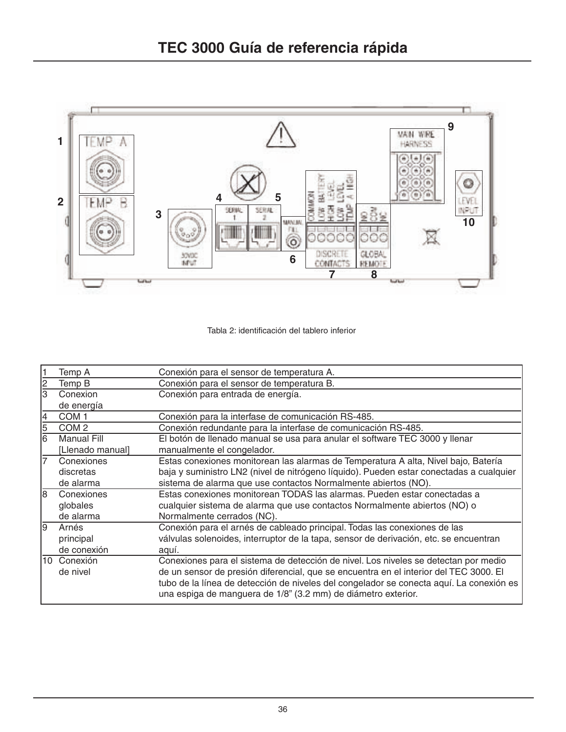

# Tabla 2: identificación del tablero inferior

|                         | Temp A             | Conexión para el sensor de temperatura A.                                               |
|-------------------------|--------------------|-----------------------------------------------------------------------------------------|
| $\overline{\mathbf{c}}$ | Temp B             | Conexión para el sensor de temperatura B.                                               |
| 3                       | Conexion           | Conexión para entrada de energía.                                                       |
|                         | de energía         |                                                                                         |
| 14                      | COM <sub>1</sub>   | Conexión para la interfase de comunicación RS-485.                                      |
| 5                       | COM <sub>2</sub>   | Conexión redundante para la interfase de comunicación RS-485.                           |
| 6                       | <b>Manual Fill</b> | El botón de llenado manual se usa para anular el software TEC 3000 y llenar             |
|                         | [Llenado manual]   | manualmente el congelador.                                                              |
| 7                       | Conexiones         | Estas conexiones monitorean las alarmas de Temperatura A alta, Nivel bajo, Batería      |
|                         | discretas          | baja y suministro LN2 (nivel de nitrógeno líquido). Pueden estar conectadas a cualquier |
|                         | de alarma          | sistema de alarma que use contactos Normalmente abiertos (NO).                          |
| l8                      | Conexiones         | Estas conexiones monitorean TODAS las alarmas. Pueden estar conectadas a                |
|                         | globales           | cualquier sistema de alarma que use contactos Normalmente abiertos (NO) o               |
|                         | de alarma          | Normalmente cerrados (NC).                                                              |
| l9                      | Arnés              | Conexión para el arnés de cableado principal. Todas las conexiones de las               |
|                         | principal          | válvulas solenoides, interruptor de la tapa, sensor de derivación, etc. se encuentran   |
|                         | de conexión        | aquí.                                                                                   |
|                         | 10 Conexión        | Conexiones para el sistema de detección de nivel. Los niveles se detectan por medio     |
|                         | de nivel           | de un sensor de presión diferencial, que se encuentra en el interior del TEC 3000. El   |
|                         |                    | tubo de la línea de detección de niveles del congelador se conecta aquí. La conexión es |
|                         |                    | una espiga de manguera de 1/8" (3.2 mm) de diámetro exterior.                           |
|                         |                    |                                                                                         |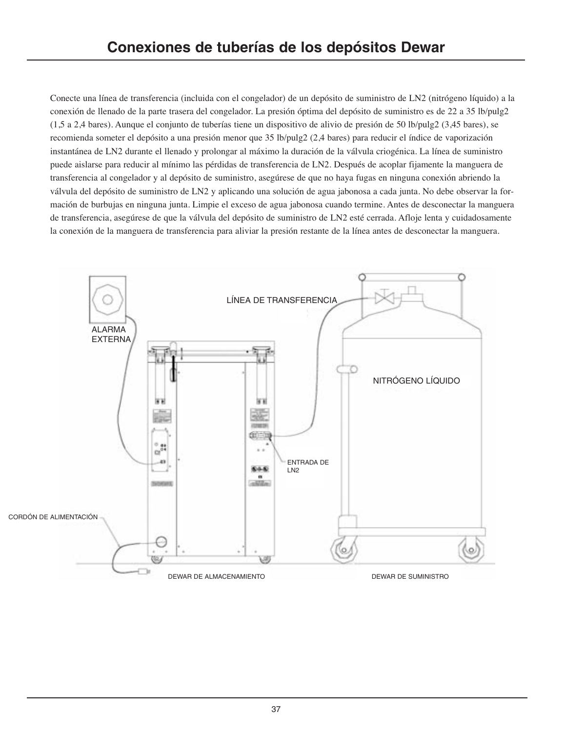Conecte una línea de transferencia (incluida con el congelador) de un depósito de suministro de LN2 (nitrógeno líquido) a la conexión de llenado de la parte trasera del congelador. La presión óptima del depósito de suministro es de 22 a 35 lb/pulg2 (1,5 a 2,4 bares). Aunque el conjunto de tuberías tiene un dispositivo de alivio de presión de 50 lb/pulg2 (3,45 bares), se recomienda someter el depósito a una presión menor que 35 lb/pulg2 (2,4 bares) para reducir el índice de vaporización instantánea de LN2 durante el llenado y prolongar al máximo la duración de la válvula criogénica. La línea de suministro puede aislarse para reducir al mínimo las pérdidas de transferencia de LN2. Después de acoplar fijamente la manguera de transferencia al congelador y al depósito de suministro, asegúrese de que no haya fugas en ninguna conexión abriendo la válvula del depósito de suministro de LN2 y aplicando una solución de agua jabonosa a cada junta. No debe observar la formación de burbujas en ninguna junta. Limpie el exceso de agua jabonosa cuando termine. Antes de desconectar la manguera de transferencia, asegúrese de que la válvula del depósito de suministro de LN2 esté cerrada. Afloje lenta y cuidadosamente la conexión de la manguera de transferencia para aliviar la presión restante de la línea antes de desconectar la manguera.

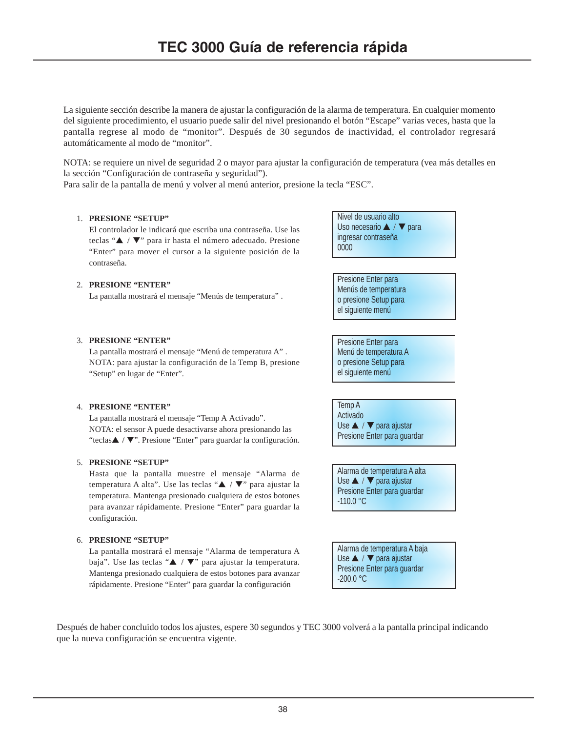La siguiente sección describe la manera de ajustar la configuración de la alarma de temperatura. En cualquier momento del siguiente procedimiento, el usuario puede salir del nivel presionando el botón "Escape" varias veces, hasta que la pantalla regrese al modo de "monitor". Después de 30 segundos de inactividad, el controlador regresará automáticamente al modo de "monitor".

NOTA: se requiere un nivel de seguridad 2 o mayor para ajustar la configuración de temperatura (vea más detalles en la sección "Configuración de contraseña y seguridad").

Para salir de la pantalla de menú y volver al menú anterior, presione la tecla "ESC".

### 1. **PRESIONE "SETUP"**

2. **PRESIONE "ENTER"**

3. **PRESIONE "ENTER"**

"Setup" en lugar de "Enter".

El controlador le indicará que escriba una contraseña. Use las teclas "▲ / ▼" para ir hasta el número adecuado. Presione "Enter" para mover el cursor a la siguiente posición de la contraseña.

La pantalla mostrará el mensaje "Menús de temperatura" .

La pantalla mostrará el mensaje "Menú de temperatura A" . NOTA: para ajustar la configuración de la Temp B, presione Nivel de usuario alto Uso necesario ▲ / ▼ para ingresar contraseña 0000

Presione Enter para Menús de temperatura o presione Setup para el siguiente menú

Presione Enter para Menú de temperatura A o presione Setup para el siguiente menú

La pantalla mostrará el mensaje "Temp A Activado".

NOTA: el sensor A puede desactivarse ahora presionando las "teclas▲ / ▼". Presione "Enter" para guardar la configuración.

### 5. **PRESIONE "SETUP"**

4. **PRESIONE "ENTER"**

Hasta que la pantalla muestre el mensaje "Alarma de temperatura A alta". Use las teclas "▲ / ▼" para ajustar la temperatura. Mantenga presionado cualquiera de estos botones para avanzar rápidamente. Presione "Enter" para guardar la configuración.

#### 6. **PRESIONE "SETUP"**

La pantalla mostrará el mensaje "Alarma de temperatura A baja". Use las teclas "▲ / ▼" para ajustar la temperatura. Mantenga presionado cualquiera de estos botones para avanzar rápidamente. Presione "Enter" para guardar la configuración

Temp A Activado Use ▲ / ▼ para ajustar Presione Enter para guardar

Alarma de temperatura A alta Use ▲ / ▼ para ajustar Presione Enter para guardar -110.0 °C

Alarma de temperatura A baja Use ▲ / ▼ para ajustar Presione Enter para guardar -200.0 °C

Después de haber concluido todos los ajustes, espere 30 segundos y TEC 3000 volverá a la pantalla principal indicando que la nueva configuración se encuentra vigente.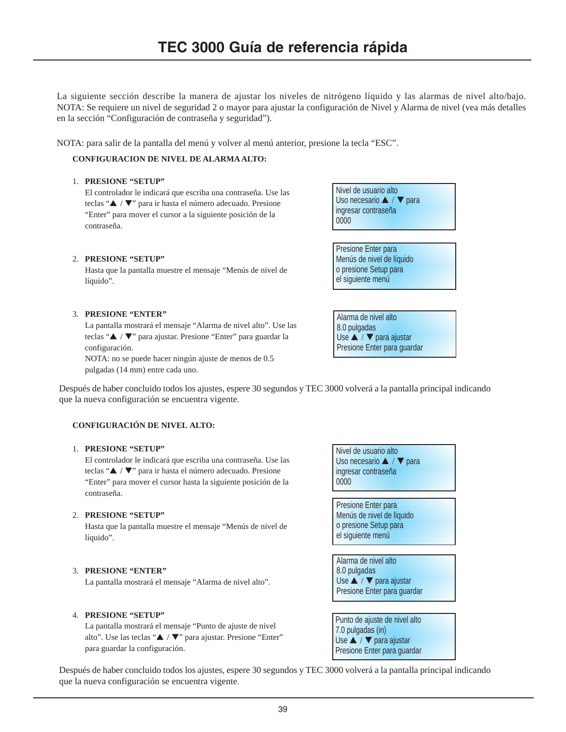La siguiente sección describe la manera de ajustar los niveles de nitrógeno líquido y las alarmas de nivel alto/bajo. NOTA: Se requiere un nivel de seguridad 2 o mayor para ajustar la configuración de Nivel y Alarma de nivel (vea más detalles en la sección "Configuración de contraseña y seguridad").

NOTA: para salir de la pantalla del menú y volver al menú anterior, presione la tecla "ESC".

# **CONFIGURACIÓN DE NIVEL DE ALARMA ALTO:**

#### 1. **PRESIONE "SETUP"**

El controlador le indicará que escriba una contraseña. Use las teclas "▲ / ▼" para ir hasta el número adecuado. Presione "Enter" para mover el cursor a la siguiente posición de la contraseña.

### 2. **PRESIONE "SETUP"**

Hasta que la pantalla muestre el mensaje "Menús de nivel de líquido".

#### 3. **PRESIONE "ENTER"**

La pantalla mostrará el mensaje "Alarma de nivel alto". Use las teclas "▲ / ▼" para ajustar. Presione "Enter" para guardar la configuración.

NOTA: no se puede hacer ningún ajuste de menos de 0.5 pulgadas (14 mm) entre cada uno.

Después de haber concluido todos los ajustes, espere 30 segundos y TEC 3000 volverá a la pantalla principal indicando que la nueva configuración se encuentra vigente.

### **CONFIGURACIÓN DE NIVEL ALTO:**

#### 1. **PRESIONE "SETUP"**

El controlador le indicará que escriba una contraseña. Use las teclas "▲ / ▼" para ir hasta el número adecuado. Presione "Enter" para mover el cursor hasta la siguiente posición de la contraseña.

#### 2. **PRESIONE "SETUP"**

Hasta que la pantalla muestre el mensaje "Menús de nivel de líquido".

#### 3. **PRESIONE "ENTER"**

La pantalla mostrará el mensaje "Alarma de nivel alto".

#### 4. **PRESIONE "SETUP"**

La pantalla mostrará el mensaje "Punto de ajuste de nivel alto". Use las teclas "▲ / ▼" para ajustar. Presione "Enter" para guardar la configuración.

Nivel de usuario alto Uso necesario ▲ / ▼ para ingresar contraseña 0000

Presione Enter para Menús de nivel de líquido o presione Setup para el siguiente menú

Alarma de nivel alto 8.0 pulgadas Use ▲ / ▼ para ajustar Presione Enter para guardar

Punto de ajuste de nivel alto 7.0 pulgadas (in) Use ▲ / ▼ para ajustar Presione Enter para guardar

Después de haber concluido todos los ajustes, espere 30 segundos y TEC 3000 volverá a la pantalla principal indicando que la nueva configuración se encuentra vigente.

Nivel de usuario alto Uso necesario ▲ / ▼ para ingresar contraseña 0000

Presione Enter para Menús de nivel de líquido o presione Setup para el siguiente menú

Alarma de nivel alto 8.0 pulgadas Use ▲ / ▼ para ajustar Presione Enter para guardar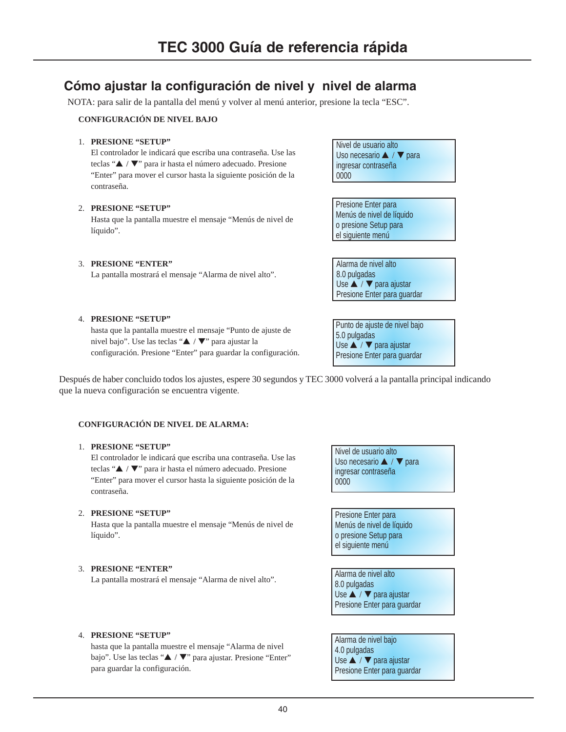# **Cómo ajustar la configuración de nivel y nivel de alarma**

NOTA: para salir de la pantalla del menú y volver al menú anterior, presione la tecla "ESC".

# **CONFIGURACIÓN DE NIVEL BAJO**

# 1. **PRESIONE "SETUP"**

El controlador le indicará que escriba una contraseña. Use las teclas "▲ / ▼" para ir hasta el número adecuado. Presione "Enter" para mover el cursor hasta la siguiente posición de la contraseña.

### 2. **PRESIONE "SETUP"**

Hasta que la pantalla muestre el mensaje "Menús de nivel de líquido".

### 3. **PRESIONE "ENTER"**

La pantalla mostrará el mensaje "Alarma de nivel alto".

Nivel de usuario alto Uso necesario ▲ / ▼ para ingresar contraseña 0000

Presione Enter para Menús de nivel de líquido o presione Setup para el siguiente menú

Alarma de nivel alto 8.0 pulgadas Use ▲ / ▼ para ajustar Presione Enter para guardar

Punto de ajuste de nivel bajo 5.0 pulgadas Use ▲ / ▼ para ajustar Presione Enter para guardar

### 4. **PRESIONE "SETUP"**

hasta que la pantalla muestre el mensaje "Punto de ajuste de nivel bajo". Use las teclas "▲ / ▼" para ajustar la configuración. Presione "Enter" para guardar la configuración.

Después de haber concluido todos los ajustes, espere 30 segundos y TEC 3000 volverá a la pantalla principal indicando que la nueva configuración se encuentra vigente.

### **CONFIGURACIÓN DE NIVEL DE ALARMA:**

### 1. **PRESIONE "SETUP"**

El controlador le indicará que escriba una contraseña. Use las teclas "▲ / ▼" para ir hasta el número adecuado. Presione "Enter" para mover el cursor hasta la siguiente posición de la contraseña.

#### 2. **PRESIONE "SETUP"**

Hasta que la pantalla muestre el mensaje "Menús de nivel de líquido".

### 3. **PRESIONE "ENTER"**

La pantalla mostrará el mensaje "Alarma de nivel alto".

Nivel de usuario alto Uso necesario ▲ / ▼ para ingresar contraseña 0000

Presione Enter para Menús de nivel de líquido o presione Setup para el siguiente menú

Alarma de nivel alto 8.0 pulgadas Use ▲ / ▼ para ajustar Presione Enter para guardar

#### 4. **PRESIONE "SETUP"**

hasta que la pantalla muestre el mensaje "Alarma de nivel bajo". Use las teclas "▲ / ▼" para ajustar. Presione "Enter" para guardar la configuración.

Alarma de nivel bajo 4.0 pulgadas Use ▲ / ▼ para ajustar Presione Enter para guardar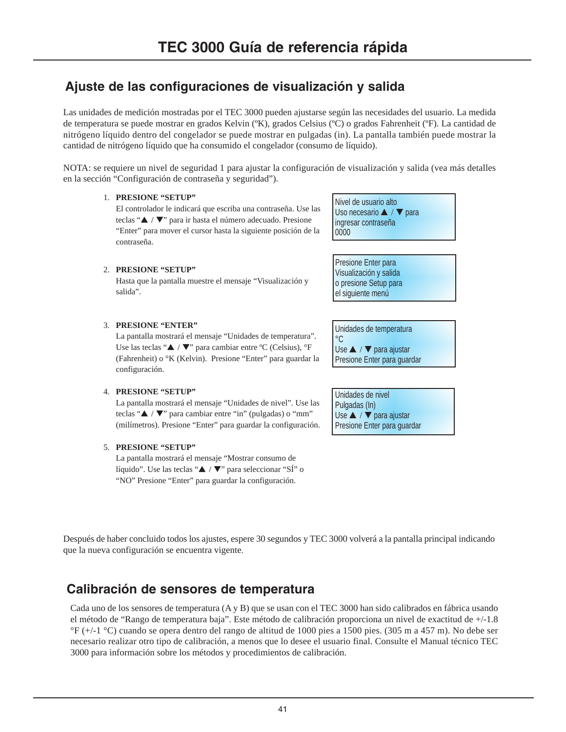# **Ajuste de las configuraciones de visualización y salida**

Las unidades de medición mostradas por el TEC 3000 pueden ajustarse según las necesidades del usuario. La medida de temperatura se puede mostrar en grados Kelvin (ºK), grados Celsius (ºC) o grados Fahrenheit (ºF). La cantidad de nitrógeno líquido dentro del congelador se puede mostrar en pulgadas (in). La pantalla también puede mostrar la cantidad de nitrógeno líquido que ha consumido el congelador (consumo de líquido).

NOTA: se requiere un nivel de seguridad 1 para ajustar la configuración de visualización y salida (vea más detalles en la sección "Configuración de contraseña y seguridad").

# 1. **PRESIONE "SETUP"**

El controlador le indicará que escriba una contraseña. Use las teclas "▲ / ▼" para ir hasta el número adecuado. Presione "Enter" para mover el cursor hasta la siguiente posición de la contraseña.

# 2. **PRESIONE "SETUP"**

Hasta que la pantalla muestre el mensaje "Visualización y salida".

### 3. **PRESIONE "ENTER"**

La pantalla mostrará el mensaje "Unidades de temperatura". Use las teclas "▲ / ▼" para cambiar entre ºC (Celsius), °F (Fahrenheit) o °K (Kelvin). Presione "Enter" para guardar la configuración.

#### 4. **PRESIONE "SETUP"**

La pantalla mostrará el mensaje "Unidades de nivel". Use las teclas " $\blacktriangle$  /  $\nabla$ " para cambiar entre "in" (pulgadas) o "mm" (milímetros). Presione "Enter" para guardar la configuración.

# 5. **PRESIONE "SETUP"**

La pantalla mostrará el mensaje "Mostrar consumo de líquido". Use las teclas "▲ / ▼" para seleccionar "SÍ" o "NO" Presione "Enter" para guardar la configuración.

Nivel de usuario alto Uso necesario ▲ / ▼ para ingresar contraseña 0000

Presione Enter para Visualización y salida o presione Setup para el siguiente menú

Unidades de temperatura  $^{\circ}C$ Use ▲ / ▼ para ajustar Presione Enter para guardar

Unidades de nivel Pulgadas (In) Use ▲ / ▼ para ajustar Presione Enter para guardar

Después de haber concluido todos los ajustes, espere 30 segundos y TEC 3000 volverá a la pantalla principal indicando que la nueva configuración se encuentra vigente.

# **Calibración de sensores de temperatura**

Cada uno de los sensores de temperatura (A y B) que se usan con el TEC 3000 han sido calibrados en fábrica usando el método de "Rango de temperatura baja". Este método de calibración proporciona un nivel de exactitud de +/-1.8 °F (+/-1 °C) cuando se opera dentro del rango de altitud de 1000 pies a 1500 pies. (305 m a 457 m). No debe ser necesario realizar otro tipo de calibración, a menos que lo desee el usuario final. Consulte el Manual técnico TEC 3000 para información sobre los métodos y procedimientos de calibración.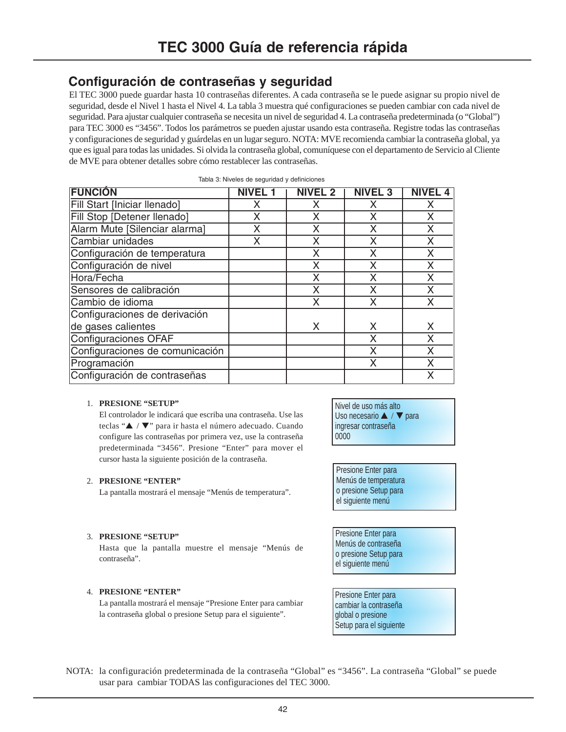# **Configuración de contraseñas y seguridad**

El TEC 3000 puede guardar hasta 10 contraseñas diferentes. A cada contraseña se le puede asignar su propio nivel de seguridad, desde el Nivel 1 hasta el Nivel 4. La tabla 3 muestra qué configuraciones se pueden cambiar con cada nivel de seguridad. Para ajustar cualquier contraseña se necesita un nivel de seguridad 4. La contraseña predeterminada (o "Global") para TEC 3000 es "3456". Todos los parámetros se pueden ajustar usando esta contraseña. Registre todas las contraseñas y configuraciones de seguridad y guárdelas en un lugar seguro. NOTA: MVE recomienda cambiar la contraseña global, ya que es igual para todas las unidades. Si olvida la contraseña global, comuníquese con el departamento de Servicio al Cliente de MVE para obtener detalles sobre cómo restablecer las contraseñas.

| <b>FUNCIÓN</b>                  | NIVEL 1 | <b>NIVEL 2</b> | <b>NIVEL 3</b> | <b>NIVEL 4</b> |
|---------------------------------|---------|----------------|----------------|----------------|
| Fill Start [Iniciar llenado]    | x       | X              | X              | X              |
| Fill Stop [Detener llenado]     | Χ       | X              | X              | X              |
| Alarm Mute [Silenciar alarma]   | X       | X              | x              | X              |
| Cambiar unidades                | Χ       | X              |                | X              |
| Configuración de temperatura    |         | X              | Χ              | X              |
| Configuración de nivel          |         | X              | X              | X              |
| Hora/Fecha                      |         | X              | Х              | X              |
| Sensores de calibración         |         | X              | X              | X              |
| Cambio de idioma                |         | X              | X              | X              |
| Configuraciones de derivación   |         |                |                |                |
| de gases calientes              |         | X              | X              | X              |
| Configuraciones OFAF            |         |                | X              | X              |
| Configuraciones de comunicación |         |                | X              | X              |
| Programación                    |         |                | X              | X              |
| Configuración de contraseñas    |         |                |                | X              |

|  |  | Tabla 3: Niveles de seguridad y definiciones |
|--|--|----------------------------------------------|
|  |  |                                              |

#### 1. **PRESIONE "SETUP"**

El controlador le indicará que escriba una contraseña. Use las teclas "▲ / ▼" para ir hasta el número adecuado. Cuando configure las contraseñas por primera vez, use la contraseña predeterminada "3456". Presione "Enter" para mover el cursor hasta la siguiente posición de la contraseña.

#### 2. **PRESIONE "ENTER"**

La pantalla mostrará el mensaje "Menús de temperatura".

#### 3. **PRESIONE "SETUP"**

Hasta que la pantalla muestre el mensaje "Menús de contraseña".

### 4. **PRESIONE "ENTER"**

La pantalla mostrará el mensaje "Presione Enter para cambiar la contraseña global o presione Setup para el siguiente".

Nivel de uso más alto Uso necesario ▲ / ▼ para ingresar contraseña 0000

Presione Enter para Menús de temperatura o presione Setup para el siguiente menú

Presione Enter para Menús de contraseña o presione Setup para el siguiente menú

Presione Enter para cambiar la contraseña global o presione Setup para el siguiente

NOTA: la configuración predeterminada de la contraseña "Global" es "3456". La contraseña "Global" se puede usar para cambiar TODAS las configuraciones del TEC 3000.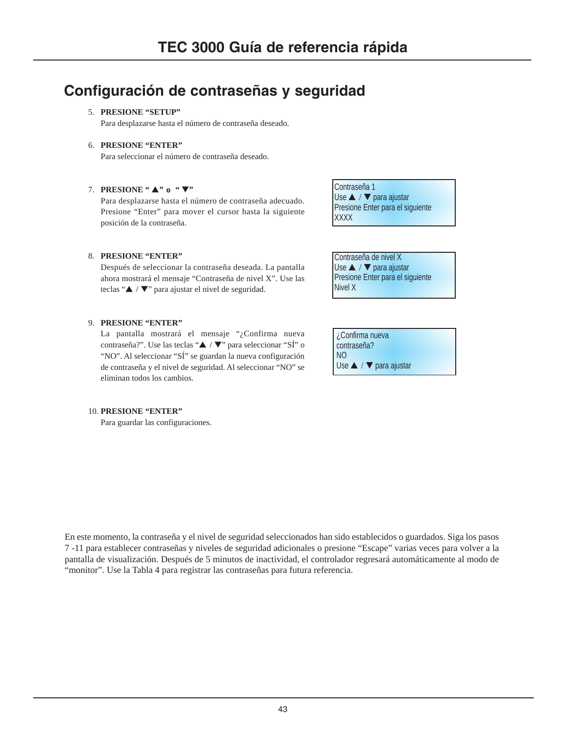# **Configuración de contraseñas y seguridad**

# 5. **PRESIONE "SETUP"**

Para desplazarse hasta el número de contraseña deseado.

# 6. **PRESIONE "ENTER"**

Para seleccionar el número de contraseña deseado.

# 7. **PRESIONE "** ▲**" o "** ▼**"**

Para desplazarse hasta el número de contraseña adecuado. Presione "Enter" para mover el cursor hasta la siguiente posición de la contraseña.

### 8. **PRESIONE "ENTER"**

Después de seleccionar la contraseña deseada. La pantalla ahora mostrará el mensaje "Contraseña de nivel X". Use las teclas "▲ / ▼" para ajustar el nivel de seguridad.

#### 9. **PRESIONE "ENTER"**

La pantalla mostrará el mensaje "¿Confirma nueva contraseña?". Use las teclas "▲ / ▼" para seleccionar "SÍ" o "NO". Al seleccionar "SÍ" se guardan la nueva configuración de contraseña y el nivel de seguridad. Al seleccionar "NO" se eliminan todos los cambios.

# Use ▲ / ▼ para ajustar Presione Enter para el siguiente **XXXX**

Contraseña de nivel X Use ▲ / ▼ para ajustar Presione Enter para el siguiente Nivel X

Contraseña 1

¿Confirma nueva contraseña? NO Use ▲ / ▼ para ajustar

#### 10. **PRESIONE "ENTER"**

Para guardar las configuraciones.

En este momento, la contraseña y el nivel de seguridad seleccionados han sido establecidos o guardados. Siga los pasos 7 -11 para establecer contraseñas y niveles de seguridad adicionales o presione "Escape" varias veces para volver a la pantalla de visualización. Después de 5 minutos de inactividad, el controlador regresará automáticamente al modo de "monitor". Use la Tabla 4 para registrar las contraseñas para futura referencia.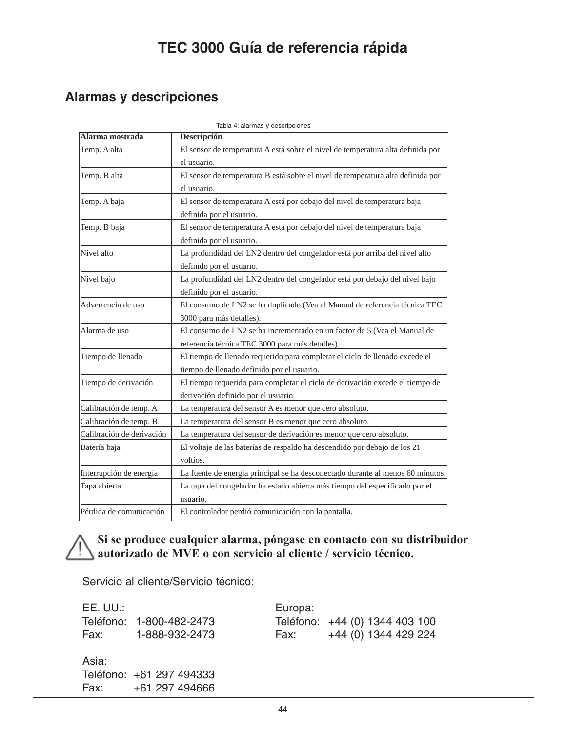# **Alarmas y descripciones**

| Alarma mostrada           | Descripción                                                                                                                 |  |  |  |
|---------------------------|-----------------------------------------------------------------------------------------------------------------------------|--|--|--|
| Temp. A alta              | El sensor de temperatura A está sobre el nivel de temperatura alta definida por<br>el usuario.                              |  |  |  |
| Temp. B alta              | El sensor de temperatura B está sobre el nivel de temperatura alta definida por<br>el usuario.                              |  |  |  |
| Temp. A baja              | El sensor de temperatura A está por debajo del nivel de temperatura baja<br>definida por el usuario.                        |  |  |  |
| Temp. B baja              | El sensor de temperatura A está por debajo del nivel de temperatura baja<br>definida por el usuario.                        |  |  |  |
| Nivel alto                | La profundidad del LN2 dentro del congelador está por arriba del nivel alto<br>definido por el usuario.                     |  |  |  |
| Nivel bajo                | La profundidad del LN2 dentro del congelador está por debajo del nivel bajo<br>definido por el usuario.                     |  |  |  |
| Advertencia de uso        | El consumo de LN2 se ha duplicado (Vea el Manual de referencia técnica TEC<br>3000 para más detalles).                      |  |  |  |
| Alarma de uso             | El consumo de LN2 se ha incrementado en un factor de 5 (Vea el Manual de<br>referencia técnica TEC 3000 para más detalles). |  |  |  |
| Tiempo de llenado         | El tiempo de llenado requerido para completar el ciclo de llenado excede el<br>tiempo de llenado definido por el usuario.   |  |  |  |
| Tiempo de derivación      | El tiempo requerido para completar el ciclo de derivación excede el tiempo de<br>derivación definido por el usuario.        |  |  |  |
| Calibración de temp. A    | La temperatura del sensor A es menor que cero absoluto.                                                                     |  |  |  |
| Calibración de temp. B    | La temperatura del sensor B es menor que cero absoluto.                                                                     |  |  |  |
| Calibración de derivación | La temperatura del sensor de derivación es menor que cero absoluto.                                                         |  |  |  |
| Batería baja              | El voltaje de las baterías de respaldo ha descendido por debajo de los 21<br>voltios.                                       |  |  |  |
| Interrupción de energía   | La fuente de energía principal se ha desconectado durante al menos 60 minutos.                                              |  |  |  |
| Tapa abierta              | La tapa del congelador ha estado abierta más tiempo del especificado por el<br>usuario.                                     |  |  |  |
| Pérdida de comunicación   | El controlador perdió comunicación con la pantalla.                                                                         |  |  |  |

Tabla 4: alarmas y descripcion

# **Si se produce cualquier alarma, póngase en contacto con su distribuidor autorizado de MVE o con servicio al cliente / servicio técnico.**

Servicio al cliente/Servicio técnico:

| EE. UU.: |                          | Europa: |                                |  |
|----------|--------------------------|---------|--------------------------------|--|
|          | Teléfono: 1-800-482-2473 |         | Teléfono: +44 (0) 1344 403 100 |  |
|          | Fax: 1-888-932-2473      |         | Fax: $+44$ (0) 1344 429 224    |  |
| Asia:    |                          |         |                                |  |
|          | Teléfono: +61 297 494333 |         |                                |  |
|          | Fax: $+61297494666$      |         |                                |  |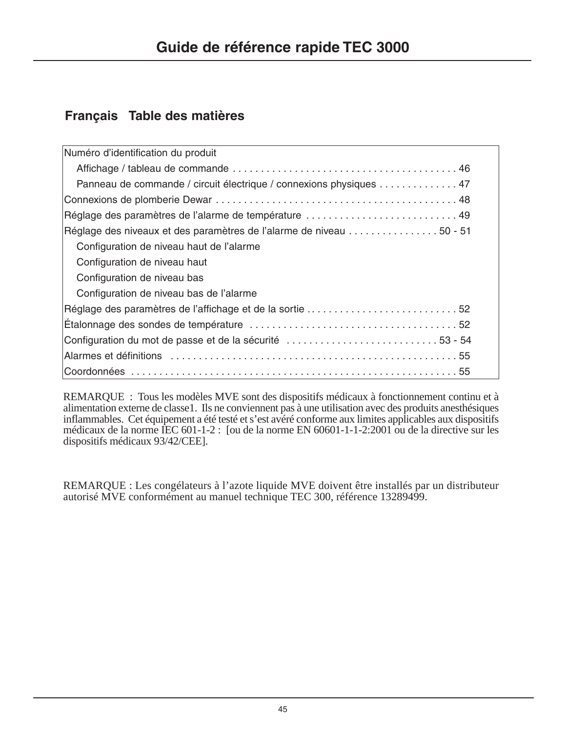# **Français Table des matières**

| Numéro d'identification du produit                                  |
|---------------------------------------------------------------------|
|                                                                     |
| Panneau de commande / circuit électrique / connexions physiques 47  |
|                                                                     |
| Réglage des paramètres de l'alarme de température  49               |
| Réglage des niveaux et des paramètres de l'alarme de niveau 50 - 51 |
| Configuration de niveau haut de l'alarme                            |
| Configuration de niveau haut                                        |
| Configuration de niveau bas                                         |
| Configuration de niveau bas de l'alarme                             |
| Réglage des paramètres de l'affichage et de la sortie 52            |
|                                                                     |
| Configuration du mot de passe et de la sécurité 53 - 54             |
|                                                                     |
|                                                                     |

REMARQUE : Tous les modèles MVE sont des dispositifs médicaux à fonctionnement continu et à alimentation externe de classe1. Ils ne conviennent pas à une utilisation avec des produits anesthésiques inflammables. Cet équipement a été testé et s'est avéré conforme aux limites applicables aux dispositifs médicaux de la norme IEC 601-1-2 : [ou de la norme EN 60601-1-1-2:2001 ou de la directive sur les dispositifs médicaux 93/42/CEE].

REMARQUE : Les congélateurs à l'azote liquide MVE doivent être installés par un distributeur autorisé MVE conformément au manuel technique TEC 300, référence 13289499.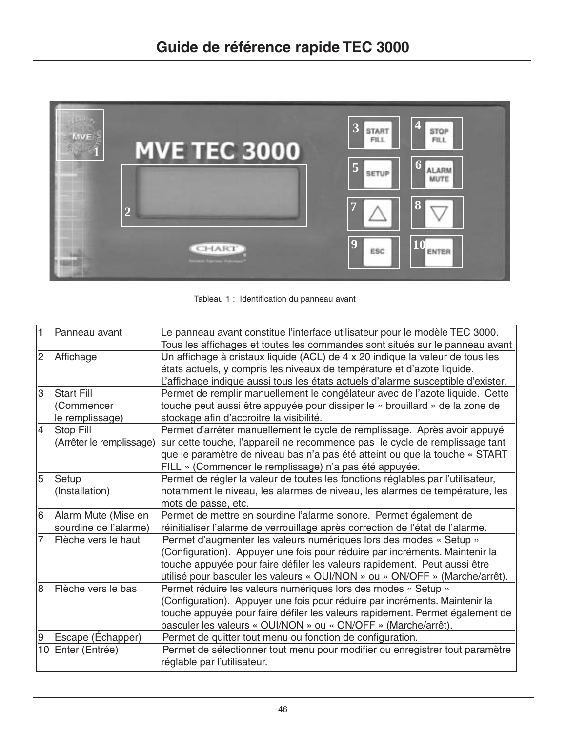

Tableau 1 : Identification du panneau avant

| $\overline{1}$           | Panneau avant            | Le panneau avant constitue l'interface utilisateur pour le modèle TEC 3000.      |
|--------------------------|--------------------------|----------------------------------------------------------------------------------|
|                          |                          | Tous les affichages et toutes les commandes sont situés sur le panneau avant     |
| 2                        | Affichage                | Un affichage à cristaux liquide (ACL) de 4 x 20 indique la valeur de tous les    |
|                          |                          | états actuels, y compris les niveaux de température et d'azote liquide.          |
|                          |                          | L'affichage indique aussi tous les états actuels d'alarme susceptible d'exister. |
| lЗ                       | <b>Start Fill</b>        | Permet de remplir manuellement le congélateur avec de l'azote liquide. Cette     |
|                          | (Commencer               | touche peut aussi être appuyée pour dissiper le « brouillard » de la zone de     |
|                          | le remplissage)          | stockage afin d'accroitre la visibilité.                                         |
| $\overline{4}$           | Stop Fill                | Permet d'arrêter manuellement le cycle de remplissage. Après avoir appuyé        |
|                          | (Arrêter le remplissage) | sur cette touche, l'appareil ne recommence pas le cycle de remplissage tant      |
|                          |                          | que le paramètre de niveau bas n'a pas été atteint ou que la touche « START      |
|                          |                          | FILL » (Commencer le remplissage) n'a pas été appuyée.                           |
| 5                        | Setup                    | Permet de régler la valeur de toutes les fonctions réglables par l'utilisateur,  |
|                          | (Installation)           | notamment le niveau, les alarmes de niveau, les alarmes de température, les      |
|                          |                          | mots de passe, etc.                                                              |
| 6                        | Alarm Mute (Mise en      | Permet de mettre en sourdine l'alarme sonore. Permet également de                |
|                          | sourdine de l'alarme)    | réinitialiser l'alarme de verrouillage après correction de l'état de l'alarme.   |
| Flèche vers le haut<br>7 |                          | Permet d'augmenter les valeurs numériques lors des modes « Setup »               |
|                          |                          | (Configuration). Appuyer une fois pour réduire par incréments. Maintenir la      |
|                          |                          | touche appuyée pour faire défiler les valeurs rapidement. Peut aussi être        |
|                          |                          | utilisé pour basculer les valeurs « OUI/NON » ou « ON/OFF » (Marche/arrêt).      |
| 8                        | Flèche vers le bas       | Permet réduire les valeurs numériques lors des modes « Setup »                   |
|                          |                          | (Configuration). Appuyer une fois pour réduire par incréments. Maintenir la      |
|                          |                          | touche appuyée pour faire défiler les valeurs rapidement. Permet également de    |
|                          |                          | basculer les valeurs « OUI/NON » ou « ON/OFF » (Marche/arrêt).                   |
| 9                        | Escape (Echapper)        | Permet de quitter tout menu ou fonction de configuration.                        |
|                          | 10 Enter (Entrée)        | Permet de sélectionner tout menu pour modifier ou enregistrer tout paramètre     |
|                          |                          | réglable par l'utilisateur.                                                      |
|                          |                          |                                                                                  |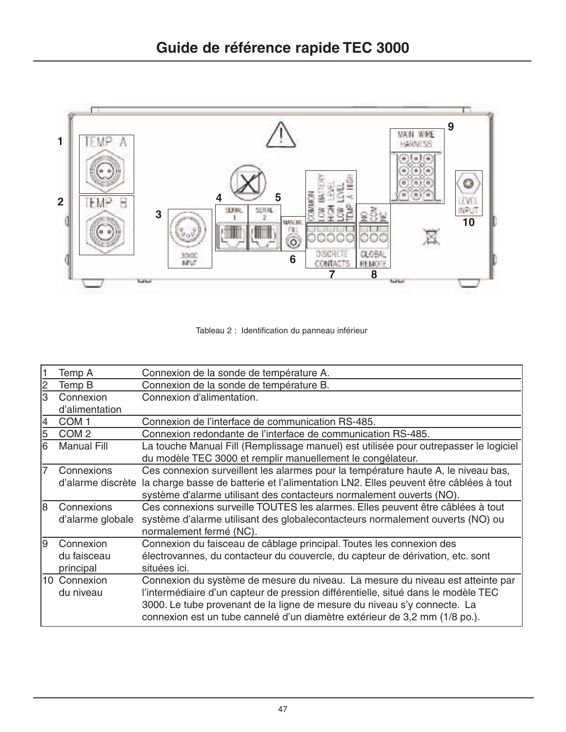

Tableau 2 : Identification du panneau inférieur

|    | Temp A             | Connexion de la sonde de température A.                                              |
|----|--------------------|--------------------------------------------------------------------------------------|
| 2  | Temp B             | Connexion de la sonde de température B.                                              |
| 3  | Connexion          | Connexion d'alimentation.                                                            |
|    | d'alimentation     |                                                                                      |
| 4  | COM <sub>1</sub>   | Connexion de l'interface de communication RS-485.                                    |
| 5  | COM <sub>2</sub>   | Connexion redondante de l'interface de communication RS-485.                         |
| 6  | <b>Manual Fill</b> | La touche Manual Fill (Remplissage manuel) est utilisée pour outrepasser le logiciel |
|    |                    | du modèle TEC 3000 et remplir manuellement le congélateur.                           |
| 17 | Connexions         | Ces connexion surveillent les alarmes pour la température haute A, le niveau bas,    |
|    | d'alarme discrète  | la charge basse de batterie et l'alimentation LN2. Elles peuvent être câblées à tout |
|    |                    | système d'alarme utilisant des contacteurs normalement ouverts (NO).                 |
| l8 | Connexions         | Ces connexions surveille TOUTES les alarmes. Elles peuvent être câblées à tout       |
|    | d'alarme globale   | système d'alarme utilisant des globalecontacteurs normalement ouverts (NO) ou        |
|    |                    | normalement fermé (NC).                                                              |
| 19 | Connexion          | Connexion du faisceau de câblage principal. Toutes les connexion des                 |
|    | du faisceau        | électrovannes, du contacteur du couvercle, du capteur de dérivation, etc. sont       |
|    | principal          | situées ici.                                                                         |
|    | 10 Connexion       | Connexion du système de mesure du niveau. La mesure du niveau est atteinte par       |
|    | du niveau          | l'intermédiaire d'un capteur de pression différentielle, situé dans le modèle TEC    |
|    |                    | 3000. Le tube provenant de la ligne de mesure du niveau s'y connecte. La             |
|    |                    | connexion est un tube cannelé d'un diamètre extérieur de 3,2 mm (1/8 po.).           |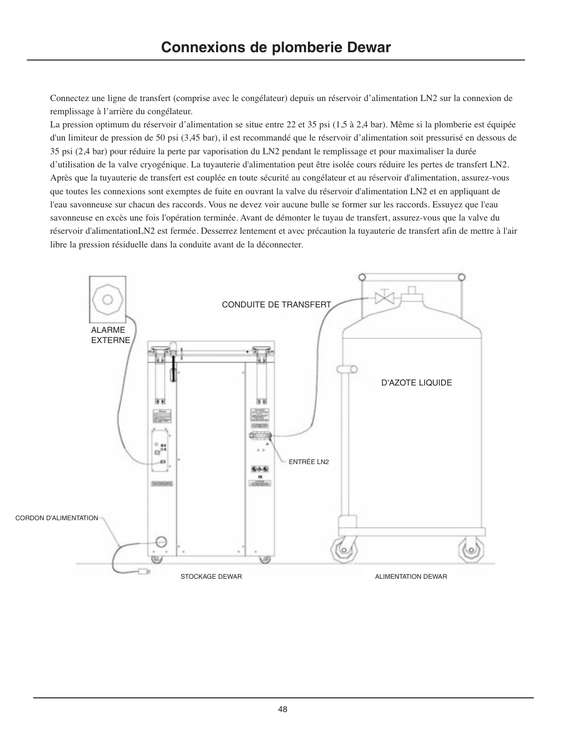Connectez une ligne de transfert (comprise avec le congélateur) depuis un réservoir d'alimentation LN2 sur la connexion de remplissage à l'arrière du congélateur.

La pression optimum du réservoir d'alimentation se situe entre 22 et 35 psi (1,5 à 2,4 bar). Même si la plomberie est équipée d'un limiteur de pression de 50 psi (3,45 bar), il est recommandé que le réservoir d'alimentation soit pressurisé en dessous de 35 psi (2,4 bar) pour réduire la perte par vaporisation du LN2 pendant le remplissage et pour maximaliser la durée d'utilisation de la valve cryogénique. La tuyauterie d'alimentation peut être isolée cours réduire les pertes de transfert LN2. Après que la tuyauterie de transfert est couplée en toute sécurité au congélateur et au réservoir d'alimentation, assurez-vous que toutes les connexions sont exemptes de fuite en ouvrant la valve du réservoir d'alimentation LN2 et en appliquant de l'eau savonneuse sur chacun des raccords. Vous ne devez voir aucune bulle se former sur les raccords. Essuyez que l'eau savonneuse en excès une fois l'opération terminée. Avant de démonter le tuyau de transfert, assurez-vous que la valve du réservoir d'alimentationLN2 est fermée. Desserrez lentement et avec précaution la tuyauterie de transfert afin de mettre à l'air libre la pression résiduelle dans la conduite avant de la déconnecter.

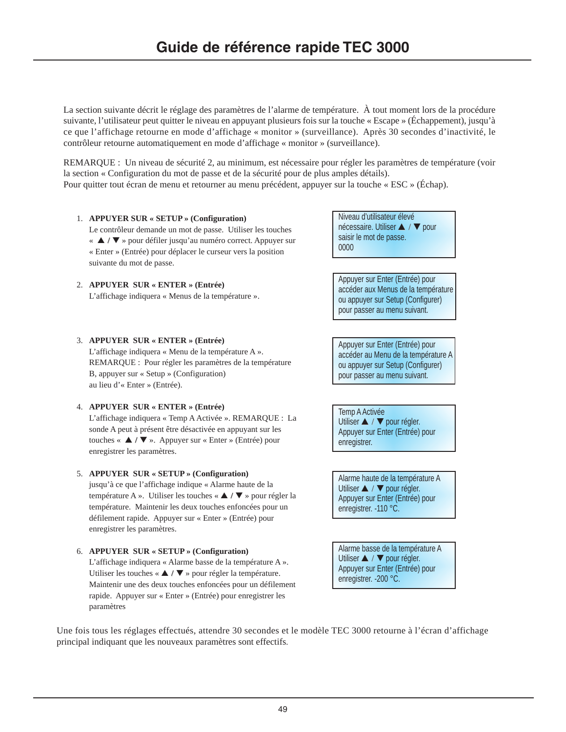La section suivante décrit le réglage des paramètres de l'alarme de température. À tout moment lors de la procédure suivante, l'utilisateur peut quitter le niveau en appuyant plusieurs fois sur la touche « Escape » (Échappement), jusqu'à ce que l'affichage retourne en mode d'affichage « monitor » (surveillance). Après 30 secondes d'inactivité, le contrôleur retourne automatiquement en mode d'affichage « monitor » (surveillance).

REMARQUE : Un niveau de sécurité 2, au minimum, est nécessaire pour régler les paramètres de température (voir la section « Configuration du mot de passe et de la sécurité pour de plus amples détails). Pour quitter tout écran de menu et retourner au menu précédent, appuyer sur la touche « ESC » (Échap).

1. **APPUYER SUR « SETUP » (Configuration)**

Le contrôleur demande un mot de passe. Utiliser les touches « ▲ **/** ▼ » pour défiler jusqu'au numéro correct. Appuyer sur « Enter » (Entrée) pour déplacer le curseur vers la position suivante du mot de passe.

- 2. **APPUYER SUR « ENTER » (Entrée)** L'affichage indiquera « Menus de la température ».
- 3. **APPUYER SUR « ENTER » (Entrée)**

L'affichage indiquera « Menu de la température A ». REMARQUE : Pour régler les paramètres de la température B, appuyer sur « Setup » (Configuration) au lieu d'« Enter » (Entrée).

# 4. **APPUYER SUR « ENTER » (Entrée)**

L'affichage indiquera « Temp A Activée ». REMARQUE : La sonde A peut à présent être désactivée en appuyant sur les touches « ▲ **/** ▼ ». Appuyer sur « Enter » (Entrée) pour enregistrer les paramètres.

# 5. **APPUYER SUR « SETUP » (Configuration)**

jusqu'à ce que l'affichage indique « Alarme haute de la température A ». Utiliser les touches « ▲ **/** ▼ » pour régler la température. Maintenir les deux touches enfoncées pour un défilement rapide. Appuyer sur « Enter » (Entrée) pour enregistrer les paramètres.

6. **APPUYER SUR « SETUP » (Configuration)** L'affichage indiquera « Alarme basse de la température A ». Utiliser les touches « ▲ **/** ▼ » pour régler la température. Maintenir une des deux touches enfoncées pour un défilement rapide. Appuyer sur « Enter » (Entrée) pour enregistrer les paramètres

Niveau d'utilisateur élevé nécessaire. Utiliser ▲ / ▼ pour saisir le mot de passe. 0000

Appuyer sur Enter (Entrée) pour accéder aux Menus de la température ou appuyer sur Setup (Configurer) pour passer au menu suivant.

Appuyer sur Enter (Entrée) pour accéder au Menu de la température A ou appuyer sur Setup (Configurer) pour passer au menu suivant.

Temp A Activée Utiliser ▲ / ▼ pour régler. Appuyer sur Enter (Entrée) pour enregistrer.

Alarme haute de la température A Utiliser ▲ / ▼ pour régler. Appuyer sur Enter (Entrée) pour enregistrer. -110 °C.

Alarme basse de la température A Utiliser ▲ / ▼ pour régler. Appuyer sur Enter (Entrée) pour enregistrer. -200 °C.

Une fois tous les réglages effectués, attendre 30 secondes et le modèle TEC 3000 retourne à l'écran d'affichage principal indiquant que les nouveaux paramètres sont effectifs.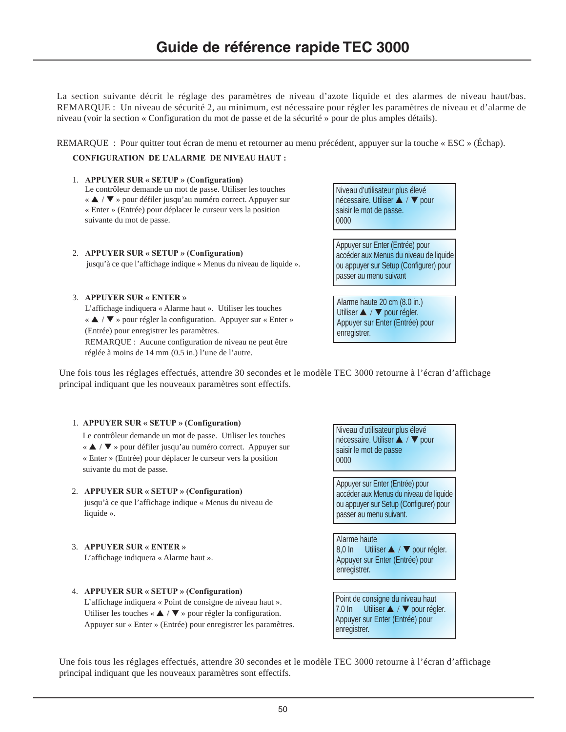La section suivante décrit le réglage des paramètres de niveau d'azote liquide et des alarmes de niveau haut/bas. REMARQUE : Un niveau de sécurité 2, au minimum, est nécessaire pour régler les paramètres de niveau et d'alarme de niveau (voir la section « Configuration du mot de passe et de la sécurité » pour de plus amples détails).

REMARQUE : Pour quitter tout écran de menu et retourner au menu précédent, appuyer sur la touche « ESC » (Échap).

**CONFIGURATION DE L'ALARME DE NIVEAU HAUT :**

#### 1. **APPUYER SUR « SETUP » (Configuration)**

Le contrôleur demande un mot de passe. Utiliser les touches « ▲ / ▼ » pour défiler jusqu'au numéro correct. Appuyer sur « Enter » (Entrée) pour déplacer le curseur vers la position suivante du mot de passe.

#### 2. **APPUYER SUR « SETUP » (Configuration)**

jusqu'à ce que l'affichage indique « Menus du niveau de liquide ».

### 3. **APPUYER SUR « ENTER »**

L'affichage indiquera « Alarme haut ». Utiliser les touches « ▲ / ▼ » pour régler la configuration. Appuyer sur « Enter » (Entrée) pour enregistrer les paramètres. REMARQUE : Aucune configuration de niveau ne peut être

réglée à moins de 14 mm (0.5 in.) l'une de l'autre.

Niveau d'utilisateur plus élevé nécessaire. Utiliser ▲ / ▼ pour saisir le mot de passe. 0000

Appuyer sur Enter (Entrée) pour accéder aux Menus du niveau de liquide ou appuyer sur Setup (Configurer) pour passer au menu suivant

Alarme haute 20 cm (8.0 in.) Utiliser ▲ / ▼ pour régler. Appuyer sur Enter (Entrée) pour enregistrer.

Une fois tous les réglages effectués, attendre 30 secondes et le modèle TEC 3000 retourne à l'écran d'affichage principal indiquant que les nouveaux paramètres sont effectifs.

#### 1. **APPUYER SUR « SETUP » (Configuration)**

Le contrôleur demande un mot de passe. Utiliser les touches « ▲ / ▼ » pour défiler jusqu'au numéro correct. Appuyer sur « Enter » (Entrée) pour déplacer le curseur vers la position suivante du mot de passe.

# 2. **APPUYER SUR « SETUP » (Configuration)**

jusqu'à ce que l'affichage indique « Menus du niveau de liquide ».

3. **APPUYER SUR « ENTER »**

L'affichage indiquera « Alarme haut ».

4. **APPUYER SUR « SETUP » (Configuration)** L'affichage indiquera « Point de consigne de niveau haut ». Utiliser les touches « ▲ / ▼ » pour régler la configuration. Appuyer sur « Enter » (Entrée) pour enregistrer les paramètres. Niveau d'utilisateur plus élevé nécessaire. Utiliser ▲ / ▼ pour saisir le mot de passe 0000

Appuyer sur Enter (Entrée) pour accéder aux Menus du niveau de liquide ou appuyer sur Setup (Configurer) pour passer au menu suivant.

Alarme haute 8,0 In Utiliser ▲ / ▼ pour régler. Appuyer sur Enter (Entrée) pour enregistrer.

Point de consigne du niveau haut 7.0 In Utiliser ▲ / ▼ pour régler. Appuyer sur Enter (Entrée) pour enregistrer.

Une fois tous les réglages effectués, attendre 30 secondes et le modèle TEC 3000 retourne à l'écran d'affichage principal indiquant que les nouveaux paramètres sont effectifs.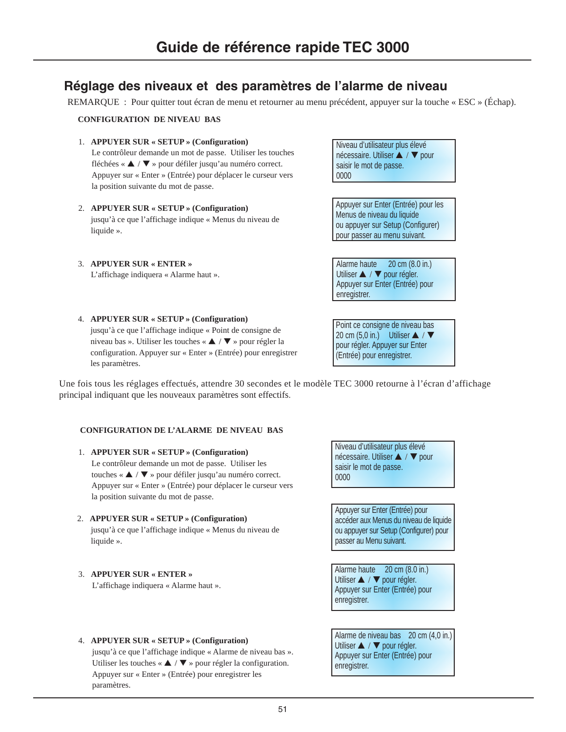# **Réglage des niveaux et des paramètres de l'alarme de niveau**

REMARQUE : Pour quitter tout écran de menu et retourner au menu précédent, appuyer sur la touche « ESC » (Échap).

### **CONFIGURATION DE NIVEAU BAS**

- 1. **APPUYER SUR « SETUP » (Configuration)** Le contrôleur demande un mot de passe. Utiliser les touches fléchées « ▲ / ▼ » pour défiler jusqu'au numéro correct. Appuyer sur « Enter » (Entrée) pour déplacer le curseur vers la position suivante du mot de passe.
- 2. **APPUYER SUR « SETUP » (Configuration)** jusqu'à ce que l'affichage indique « Menus du niveau de liquide ».
- 3. **APPUYER SUR « ENTER »**

L'affichage indiquera « Alarme haut ».

Niveau d'utilisateur plus élevé nécessaire. Utiliser ▲ / ▼ pour saisir le mot de passe. 0000

Appuyer sur Enter (Entrée) pour les Menus de niveau du liquide ou appuyer sur Setup (Configurer) pour passer au menu suivant.

Alarme haute 20 cm (8.0 in.) Utiliser ▲ / ▼ pour régler. Appuyer sur Enter (Entrée) pour enregistrer.

4. **APPUYER SUR « SETUP » (Configuration)** jusqu'à ce que l'affichage indique « Point de consigne de niveau bas ». Utiliser les touches « ▲ / ▼ » pour régler la configuration. Appuyer sur « Enter » (Entrée) pour enregistrer les paramètres.

Point ce consigne de niveau bas 20 cm  $(5,0 \text{ in.})$  Utiliser  $\triangle$  /  $\nabla$ pour régler. Appuyer sur Enter (Entrée) pour enregistrer.

Une fois tous les réglages effectués, attendre 30 secondes et le modèle TEC 3000 retourne à l'écran d'affichage principal indiquant que les nouveaux paramètres sont effectifs.

#### **CONFIGURATION DE L'ALARME DE NIVEAU BAS**

- 1. **APPUYER SUR « SETUP » (Configuration)** Le contrôleur demande un mot de passe. Utiliser les touches « ▲ / ▼ » pour défiler jusqu'au numéro correct. Appuyer sur « Enter » (Entrée) pour déplacer le curseur vers la position suivante du mot de passe.
- 2. **APPUYER SUR « SETUP » (Configuration)** jusqu'à ce que l'affichage indique « Menus du niveau de liquide ».

# 3. **APPUYER SUR « ENTER »**

paramètres.

L'affichage indiquera « Alarme haut ».

4. **APPUYER SUR « SETUP » (Configuration)**

jusqu'à ce que l'affichage indique « Alarme de niveau bas ». Utiliser les touches «  $\triangle$  /  $\nabla$  » pour régler la configuration. Appuyer sur « Enter » (Entrée) pour enregistrer les

Niveau d'utilisateur plus élevé nécessaire. Utiliser ▲ / ▼ pour saisir le mot de passe. 0000

Appuyer sur Enter (Entrée) pour accéder aux Menus du niveau de liquide ou appuyer sur Setup (Configurer) pour passer au Menu suivant.

Alarme haute 20 cm (8.0 in.) Utiliser ▲ / ▼ pour régler. Appuyer sur Enter (Entrée) pour enregistrer.

Alarme de niveau bas 20 cm (4,0 in.) Utiliser ▲ / ▼ pour régler. Appuyer sur Enter (Entrée) pour enregistrer.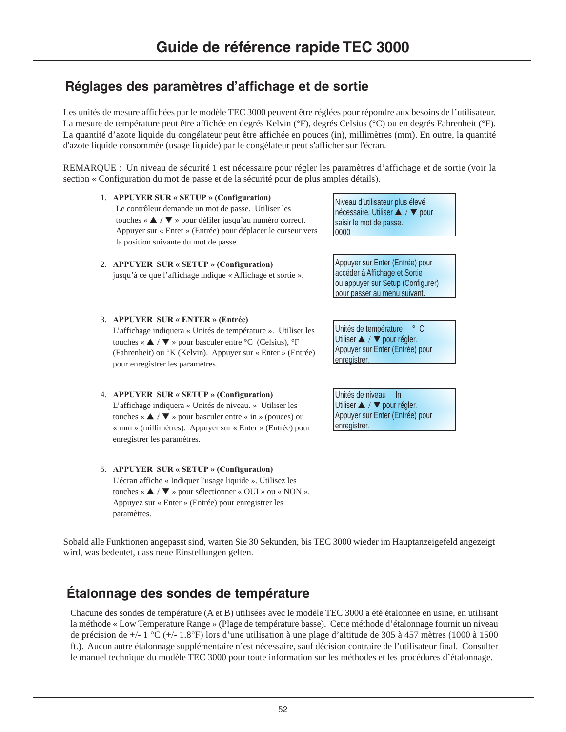# **Réglages des paramètres d'affichage et de sortie**

Les unités de mesure affichées par le modèle TEC 3000 peuvent être réglées pour répondre aux besoins de l'utilisateur. La mesure de température peut être affichée en degrés Kelvin (°F), degrés Celsius (°C) ou en degrés Fahrenheit (°F). La quantité d'azote liquide du congélateur peut être affichée en pouces (in), millimètres (mm). En outre, la quantité d'azote liquide consommée (usage liquide) par le congélateur peut s'afficher sur l'écran.

REMARQUE : Un niveau de sécurité 1 est nécessaire pour régler les paramètres d'affichage et de sortie (voir la section « Configuration du mot de passe et de la sécurité pour de plus amples détails).

- 1. **APPUYER SUR « SETUP » (Configuration)** Le contrôleur demande un mot de passe. Utiliser les touches « ▲ **/** ▼ » pour défiler jusqu'au numéro correct. Appuyer sur « Enter » (Entrée) pour déplacer le curseur vers la position suivante du mot de passe.
- 2. **APPUYER SUR « SETUP » (Configuration)** jusqu'à ce que l'affichage indique « Affichage et sortie ».
- 3. **APPUYER SUR « ENTER » (Entrée)**

L'affichage indiquera « Unités de température ». Utiliser les touches «  $\triangle$  /  $\nabla$  » pour basculer entre °C (Celsius), °F (Fahrenheit) ou °K (Kelvin). Appuyer sur « Enter » (Entrée) pour enregistrer les paramètres.

- 4. **APPUYER SUR « SETUP » (Configuration)** L'affichage indiquera « Unités de niveau. » Utiliser les touches « ▲ / ▼ » pour basculer entre « in » (pouces) ou « mm » (millimètres). Appuyer sur « Enter » (Entrée) pour enregistrer les paramètres.
- 5. **APPUYER SUR « SETUP » (Configuration)** L'écran affiche « Indiquer l'usage liquide ». Utilisez les touches « ▲ / ▼ » pour sélectionner « OUI » ou « NON ». Appuyez sur « Enter » (Entrée) pour enregistrer les paramètres.

Niveau d'utilisateur plus élevé nécessaire. Utiliser ▲ / ▼ pour saisir le mot de passe. 0000

Appuyer sur Enter (Entrée) pour accéder à Affichage et Sortie ou appuyer sur Setup (Configurer) pour passer au menu suivant.

Unités de température ° C Utiliser ▲ / ▼ pour régler. Appuyer sur Enter (Entrée) pour enregistrer.

Unités de niveau In Utiliser ▲ / ▼ pour régler. Appuyer sur Enter (Entrée) pour enregistrer.

Sobald alle Funktionen angepasst sind, warten Sie 30 Sekunden, bis TEC 3000 wieder im Hauptanzeigefeld angezeigt wird, was bedeutet, dass neue Einstellungen gelten.

# **Étalonnage des sondes de température**

Chacune des sondes de température (A et B) utilisées avec le modèle TEC 3000 a été étalonnée en usine, en utilisant la méthode « Low Temperature Range » (Plage de température basse). Cette méthode d'étalonnage fournit un niveau de précision de +/- 1 °C (+/- 1.8°F) lors d'une utilisation à une plage d'altitude de 305 à 457 mètres (1000 à 1500 ft.). Aucun autre étalonnage supplémentaire n'est nécessaire, sauf décision contraire de l'utilisateur final. Consulter le manuel technique du modèle TEC 3000 pour toute information sur les méthodes et les procédures d'étalonnage.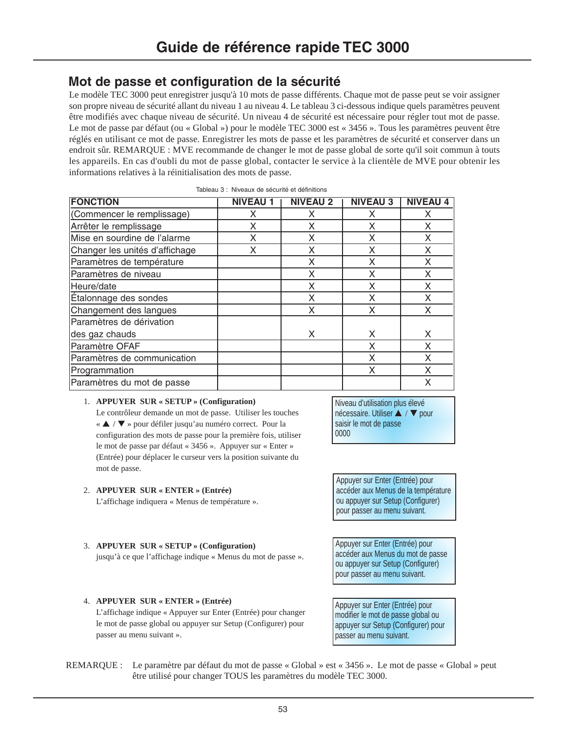# **Mot de passe et configuration de la sécurité**

Le modèle TEC 3000 peut enregistrer jusqu'à 10 mots de passe différents. Chaque mot de passe peut se voir assigner son propre niveau de sécurité allant du niveau 1 au niveau 4. Le tableau 3 ci-dessous indique quels paramètres peuvent être modifiés avec chaque niveau de sécurité. Un niveau 4 de sécurité est nécessaire pour régler tout mot de passe. Le mot de passe par défaut (ou « Global ») pour le modèle TEC 3000 est « 3456 ». Tous les paramètres peuvent être réglés en utilisant ce mot de passe. Enregistrer les mots de passe et les paramètres de sécurité et conserver dans un endroit sûr. REMARQUE : MVE recommande de changer le mot de passe global de sorte qu'il soit commun à touts les appareils. En cas d'oubli du mot de passe global, contacter le service à la clientèle de MVE pour obtenir les informations relatives à la réinitialisation des mots de passe.

| <b>FONCTION</b>                | <b>NIVEAU</b> | <b>NIVEAU 2</b> | <b>NIVEAU 3</b> | <b>NIVEAU 4</b> |
|--------------------------------|---------------|-----------------|-----------------|-----------------|
| (Commencer le remplissage)     | х             | x               | Χ               | x               |
| Arrêter le remplissage         | X             | X               | X               | X               |
| Mise en sourdine de l'alarme   | X             | X               | x               |                 |
| Changer les unités d'affichage | x             | X               | X               |                 |
| Paramètres de température      |               | X               | X               | X               |
| Paramètres de niveau           |               | X               | X               | X               |
| Heure/date                     |               | X               | X               | X               |
| Étalonnage des sondes          |               | X               | Χ               | x               |
| Changement des langues         |               | X               | X               | X               |
| Paramètres de dérivation       |               |                 |                 |                 |
| des gaz chauds                 |               | X               | X               | X               |
| Paramètre OFAF                 |               |                 | X               | X               |
| Paramètres de communication    |               |                 | Χ               | x               |
| Programmation                  |               |                 | Χ               |                 |
| Paramètres du mot de passe     |               |                 |                 | x               |

| Tableau 3 : Niveaux de sécurité et définitions |  |  |  |
|------------------------------------------------|--|--|--|
|                                                |  |  |  |

### 1. **APPUYER SUR « SETUP » (Configuration)**

Le contrôleur demande un mot de passe. Utiliser les touches « ▲ / ▼ » pour défiler jusqu'au numéro correct. Pour la configuration des mots de passe pour la première fois, utiliser le mot de passe par défaut « 3456 ». Appuyer sur « Enter » (Entrée) pour déplacer le curseur vers la position suivante du mot de passe.

# 2. **APPUYER SUR « ENTER » (Entrée)**

L'affichage indiquera « Menus de température ».

3. **APPUYER SUR « SETUP » (Configuration)**

passer au menu suivant ».

Niveau d'utilisation plus élevé nécessaire. Utiliser ▲ / ▼ pour saisir le mot de passe 0000

Appuyer sur Enter (Entrée) pour accéder aux Menus de la température ou appuyer sur Setup (Configurer) pour passer au menu suivant.

Appuyer sur Enter (Entrée) pour accéder aux Menus du mot de passe ou appuyer sur Setup (Configurer) pour passer au menu suivant.

Appuyer sur Enter (Entrée) pour modifier le mot de passe global ou appuyer sur Setup (Configurer) pour passer au menu suivant.

4. **APPUYER SUR « ENTER » (Entrée)** L'affichage indique « Appuyer sur Enter (Entrée) pour changer le mot de passe global ou appuyer sur Setup (Configurer) pour

jusqu'à ce que l'affichage indique « Menus du mot de passe ».

REMARQUE : Le paramètre par défaut du mot de passe « Global » est « 3456 ». Le mot de passe « Global » peut être utilisé pour changer TOUS les paramètres du modèle TEC 3000.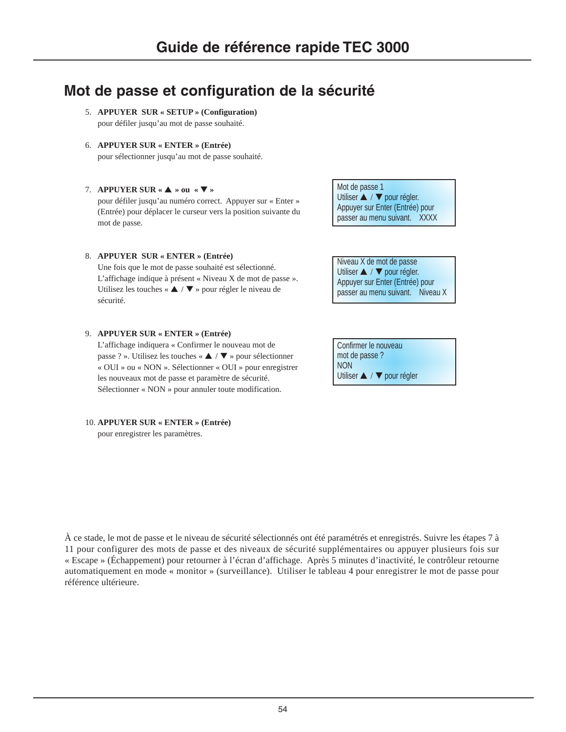# **Mot de passe et configuration de la sécurité**

- 5. **APPUYER SUR « SETUP » (Configuration)** pour défiler jusqu'au mot de passe souhaité.
- 6. **APPUYER SUR « ENTER » (Entrée)** pour sélectionner jusqu'au mot de passe souhaité.
- 7. **APPUYER SUR «** ▲ **» ou «** ▼ **»**

pour défiler jusqu'au numéro correct. Appuyer sur « Enter » (Entrée) pour déplacer le curseur vers la position suivante du mot de passe.

8. **APPUYER SUR « ENTER » (Entrée)**

Une fois que le mot de passe souhaité est sélectionné. L'affichage indique à présent « Niveau X de mot de passe ». Utilisez les touches « ▲ / ▼ » pour régler le niveau de sécurité.

9. **APPUYER SUR « ENTER » (Entrée)**

L'affichage indiquera « Confirmer le nouveau mot de passe ? ». Utilisez les touches « ▲ / ▼ » pour sélectionner « OUI » ou « NON ». Sélectionner « OUI » pour enregistrer les nouveaux mot de passe et paramètre de sécurité. Sélectionner « NON » pour annuler toute modification.

10. **APPUYER SUR « ENTER » (Entrée)** pour enregistrer les paramètres.

À ce stade, le mot de passe et le niveau de sécurité sélectionnés ont été paramétrés et enregistrés. Suivre les étapes 7 à 11 pour configurer des mots de passe et des niveaux de sécurité supplémentaires ou appuyer plusieurs fois sur « Escape » (Échappement) pour retourner à l'écran d'affichage. Après 5 minutes d'inactivité, le contrôleur retourne automatiquement en mode « monitor » (surveillance). Utiliser le tableau 4 pour enregistrer le mot de passe pour référence ultérieure.

Mot de passe 1 Utiliser ▲ / ▼ pour régler. Appuyer sur Enter (Entrée) pour passer au menu suivant. XXXX

Niveau X de mot de passe Utiliser ▲ / ▼ pour régler. Appuyer sur Enter (Entrée) pour passer au menu suivant. Niveau X

Confirmer le nouveau mot de passe ? NON Utiliser ▲ / ▼ pour régler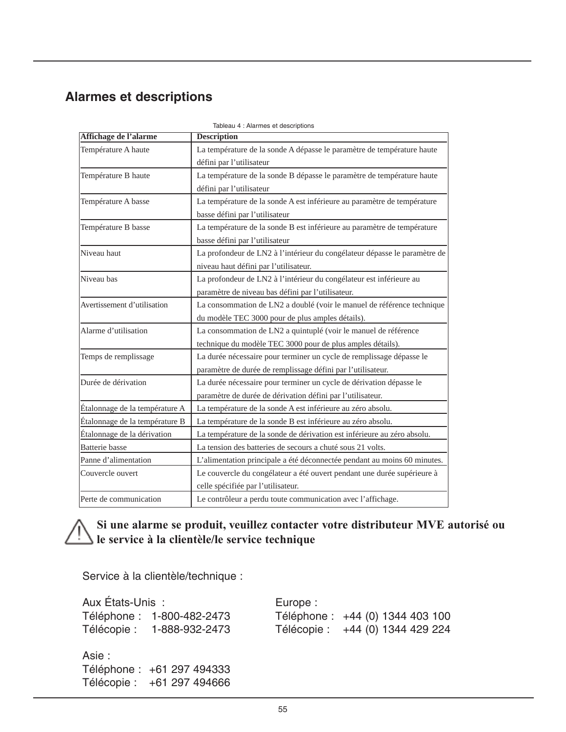# **Alarmes et descriptions**

|                                | Tableau 4 : Alarmes et descriptions                                       |  |  |
|--------------------------------|---------------------------------------------------------------------------|--|--|
| Affichage de l'alarme          | <b>Description</b>                                                        |  |  |
| Température A haute            | La température de la sonde A dépasse le paramètre de température haute    |  |  |
|                                | défini par l'utilisateur                                                  |  |  |
| Température B haute            | La température de la sonde B dépasse le paramètre de température haute    |  |  |
|                                | défini par l'utilisateur                                                  |  |  |
| Température A basse            | La température de la sonde A est inférieure au paramètre de température   |  |  |
|                                | basse défini par l'utilisateur                                            |  |  |
| Température B basse            | La température de la sonde B est inférieure au paramètre de température   |  |  |
|                                | basse défini par l'utilisateur                                            |  |  |
| Niveau haut                    | La profondeur de LN2 à l'intérieur du congélateur dépasse le paramètre de |  |  |
|                                | niveau haut défini par l'utilisateur.                                     |  |  |
| Niveau bas                     | La profondeur de LN2 à l'intérieur du congélateur est inférieure au       |  |  |
|                                | paramètre de niveau bas défini par l'utilisateur.                         |  |  |
| Avertissement d'utilisation    | La consommation de LN2 a doublé (voir le manuel de référence technique    |  |  |
|                                | du modèle TEC 3000 pour de plus amples détails).                          |  |  |
| Alarme d'utilisation           | La consommation de LN2 a quintuplé (voir le manuel de référence           |  |  |
|                                | technique du modèle TEC 3000 pour de plus amples détails).                |  |  |
| Temps de remplissage           | La durée nécessaire pour terminer un cycle de remplissage dépasse le      |  |  |
|                                | paramètre de durée de remplissage défini par l'utilisateur.               |  |  |
| Durée de dérivation            | La durée nécessaire pour terminer un cycle de dérivation dépasse le       |  |  |
|                                | paramètre de durée de dérivation défini par l'utilisateur.                |  |  |
| Étalonnage de la température A | La température de la sonde A est inférieure au zéro absolu.               |  |  |
| Étalonnage de la température B | La température de la sonde B est inférieure au zéro absolu.               |  |  |
| Étalonnage de la dérivation    | La température de la sonde de dérivation est inférieure au zéro absolu.   |  |  |
| Batterie basse                 | La tension des batteries de secours a chuté sous 21 volts.                |  |  |
| Panne d'alimentation           | L'alimentation principale a été déconnectée pendant au moins 60 minutes.  |  |  |
| Couvercle ouvert               | Le couvercle du congélateur a été ouvert pendant une durée supérieure à   |  |  |
|                                | celle spécifiée par l'utilisateur.                                        |  |  |
| Perte de communication         | Le contrôleur a perdu toute communication avec l'affichage.               |  |  |

**Si une alarme se produit, veuillez contacter votre distributeur MVE autorisé ou le service à la clientèle/le service technique**

Service à la clientèle/technique :

Télécopie : +61 297 494666

| Aux États-Unis : |                            | Europe: |                                  |
|------------------|----------------------------|---------|----------------------------------|
|                  | Téléphone: 1-800-482-2473  |         | Téléphone : +44 (0) 1344 403 100 |
|                  | Télécopie: 1-888-932-2473  |         | Télécopie : +44 (0) 1344 429 224 |
| Asie :           |                            |         |                                  |
|                  | Téléphone : +61 297 494333 |         |                                  |